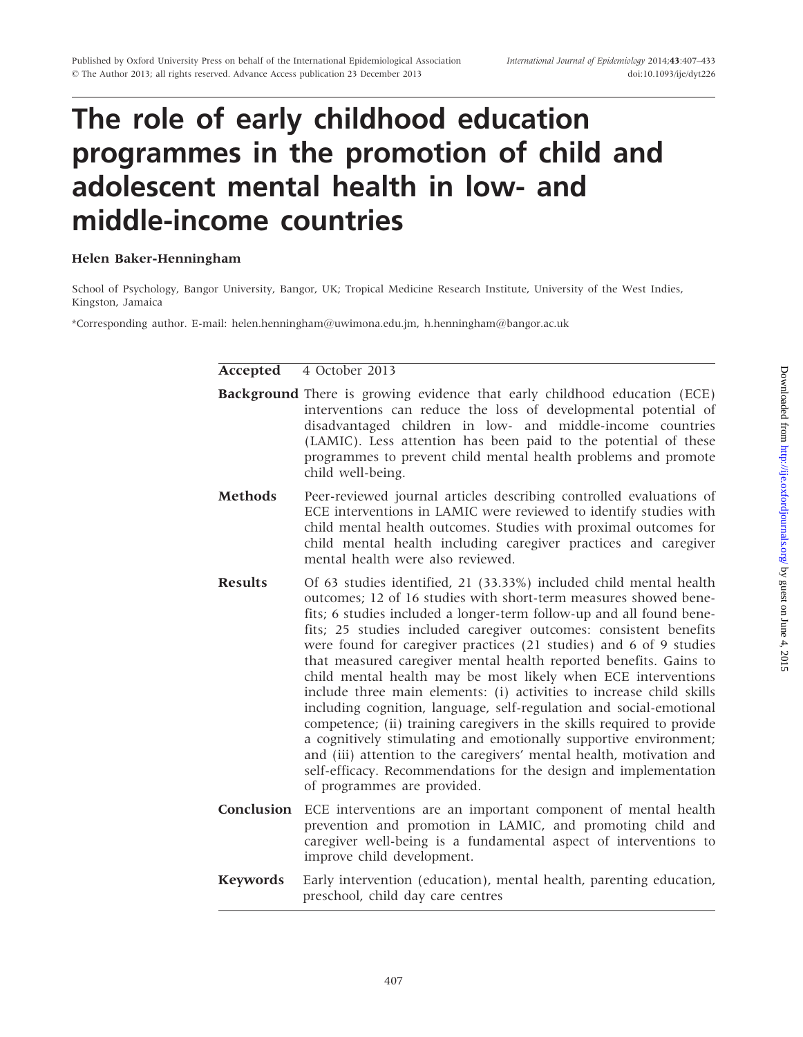### The role of early childhood education programmes in the promotion of child and adolescent mental health in low- and middle-income countries

#### Helen Baker-Henningham

School of Psychology, Bangor University, Bangor, UK; Tropical Medicine Research Institute, University of the West Indies, Kingston, Jamaica

\*Corresponding author. E-mail: helen.henningham@uwimona.edu.jm, h.henningham@bangor.ac.uk

#### Accepted 4 October 2013

- Background There is growing evidence that early childhood education (ECE) interventions can reduce the loss of developmental potential of disadvantaged children in low- and middle-income countries (LAMIC). Less attention has been paid to the potential of these programmes to prevent child mental health problems and promote child well-being.
- Methods Peer-reviewed journal articles describing controlled evaluations of ECE interventions in LAMIC were reviewed to identify studies with child mental health outcomes. Studies with proximal outcomes for child mental health including caregiver practices and caregiver mental health were also reviewed.
- Results Of 63 studies identified, 21 (33.33%) included child mental health outcomes; 12 of 16 studies with short-term measures showed benefits; 6 studies included a longer-term follow-up and all found benefits; 25 studies included caregiver outcomes: consistent benefits were found for caregiver practices (21 studies) and 6 of 9 studies that measured caregiver mental health reported benefits. Gains to child mental health may be most likely when ECE interventions include three main elements: (i) activities to increase child skills including cognition, language, self-regulation and social-emotional competence; (ii) training caregivers in the skills required to provide a cognitively stimulating and emotionally supportive environment; and (iii) attention to the caregivers' mental health, motivation and self-efficacy. Recommendations for the design and implementation of programmes are provided.
- Conclusion ECE interventions are an important component of mental health prevention and promotion in LAMIC, and promoting child and caregiver well-being is a fundamental aspect of interventions to improve child development.
- Keywords Early intervention (education), mental health, parenting education, preschool, child day care centres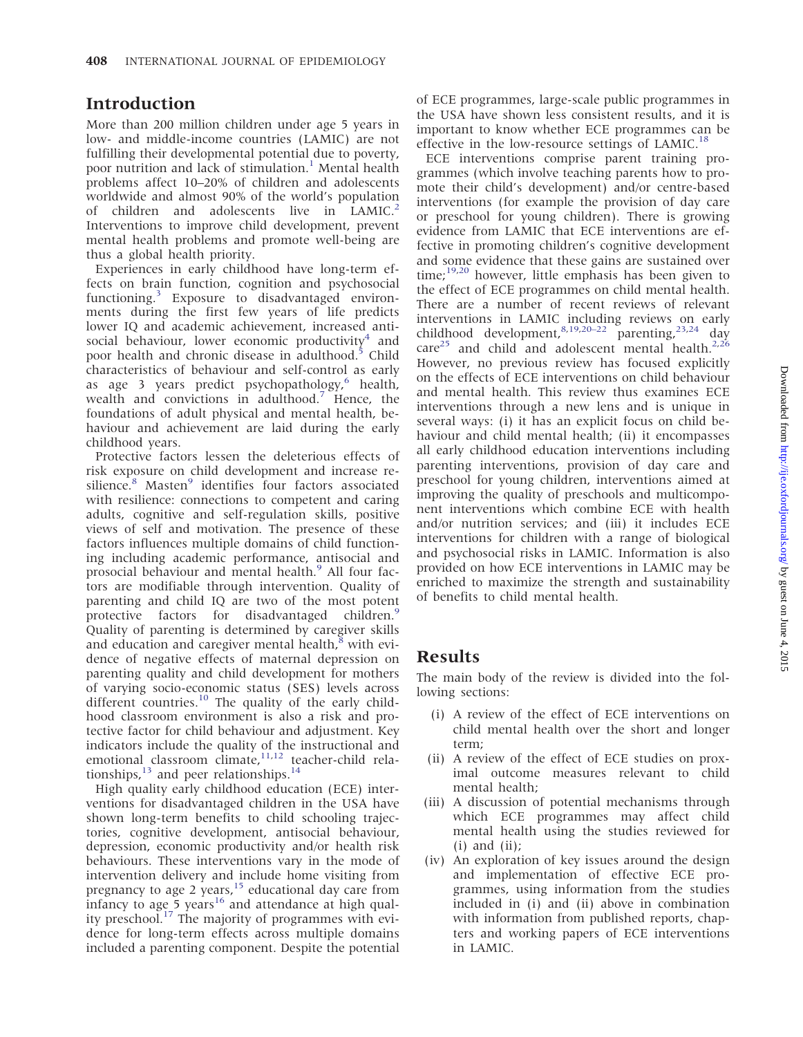#### Introduction

More than 200 million children under age 5 years in low- and middle-income countries (LAMIC) are not fulfilling their developmental potential due to poverty, poor nutrition and lack of stimulation.<sup>[1](#page-23-0)</sup> Mental health problems affect 10–20% of children and adolescents worldwide and almost 90% of the world's population of children and adolescents live in LAMIC.<sup>[2](#page-23-0)</sup> Interventions to improve child development, prevent mental health problems and promote well-being are thus a global health priority.

Experiences in early childhood have long-term effects on brain function, cognition and psychosocial functioning.<sup>[3](#page-23-0)</sup> Exposure to disadvantaged environments during the first few years of life predicts lower IQ and academic achievement, increased antisocial behaviour, lower economic productivity $4$  and poor health and chronic disease in adulthood.<sup>[5](#page-23-0)</sup> Child characteristics of behaviour and self-control as early as age 3 years predict psychopathology,<sup>[6](#page-23-0)</sup> health, wealth and convictions in adulthood.<sup>[7](#page-23-0)</sup> Hence, the foundations of adult physical and mental health, behaviour and achievement are laid during the early childhood years.

Protective factors lessen the deleterious effects of risk exposure on child development and increase re-silience.<sup>[8](#page-23-0)</sup> Masten<sup>[9](#page-23-0)</sup> identifies four factors associated with resilience: connections to competent and caring adults, cognitive and self-regulation skills, positive views of self and motivation. The presence of these factors influences multiple domains of child functioning including academic performance, antisocial and prosocial behaviour and mental health.<sup>[9](#page-23-0)</sup> All four factors are modifiable through intervention. Quality of parenting and child IQ are two of the most potent protective factors for disadvantaged children.<sup>[9](#page-23-0)</sup> Quality of parenting is determined by caregiver skills and education and caregiver mental health, $<sup>8</sup>$  $<sup>8</sup>$  $<sup>8</sup>$  with evi-</sup> dence of negative effects of maternal depression on parenting quality and child development for mothers of varying socio-economic status (SES) levels across different countries.<sup>[10](#page-23-0)</sup> The quality of the early childhood classroom environment is also a risk and protective factor for child behaviour and adjustment. Key indicators include the quality of the instructional and emotional classroom climate,<sup>[11,12](#page-23-0)</sup> teacher-child relationships, $^{13}$  $^{13}$  $^{13}$  and peer relationships. $^{14}$  $^{14}$  $^{14}$ 

High quality early childhood education (ECE) interventions for disadvantaged children in the USA have shown long-term benefits to child schooling trajectories, cognitive development, antisocial behaviour, depression, economic productivity and/or health risk behaviours. These interventions vary in the mode of intervention delivery and include home visiting from pregnancy to age 2 years,  $15$  educational day care from infancy to age  $5$  years<sup>[16](#page-24-0)</sup> and attendance at high quality preschool.[17](#page-24-0) The majority of programmes with evidence for long-term effects across multiple domains included a parenting component. Despite the potential

of ECE programmes, large-scale public programmes in the USA have shown less consistent results, and it is important to know whether ECE programmes can be effective in the low-resource settings of LAMIC.<sup>[18](#page-24-0)</sup>

ECE interventions comprise parent training programmes (which involve teaching parents how to promote their child's development) and/or centre-based interventions (for example the provision of day care or preschool for young children). There is growing evidence from LAMIC that ECE interventions are effective in promoting children's cognitive development and some evidence that these gains are sustained over time;<sup>[19,20](#page-24-0)</sup> however, little emphasis has been given to the effect of ECE programmes on child mental health. There are a number of recent reviews of relevant interventions in LAMIC including reviews on early childhood development,  $8,19,20-22$  $8,19,20-22$  parenting,  $23,24$  day care<sup>[25](#page-24-0)</sup> and child and adolescent mental health.<sup>[2](#page-23-0)[,26](#page-24-0)</sup> However, no previous review has focused explicitly on the effects of ECE interventions on child behaviour and mental health. This review thus examines ECE interventions through a new lens and is unique in several ways: (i) it has an explicit focus on child behaviour and child mental health; (ii) it encompasses all early childhood education interventions including parenting interventions, provision of day care and preschool for young children, interventions aimed at improving the quality of preschools and multicomponent interventions which combine ECE with health and/or nutrition services; and (iii) it includes ECE interventions for children with a range of biological and psychosocial risks in LAMIC. Information is also provided on how ECE interventions in LAMIC may be enriched to maximize the strength and sustainability of benefits to child mental health.

#### Results

The main body of the review is divided into the following sections:

- (i) A review of the effect of ECE interventions on child mental health over the short and longer term;
- (ii) A review of the effect of ECE studies on proximal outcome measures relevant to child mental health;
- (iii) A discussion of potential mechanisms through which ECE programmes may affect child mental health using the studies reviewed for  $(i)$  and  $(ii)$ :
- (iv) An exploration of key issues around the design and implementation of effective ECE programmes, using information from the studies included in (i) and (ii) above in combination with information from published reports, chapters and working papers of ECE interventions in LAMIC.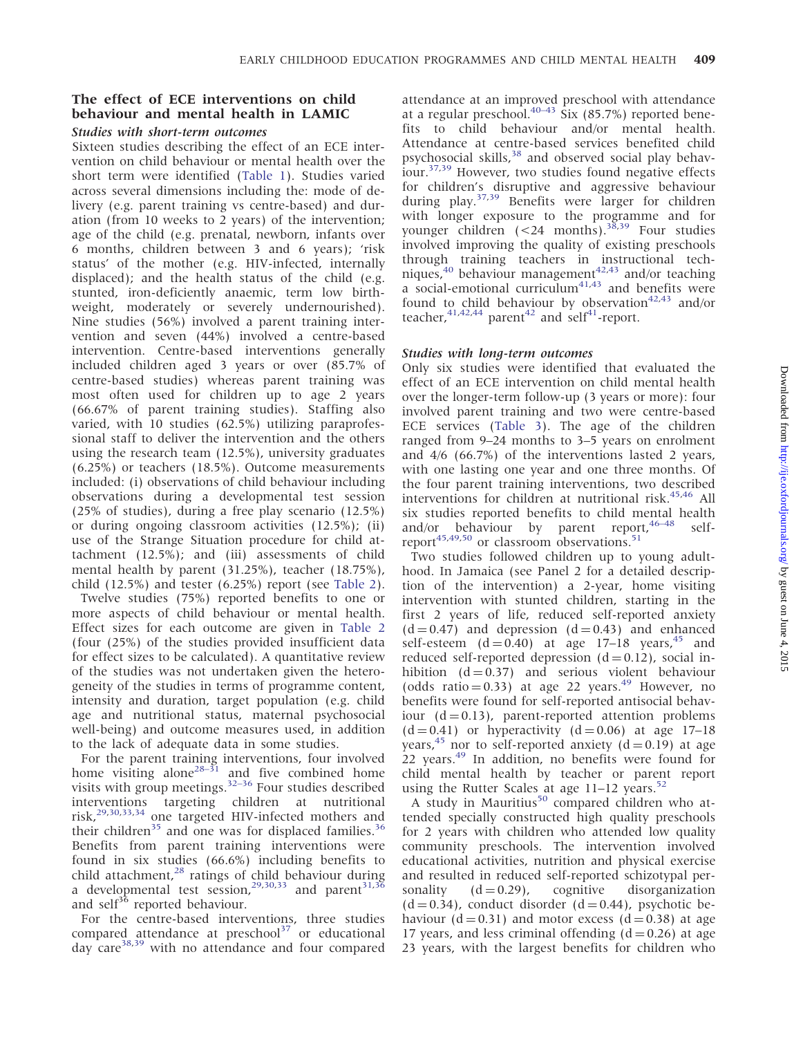#### The effect of ECE interventions on child behaviour and mental health in LAMIC

#### Studies with short-term outcomes

Sixteen studies describing the effect of an ECE intervention on child behaviour or mental health over the short term were identified ([Table 1](#page-4-0)). Studies varied across several dimensions including the: mode of delivery (e.g. parent training vs centre-based) and duration (from 10 weeks to 2 years) of the intervention; age of the child (e.g. prenatal, newborn, infants over 6 months, children between 3 and 6 years); 'risk status' of the mother (e.g. HIV-infected, internally displaced); and the health status of the child (e.g. stunted, iron-deficiently anaemic, term low birthweight, moderately or severely undernourished). Nine studies (56%) involved a parent training intervention and seven (44%) involved a centre-based intervention. Centre-based interventions generally included children aged 3 years or over (85.7% of centre-based studies) whereas parent training was most often used for children up to age 2 years (66.67% of parent training studies). Staffing also varied, with 10 studies (62.5%) utilizing paraprofessional staff to deliver the intervention and the others using the research team (12.5%), university graduates (6.25%) or teachers (18.5%). Outcome measurements included: (i) observations of child behaviour including observations during a developmental test session (25% of studies), during a free play scenario (12.5%) or during ongoing classroom activities (12.5%); (ii) use of the Strange Situation procedure for child attachment (12.5%); and (iii) assessments of child mental health by parent (31.25%), teacher (18.75%), child (12.5%) and tester (6.25%) report (see [Table 2](#page-8-0)).

Twelve studies (75%) reported benefits to one or more aspects of child behaviour or mental health. Effect sizes for each outcome are given in [Table 2](#page-8-0) (four (25%) of the studies provided insufficient data for effect sizes to be calculated). A quantitative review of the studies was not undertaken given the heterogeneity of the studies in terms of programme content, intensity and duration, target population (e.g. child age and nutritional status, maternal psychosocial well-being) and outcome measures used, in addition to the lack of adequate data in some studies.

For the parent training interventions, four involved home visiting alone<sup>[28–31](#page-24-0)</sup> and five combined home visits with group meetings.<sup>[32–36](#page-24-0)</sup> Four studies described interventions targeting children at nutritional risk,[29,30,33,34](#page-24-0) one targeted HIV-infected mothers and their children<sup>[35](#page-24-0)</sup> and one was for displaced families.<sup>[36](#page-24-0)</sup> Benefits from parent training interventions were found in six studies (66.6%) including benefits to child attachment, $28$  ratings of child behaviour during a developmental test session,  $29,30,33$  and parent  $31,36$ and self $36$  reported behaviour.

For the centre-based interventions, three studies compared attendance at preschool $37$  or educational day care[38,39](#page-24-0) with no attendance and four compared

attendance at an improved preschool with attendance at a regular preschool.<sup>[40–43](#page-24-0)</sup> Six (85.7%) reported benefits to child behaviour and/or mental health. Attendance at centre-based services benefited child psychosocial skills,<sup>38</sup> and observed social play behaviour.<sup>37,39</sup> However, two studies found negative effects for children's disruptive and aggressive behaviour during play.<sup>[37,39](#page-24-0)</sup> Benefits were larger for children with longer exposure to the programme and for younger children (<24 months).[38,39](#page-24-0) Four studies involved improving the quality of existing preschools through training teachers in instructional techniques, $40$  behaviour management $42,43$  and/or teaching a social-emotional curriculum $4^{1,43}$  and benefits were found to child behaviour by observation<sup>[42,43](#page-24-0)</sup> and/or teacher,  $41,42,44$  parent<sup>[42](#page-24-0)</sup> and self<sup>41</sup>-report.

#### Studies with long-term outcomes

Only six studies were identified that evaluated the effect of an ECE intervention on child mental health over the longer-term follow-up (3 years or more): four involved parent training and two were centre-based ECE services ([Table 3](#page-10-0)). The age of the children ranged from 9–24 months to 3–5 years on enrolment and 4/6 (66.7%) of the interventions lasted 2 years, with one lasting one year and one three months. Of the four parent training interventions, two described interventions for children at nutritional risk. $45,46$  All six studies reported benefits to child mental health and/or behaviour by parent report,  $46-48$  self-report<sup>[45,49,50](#page-25-0)</sup> or classroom observations.<sup>5</sup>

Two studies followed children up to young adulthood. In Jamaica (see Panel 2 for a detailed description of the intervention) a 2-year, home visiting intervention with stunted children, starting in the first 2 years of life, reduced self-reported anxiety  $(d = 0.47)$  and depression  $(d = 0.43)$  and enhanced self-esteem  $(d=0.40)$  at age 17–18 years,<sup>[45](#page-25-0)</sup> and reduced self-reported depression  $(d = 0.12)$ , social inhibition  $(d = 0.37)$  and serious violent behaviour (odds ratio  $= 0.33$ ) at age 22 years.<sup>[49](#page-25-0)</sup> However, no benefits were found for self-reported antisocial behaviour  $(d=0.13)$ , parent-reported attention problems  $(d = 0.41)$  or hyperactivity  $(d = 0.06)$  at age 17–18 years,<sup>[45](#page-25-0)</sup> nor to self-reported anxiety ( $d = 0.19$ ) at age 22 years.[49](#page-25-0) In addition, no benefits were found for child mental health by teacher or parent report using the Rutter Scales at age  $11-12$  years.<sup>[52](#page-25-0)</sup>

A study in Mauritius<sup>[50](#page-25-0)</sup> compared children who attended specially constructed high quality preschools for 2 years with children who attended low quality community preschools. The intervention involved educational activities, nutrition and physical exercise and resulted in reduced self-reported schizotypal personality  $(d = 0.29)$ , cognitive disorganization  $(d = 0.34)$ , conduct disorder  $(d = 0.44)$ , psychotic behaviour ( $d = 0.31$ ) and motor excess ( $d = 0.38$ ) at age 17 years, and less criminal offending  $(d = 0.26)$  at age 23 years, with the largest benefits for children who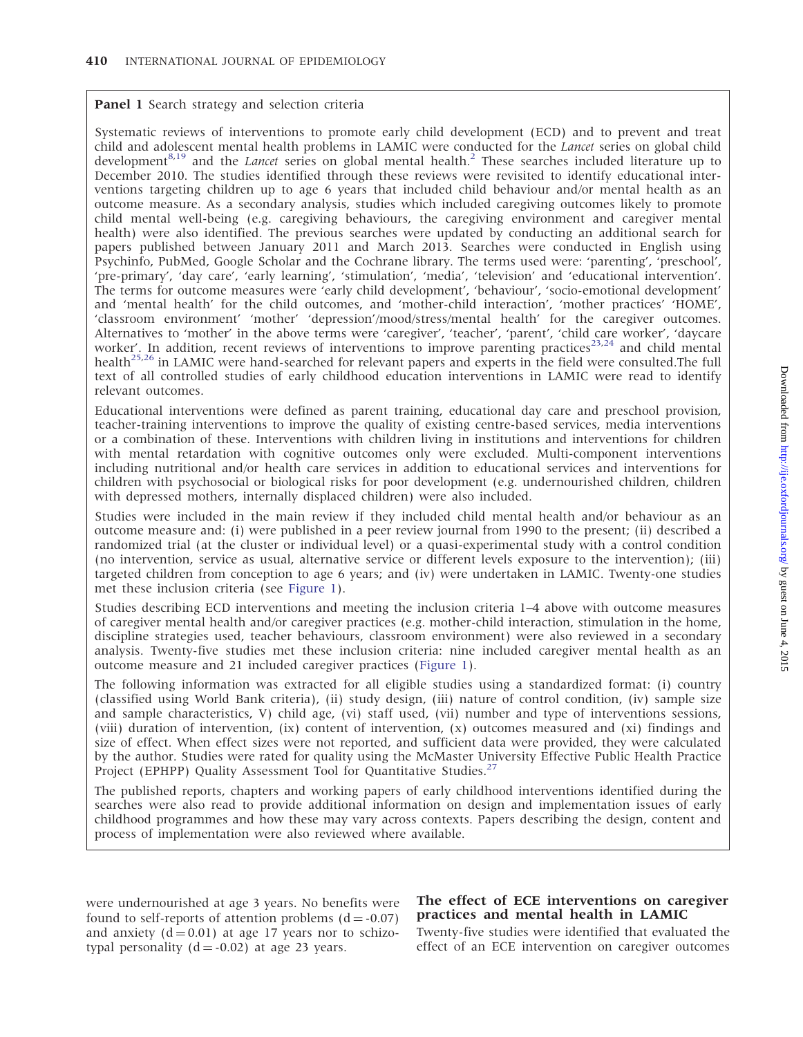#### Panel 1 Search strategy and selection criteria

Systematic reviews of interventions to promote early child development (ECD) and to prevent and treat child and adolescent mental health problems in LAMIC were conducted for the Lancet series on global child development<sup>[8](#page-23-0)[,19](#page-24-0)</sup> and the *Lancet* series on global mental health.<sup>[2](#page-23-0)</sup> These searches included literature up to December 2010. The studies identified through these reviews were revisited to identify educational interventions targeting children up to age 6 years that included child behaviour and/or mental health as an outcome measure. As a secondary analysis, studies which included caregiving outcomes likely to promote child mental well-being (e.g. caregiving behaviours, the caregiving environment and caregiver mental health) were also identified. The previous searches were updated by conducting an additional search for papers published between January 2011 and March 2013. Searches were conducted in English using Psychinfo, PubMed, Google Scholar and the Cochrane library. The terms used were: 'parenting', 'preschool', 'pre-primary', 'day care', 'early learning', 'stimulation', 'media', 'television' and 'educational intervention'. The terms for outcome measures were 'early child development', 'behaviour', 'socio-emotional development' and 'mental health' for the child outcomes, and 'mother-child interaction', 'mother practices' 'HOME', 'classroom environment' 'mother' 'depression'/mood/stress/mental health' for the caregiver outcomes. Alternatives to 'mother' in the above terms were 'caregiver', 'teacher', 'parent', 'child care worker', 'daycare worker'. In addition, recent reviews of interventions to improve parenting practices<sup>[23,24](#page-24-0)</sup> and child mental health<sup>[25,26](#page-24-0)</sup> in LAMIC were hand-searched for relevant papers and experts in the field were consulted.The full text of all controlled studies of early childhood education interventions in LAMIC were read to identify relevant outcomes.

Educational interventions were defined as parent training, educational day care and preschool provision, teacher-training interventions to improve the quality of existing centre-based services, media interventions or a combination of these. Interventions with children living in institutions and interventions for children with mental retardation with cognitive outcomes only were excluded. Multi-component interventions including nutritional and/or health care services in addition to educational services and interventions for children with psychosocial or biological risks for poor development (e.g. undernourished children, children with depressed mothers, internally displaced children) were also included.

Studies were included in the main review if they included child mental health and/or behaviour as an outcome measure and: (i) were published in a peer review journal from 1990 to the present; (ii) described a randomized trial (at the cluster or individual level) or a quasi-experimental study with a control condition (no intervention, service as usual, alternative service or different levels exposure to the intervention); (iii) targeted children from conception to age 6 years; and (iv) were undertaken in LAMIC. Twenty-one studies met these inclusion criteria (see [Figure 1\)](#page-19-0).

Studies describing ECD interventions and meeting the inclusion criteria 1–4 above with outcome measures of caregiver mental health and/or caregiver practices (e.g. mother-child interaction, stimulation in the home, discipline strategies used, teacher behaviours, classroom environment) were also reviewed in a secondary analysis. Twenty-five studies met these inclusion criteria: nine included caregiver mental health as an outcome measure and 21 included caregiver practices [\(Figure 1](#page-19-0)).

The following information was extracted for all eligible studies using a standardized format: (i) country (classified using World Bank criteria), (ii) study design, (iii) nature of control condition, (iv) sample size and sample characteristics, V) child age, (vi) staff used, (vii) number and type of interventions sessions, (viii) duration of intervention, (ix) content of intervention, (x) outcomes measured and (xi) findings and size of effect. When effect sizes were not reported, and sufficient data were provided, they were calculated by the author. Studies were rated for quality using the McMaster University Effective Public Health Practice Project (EPHPP) Quality Assessment Tool for Quantitative Studies.<sup>[27](#page-24-0)</sup>

The published reports, chapters and working papers of early childhood interventions identified during the searches were also read to provide additional information on design and implementation issues of early childhood programmes and how these may vary across contexts. Papers describing the design, content and process of implementation were also reviewed where available.

were undernourished at age 3 years. No benefits were found to self-reports of attention problems  $(d = -0.07)$ and anxiety  $(d = 0.01)$  at age 17 years nor to schizotypal personality  $(d = -0.02)$  at age 23 years.

#### The effect of ECE interventions on caregiver practices and mental health in LAMIC

Twenty-five studies were identified that evaluated the effect of an ECE intervention on caregiver outcomes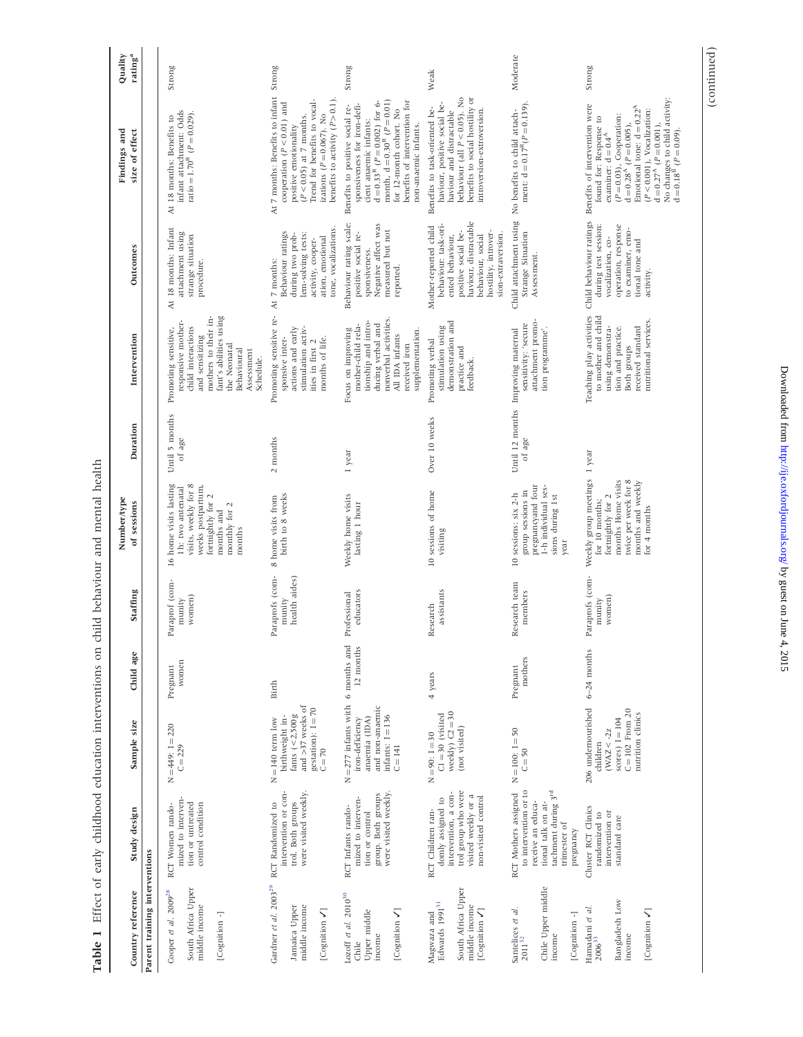Table 1 Effect of early childhood education interventions on child behaviour and mental health Table 1 Effect of early childhood education interventions on child behaviour and mental health

<span id="page-4-0"></span>

| Quality<br>rating <sup>a</sup> |                               | Strong                                                                                                                                                                                          | Strong                                                                                                                                                                                                                      | Strong                                                                                                                                                                                                                                                       | Weak                                                                                                                                                                                          | Moderate                                                                                                                                     | Strong                                                                                                                                                                                                                                                                                                                         |
|--------------------------------|-------------------------------|-------------------------------------------------------------------------------------------------------------------------------------------------------------------------------------------------|-----------------------------------------------------------------------------------------------------------------------------------------------------------------------------------------------------------------------------|--------------------------------------------------------------------------------------------------------------------------------------------------------------------------------------------------------------------------------------------------------------|-----------------------------------------------------------------------------------------------------------------------------------------------------------------------------------------------|----------------------------------------------------------------------------------------------------------------------------------------------|--------------------------------------------------------------------------------------------------------------------------------------------------------------------------------------------------------------------------------------------------------------------------------------------------------------------------------|
| Findings and<br>size of effect |                               | infant attachment: Odds<br>ratio = $1.70^R$ ( $P = 0.029$ ).<br>At 18 months: Benefits to                                                                                                       | At 7 months: Benefits to infant<br>benefits to activity $(P > 0.1)$ .<br>Trend for benefits to vocal-<br>cooperation ( $P < 0.01$ ) and<br>izations ( $P = 0.067$ ). No<br>$(P<0.05)$ at 7 months.<br>positive emotionality | $d = 0.33^{R}$ ( $P = 0.002$ ) for 6-<br>month, $d = 0.30^{R}$ ( $P = 0.01$ )<br>benefits of intervention for<br>sponsiveness for iron-defi-<br>Benefits to positive social re-<br>for 12-month cohort. No<br>cient anaemic infants:<br>non-anaemic infants. | behaviour (all $P < 0.05$ ). No<br>benefits to social hostility or<br>haviour, positive social be-<br>Benefits to task-oriented be-<br>introversion-extroversion.<br>haviour and distractable | ment: $d = 0.17^{R} (P = 0.139)$<br>No benefits to child attach-                                                                             | No changes to child activity:<br>d = $0.18^B$ ( $P = 0.09$ ).<br>Benefits of intervention were<br>Emotional tone: $d = 0.22^A$<br>$(P < 0.001)$ , Vocalization:<br>$(P = 0.03)$ , Cooperation:<br>found for: Response to<br>$d = 0.28^{A}$ ( $P = 0.005$ ),<br>$d = 0.27^{\text{A}}$ ( $P = 0.001$ ),<br>examiner: $d = 0.4^A$ |
| Outcomes                       |                               | At 18 months: Infant<br>attachment using<br>strange situation<br>procedure.                                                                                                                     | tone, vocalizations.<br>Behaviour ratings<br>lem-solving tests:<br>during two prob-<br>ation, emotional<br>activity, cooper-<br>At $7$ months:                                                                              | Behaviour rating scale:<br>Negative affect was<br>measured but not<br>positive social re-<br>sponsiveness.<br>reported.                                                                                                                                      | haviour, distractable<br>behaviour: task-ori-<br>Mother-reported child<br>positive social be-<br>hostility, introver-<br>sion-extraversion.<br>ented behaviour,<br>behaviour, social          | Child attachment using<br>Strange Situation<br>Assessment.                                                                                   | Child behaviour ratings<br>during test session:<br>operation, response<br>to examiner, emo-<br>vocalization, co-<br>tional tone and<br>activity.                                                                                                                                                                               |
| Intervention                   |                               | fant's abilities using<br>mothers to their in-<br>responsive mother-<br>child interactions<br>Promoting sensitive,<br>and sensitizing<br>the Neonatal<br>Behavioural<br>Assessment<br>Schedule. | Promoting sensitive re-<br>actions and early<br>stimulation activ-<br>sponsive inter-<br>months of life.<br>ities in first 2                                                                                                | nonverbal activities<br>tionship and intro-<br>ducing verbal and<br>mother-child rela-<br>Focus on improving<br>supplementation.<br>All IDA infants<br>received iron                                                                                         | demonstration and<br>stimulation using<br>Promoting verbal<br>practice and<br>feedback.                                                                                                       | attachment promo-<br>sensitivity: 'secure<br>tion programme'.<br>Until 12 months Improving maternal                                          | Teaching play activities<br>to mother and child<br>nutritional services<br>received standard<br>using demonstra-<br>tion and practice.<br>Both groups                                                                                                                                                                          |
| Duration                       |                               | Until 5 months<br>of age                                                                                                                                                                        | 2 months                                                                                                                                                                                                                    | 1 year                                                                                                                                                                                                                                                       | Over 10 weeks                                                                                                                                                                                 | of age                                                                                                                                       | 1 year                                                                                                                                                                                                                                                                                                                         |
| Number/type<br>of sessions     |                               | visits, weekly for 8<br>16 home visits lasting<br>weeks postpartum,<br>1 h: two antenatal<br>fortnightly for 2<br>monthly for 2<br>months and<br>months                                         | birth to 8 weeks<br>8 home visits from                                                                                                                                                                                      | Weekly home visits<br>lasting 1 hour                                                                                                                                                                                                                         | 10 sessions of home<br>visiting                                                                                                                                                               | pregnancyand four<br>1-h individual ses-<br>group sessions in<br>10 sessions: six 2-h<br>sions during 1st<br>year                            | Weekly group meetings<br>months Home visits<br>twice per week for 8<br>months and weekly<br>fortnightly for 2<br>for 10 months;<br>for 4 months                                                                                                                                                                                |
| Staffing                       |                               | Paraprof (com-<br>women)<br>munity                                                                                                                                                              | Paraprofs (com-<br>health aides)<br>munity                                                                                                                                                                                  | educators<br>Professional                                                                                                                                                                                                                                    | assistants<br>Research                                                                                                                                                                        | Research team<br>members                                                                                                                     | Paraprofs (com-<br>women)<br>munity                                                                                                                                                                                                                                                                                            |
| Child age                      |                               | women<br>Pregnant                                                                                                                                                                               | Birth                                                                                                                                                                                                                       | 6 months and<br>12 months                                                                                                                                                                                                                                    | 4 years                                                                                                                                                                                       | mothers<br>Pregnant                                                                                                                          | $6-24$ months                                                                                                                                                                                                                                                                                                                  |
| Sample size                    |                               | $N = 449$ : $I = 220$<br>$C = 229$                                                                                                                                                              | and $>37$ weeks of<br>gestation): $I = 70$<br>fants $(<2,500 g$<br>birthweight in-<br>$\rm N\,{=}\,140$ term low<br>$\mathrm{C}=70$                                                                                         | $N = 277$ infants with<br>and non-anaemic<br>infants: $I = 136$<br>anaemia (IDA)<br>iron-deficiency<br>$C = 141$                                                                                                                                             | weekly) $C2 = 30$<br>$Cl = 30$ (visited<br>(not visited)<br>$N = 90: 1 = 30$                                                                                                                  | $N = 100: 1 = 50$<br>$C = 50$                                                                                                                | 206 undernourished<br>$C = 102$ From 20<br>nutrition clinics<br>scores) $I = 104$<br>$(WAZ < -2z$<br>children                                                                                                                                                                                                                  |
| Study design                   |                               | mized to interven-<br>tion or untreated<br>control condition<br>RCT Women rando-                                                                                                                | intervention or con-<br>were visited weekly<br>trol. Both groups                                                                                                                                                            | were visited weekly<br>group. Both groups<br>mized to interven-<br>RCT Infants rando-<br>tion or control                                                                                                                                                     | trol group who were<br>intervention, a con-<br>visited weekly or a<br>non-visited control<br>domly assigned to<br>RCT Children ran-                                                           | to intervention or to<br>tachment during 3rd<br>RCT Mothers assigned<br>receive an educa-<br>tional talk on at-<br>trimester of<br>pregnancy | Cluster RCT Clinics<br>intervention or<br>randomized to<br>standard care                                                                                                                                                                                                                                                       |
| Country reference              | Parent training interventions | South Africa Upper<br>Cooper et al. 2009 <sup>28</sup><br>middle income<br>[Cognition -]                                                                                                        | Gardner et al. 2003 <sup>29</sup> RCT Randomized to<br>middle income<br>Jamaica Upper<br>[Cognition /                                                                                                                       | Lozoff et al. $2010^{30}$<br>Upper middle<br>[Cognition /<br>income<br>Chile                                                                                                                                                                                 | South Africa Upper<br>Edwards $199131$<br>middle income<br>[Cognition /]<br>Magwaza and                                                                                                       | Chile Upper middle<br>Santelices et al.<br>π<br>[Cognition<br>income<br>$2011^{32}$                                                          | Bangladesh Low<br>d.<br>[Cognition $\checkmark$ ]<br>Hamadani $\emph{et}$ $\emph{a}$ 2006 $\emph{^{33}}$<br>income                                                                                                                                                                                                             |

(continued)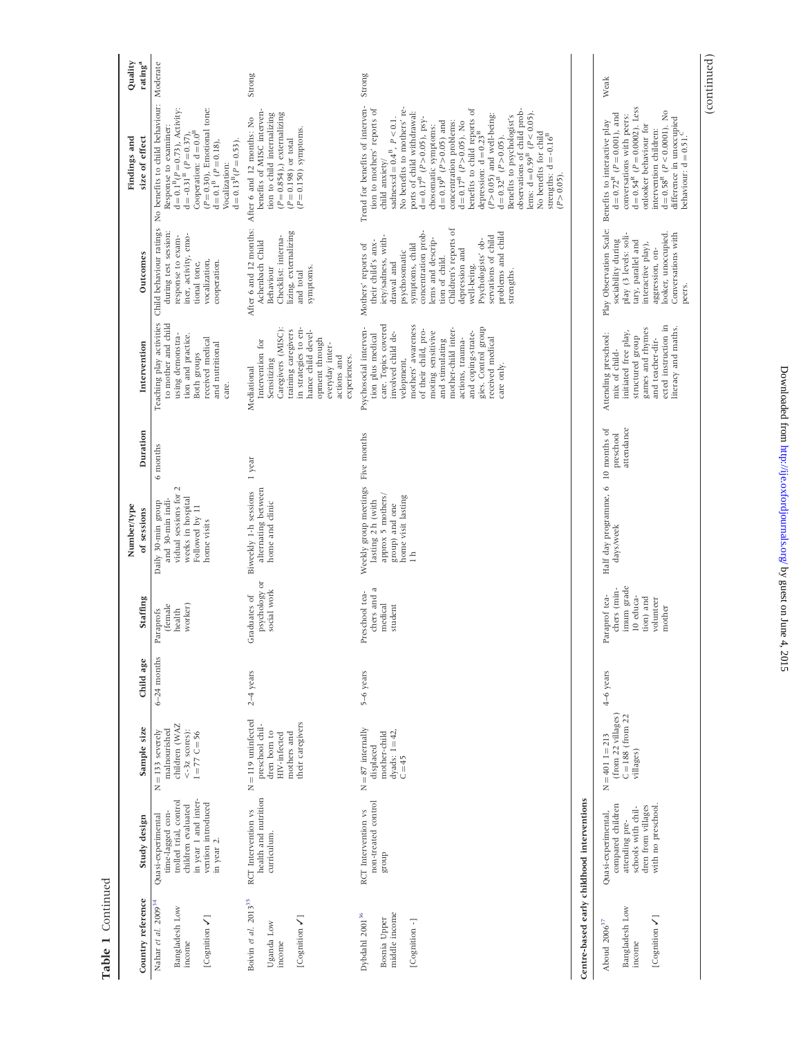Table 1 Continued Table 1 Continued

 $\overline{\phantom{a}}$ 

|                                                                              |                                                                                                                                                    |                                                                                                            |               |                                                     | Number/type                                                                                                                                   |           |                                                                                                                                                                                                                                                                                                                          |                                                                                                                                                                                                                                                                                                                             | Findings and                                                                                                                                                                                                                                                                                                                                                                                                                                                                                                                                                                                                                                                                                   | Quality                        |
|------------------------------------------------------------------------------|----------------------------------------------------------------------------------------------------------------------------------------------------|------------------------------------------------------------------------------------------------------------|---------------|-----------------------------------------------------|-----------------------------------------------------------------------------------------------------------------------------------------------|-----------|--------------------------------------------------------------------------------------------------------------------------------------------------------------------------------------------------------------------------------------------------------------------------------------------------------------------------|-----------------------------------------------------------------------------------------------------------------------------------------------------------------------------------------------------------------------------------------------------------------------------------------------------------------------------|------------------------------------------------------------------------------------------------------------------------------------------------------------------------------------------------------------------------------------------------------------------------------------------------------------------------------------------------------------------------------------------------------------------------------------------------------------------------------------------------------------------------------------------------------------------------------------------------------------------------------------------------------------------------------------------------|--------------------------------|
| Country reference                                                            | Study design                                                                                                                                       | Sample size                                                                                                | Child age     | <b>Staffing</b>                                     | of sessions                                                                                                                                   | Duration  | Intervention                                                                                                                                                                                                                                                                                                             | <b>Outcomes</b>                                                                                                                                                                                                                                                                                                             | size of effect                                                                                                                                                                                                                                                                                                                                                                                                                                                                                                                                                                                                                                                                                 | $\mathrm{rating}^{\mathrm{a}}$ |
| Nahar et al. $2009^{3k}$<br>Bangladesh Low<br>[Cognition /]<br>income        | in year 1 and inter-<br>trolled trial, control<br>vention introduced<br>children evaluated<br>time-lagged con-<br>Quasi-experimental<br>in year 2. | children (WAZ<br>$\leq$ -3z scores):<br>malnourished<br>$N = 133$ severely<br>$I = 77 \text{ C} = 56$      | $6-24$ months | (female<br>worker)<br>health<br><b>Paraprofs</b>    | vidual sessions for<br>weeks in hospital<br>and 30-min indi-<br>Daily 30-min group<br>Followed by 11<br>home visits                           | 6 months  | Teaching play activities<br>to mother and child<br>using demonstra-<br>tion and practice.<br>received medical<br>and nutritional<br>Both groups<br>care.                                                                                                                                                                 | Child behaviour ratings<br>during test session:<br>iner, activity, emo-<br>response to exam-<br>vocalization,<br>cooperation.<br>tional tone,                                                                                                                                                                               | No benefits to child behaviour: Moderate<br>$(P=0.30)$ , Emotional tone:<br>$d = 0.1^{B}(P = 0.73)$ , Activity:<br>Response to examiner:<br>d = -0.31 <sup>b</sup> ( $P = 0.37$ ),<br>Cooperation: d = 0.0 <sup>b</sup><br>$d = 0.13^{B} (P = 0.53).$<br>$d = 0.1^{B}$ $(P = 0.18)$ ,<br>Vocalization:                                                                                                                                                                                                                                                                                                                                                                                         |                                |
| Boivin et al. $2013^{35}$<br>[Cognition /]<br>Uganda Low<br>income           | health and nutrition<br>RCT Intervention vs<br>curriculum.                                                                                         | $N = 119$ uninfected<br>their caregivers<br>preschool chil-<br>dren born to<br>HIV-infected<br>mothers and | 2-4 years     | psychology or<br>social work<br>Graduates of        | alternating between<br>Biweekly 1-h sessions<br>home and clinic                                                                               | 1 year    | in strategies to en-<br>Caregivers (MISC):<br>training caregivers<br>hance child devel-<br>opment through<br>Intervention for<br>everyday inter-<br>actions and<br>experiences.<br>Sensitizing<br>Mediational                                                                                                            | After 6 and 12 months:<br>lizing, externalizing<br>Checklist: interna-<br>Achenbach Child<br>Behaviour<br>symptoms.<br>and total                                                                                                                                                                                            | benefits of MISC interven-<br>$(P = 0.854)$ , externalizing<br>tion to child internalizing<br>After 6 and 12 months: No<br>$(P=0.150)$ symptoms.<br>$(P=0.198)$ or total                                                                                                                                                                                                                                                                                                                                                                                                                                                                                                                       | Strong                         |
| middle income<br>Dybdahl 2001 <sup>36</sup><br>Bosnia Upper<br>[Cognition -] | non-treated control<br>RCT Intervention vs<br>group                                                                                                | $N = 87$ internally<br>dyads: $I = 42$ ,<br>mother-child<br>displaced<br>$C = 45$                          | 5-6 years     | chers and a<br>Preschool tea-<br>medical<br>student | Weekly group meetings Five months<br>approx 5 mothers/<br>home visit lasting<br>lasting 2h (with<br>group) and one<br>$\overline{\mathbf{r}}$ |           | care. Topics covered<br>mothers' awareness<br>gies. Control group<br>Psychosocial interven-<br>mother-child inter-<br>of their child, pro-<br>involved child de-<br>moting sensitivive<br>and coping-strate-<br>tion plus medical<br>received medical<br>actions, trauma-<br>and stimulating<br>velopment,<br>care only. | Children's reports of<br>concentration prob-<br>problems and child<br>servations of child<br>iety/sadness, with-<br>lems and descrip-<br>Psychologists' ob-<br>their child's anx-<br>Mothers' reports of<br>symptoms, child<br>depression and<br>psychosomatic<br>tion of child.<br>drawal and<br>well-being.<br>strengths. | Trend for benefits of interven-<br>No benefits to mothers' re-<br>tion to mothers' reports of<br>benefits to child reports of<br>observations of child prob-<br>ports of child withdrawal:<br>lems: $d = 0.59^{B}$ ( $P < 0.05$ ).<br>( $P > 0.05$ ) and well-being:<br>d=0.32 <sup>B</sup> ( $P > 0.05$ ).<br>Benefits to psychologist's<br>sadness: $d = 0.4^B$ , $P < 0.1$ .<br>$d = 0.17^{B}$ (P > 0.05), psy-<br>concentration problems:<br>$\rm{d}\,{=}\,0.17^B$ $\rm{(\it{P}\,{>}\,0.05)}$ . No<br>d = $0.19^{\text{B}}$ ( $P > 0.05$ ) and<br>chosomatic symptoms:<br>depression: $d = 0.23B$<br>No benefits for child<br>strengths: $d = -0.16^B$<br>child anxiety/<br>$(P > 0.05)$ . | Strong                         |
|                                                                              | Centre-based early childhood interventions                                                                                                         |                                                                                                            |               |                                                     |                                                                                                                                               |           |                                                                                                                                                                                                                                                                                                                          |                                                                                                                                                                                                                                                                                                                             |                                                                                                                                                                                                                                                                                                                                                                                                                                                                                                                                                                                                                                                                                                |                                |
| Aboud $2006^{37}$                                                            | compared children<br>Quasi-experimental,                                                                                                           | (from 22 villages)<br>$N = 401$ I=213                                                                      | 4-6 years     | chers (min-<br>Paraprof tea-                        | Half day programme, 6 10 months of<br>days/week                                                                                               | preschool | Attending preschool:<br>mix of child-                                                                                                                                                                                                                                                                                    |                                                                                                                                                                                                                                                                                                                             | Play Observation Scale: Benefits to interactive play<br>sociability during $d = 0.72^R$ ( $P = 0.001$ ), and                                                                                                                                                                                                                                                                                                                                                                                                                                                                                                                                                                                   | Weak                           |

#### $d = 0.54^{R}$  ( $P = 0.0002$ ). Less  $d = 0.58^{R}$  ( $P < 0.0001$ ). No conversations with peers: difference in unoccupied onlooker behaviour for intervention children: behaviour:  $d = 0.51$ . d o dd a t play  $\beta$  levels: soli-<br>tary, parallel and<br>tary, parallel and<br>interactive play),<br>aggression, on-<br>degression, on-<br>Conversations with<br>conversations with<br>peers. play (3 levels: solilooker, unoccupied. Conversations with tary, parallel and interactive play), aggression, oninitiated free play,<br>structured group<br>games and thymes<br>and teacher-dir-<br>ected instruction in<br>ected instruction in<br>literacy and maths. ected instruction in literacy and maths. games and rhymes initiated free play, structured group and teacher-dirattendance attendance imum grade 10 education) and mother volunteer  $C = 188$  (from 22)  $C = 188$ <br>villages) attending pre-<br>schools with chil-<br>schools with chil-<br>dren from villages<br>with no preschool. dren from villages with no preschool. schools with chilattending pre-Bangladesh Low<br>income Bangladesh Low [Cognition  $\checkmark$  ] [Cognition  $\checkmark$ ]

(continued)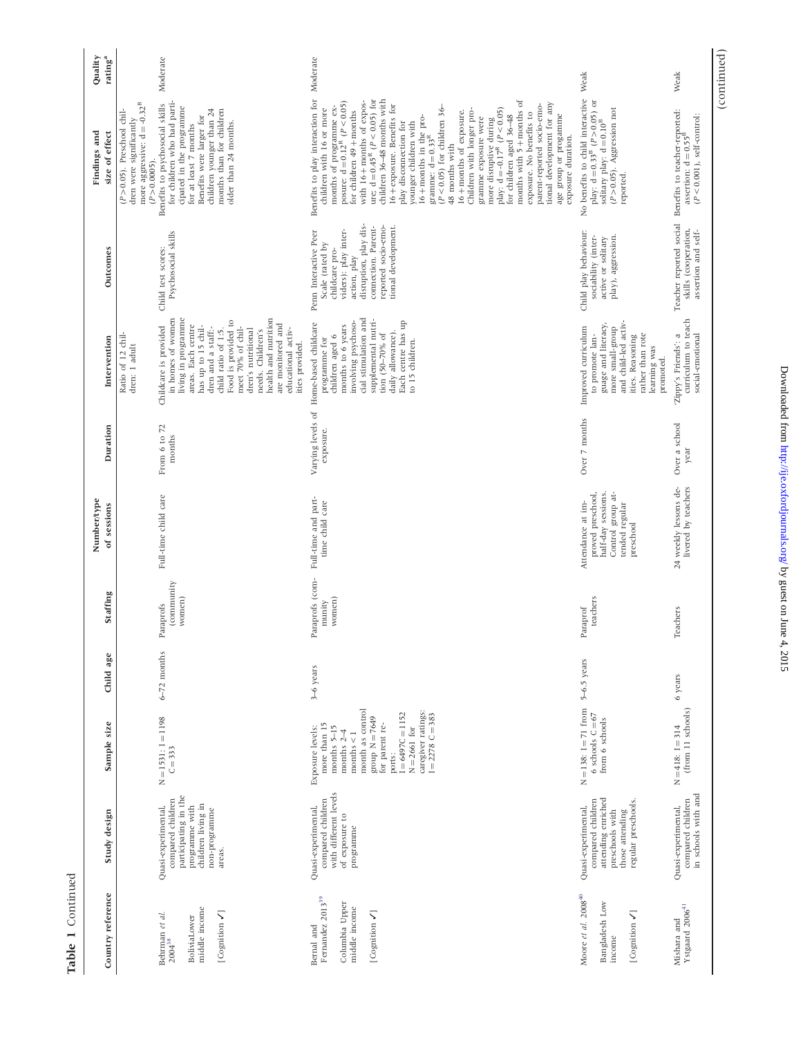| ≔<br>Ξ |  |
|--------|--|

| Quality<br>rating <sup>a</sup> | Moderate                                                                                                                                                                                                                                                                                                                                                                      |                                                                                                                                                                                                                                                                                                                                                                                                                                                                                                                                                                                                                                                                                                                                                                                                                                      |                                                                                                                                                                                | Weak                                                                                     |
|--------------------------------|-------------------------------------------------------------------------------------------------------------------------------------------------------------------------------------------------------------------------------------------------------------------------------------------------------------------------------------------------------------------------------|--------------------------------------------------------------------------------------------------------------------------------------------------------------------------------------------------------------------------------------------------------------------------------------------------------------------------------------------------------------------------------------------------------------------------------------------------------------------------------------------------------------------------------------------------------------------------------------------------------------------------------------------------------------------------------------------------------------------------------------------------------------------------------------------------------------------------------------|--------------------------------------------------------------------------------------------------------------------------------------------------------------------------------|------------------------------------------------------------------------------------------|
| size of effect<br>Findings and | for children who had parti-<br>more aggressive: $d = -0.32^R$<br>Benefits to psychosocial skills<br>cipated in the programme<br>children younger than 24<br>months than for children<br>$(P>0.05)$ . Preschool chil-<br>Benefits were larger for<br>dren were significantly<br>older than 24 months.<br>for at least 7 months<br>$(P > 0.0005)$ .                             | Benefits to play interaction for Moderate<br>with $16+\mbox{months}$ of exposure; $\mbox{d}=0.45^{\mbox{\tiny\rm R}}$<br>$(P<0.05)$ for<br>children 36-48 months with<br>months with 5 + months of<br>posure: $d = 0.12^{R}$ ( $P < 0.05$ )<br>tional development for any<br>parent-reported socio-emo-<br>16+exposure. Benefits for<br>$(P < 0.05)$ for children 36–<br>months of programme ex-<br>children with 16 or more<br>more disruptive during<br>play: $d = -0.17^R$ ( $P < 0.05$ )<br>Children with longer pro-<br>16 + months of exposure.<br>for children $49 +$ months<br>exposure. No benefits to<br>age group or progamme<br>for children aged 36-48<br>16 + months in the programme: $d = 0.33^R$<br>gramme exposure were<br>play disconnection for<br>younger children with<br>exposure duration.<br>48 months with | No benefits to child interactive Weak<br>play: $d = 0.33^{18}$ ( $P > 0.05$ ) or<br>solitary play: $d = 0.10^{18}$<br>$(P > 0.05)$ . Aggression not<br>reported.               | Benefits to teacher-reported:<br>assertion: $d = 0.55B$<br>$(P < 0.001)$ , self-control: |
| Outcomes                       | Psychosocial skills<br>Child test scores:                                                                                                                                                                                                                                                                                                                                     | disruption, play dis-<br>reported socio-emo-<br>connection. Parent-<br>tional development.<br>viders): play inter-<br>Penn Interactive Peer<br>Scale (rated by<br>childcare pro-<br>action, play                                                                                                                                                                                                                                                                                                                                                                                                                                                                                                                                                                                                                                     | Child play behaviour:<br>play), aggression.<br>sociability (inter-<br>active or solitary                                                                                       | Teacher reported social<br>skills (cooperation,<br>assertion and self-                   |
| Intervention                   | in homes of women<br>living in programme<br>health and nutrition<br>Food is provided to<br>are monitored and<br>Childcare is provided<br>areas. Each centre<br>has up to 15 chil-<br>dren and a staff:-<br>meet 70% of chil-<br>educational activ-<br>child ratio of 1:5.<br>needs. Children's<br>dren's nutritional<br>Ratio of 12 chil-<br>ities provided.<br>dren: 1 adult | cial stimulation and<br>supplemental nutri-<br>Each centre has up<br>involving psychoso-<br>Varying levels of Home-based childcare<br>months to 6 years<br>daily allowance).<br>tion (50-70% of<br>children aged 6<br>programme for<br>to 15 children.                                                                                                                                                                                                                                                                                                                                                                                                                                                                                                                                                                               | more small-group<br>and child-led activ-<br>guage and literacy,<br>Improved curriculum<br>rather than rote<br>to promote lan-<br>ities. Reasoning<br>learning was<br>promoted. | curriculum to teach<br>social-emotional<br>'Zippy's Friends': a                          |
| Duration                       | From 6 to 72<br>months                                                                                                                                                                                                                                                                                                                                                        | exposure.                                                                                                                                                                                                                                                                                                                                                                                                                                                                                                                                                                                                                                                                                                                                                                                                                            | Over 7 months                                                                                                                                                                  | Over a school<br>year                                                                    |
| Number/type<br>of sessions     | Full-time child care                                                                                                                                                                                                                                                                                                                                                          | Full-time and part-<br>time child care                                                                                                                                                                                                                                                                                                                                                                                                                                                                                                                                                                                                                                                                                                                                                                                               | half-day sessions.<br>proved preschool,<br>Control group at-<br>tended regular<br>Attendance at im-<br>preschool                                                               | livered by teachers<br>24 weekly lessons de-                                             |
| Staffing                       | (community<br>women)<br>Paraprofs                                                                                                                                                                                                                                                                                                                                             | Paraprofs (com-<br>women)<br>munity                                                                                                                                                                                                                                                                                                                                                                                                                                                                                                                                                                                                                                                                                                                                                                                                  | teachers<br>Paraprof                                                                                                                                                           | Teachers                                                                                 |
| Child age                      | $6 - 72$ months                                                                                                                                                                                                                                                                                                                                                               | 3-6 years                                                                                                                                                                                                                                                                                                                                                                                                                                                                                                                                                                                                                                                                                                                                                                                                                            | $5-6.5$ years                                                                                                                                                                  | 6 years                                                                                  |
| Sample size                    | $N = 1531: I = 1198$<br>$C = 333$                                                                                                                                                                                                                                                                                                                                             | month as control<br>caregiver ratings:<br>$I = 6497C = 1152$<br>$I = 2278$ C = 383<br>$\mathrm{group}\,N=7649$<br>more than 15<br>for parent re-<br>Exposure levels:<br>months 5-15<br>$\mathrm{N}=2661$ for<br>months 2-4<br>$\mbox{months} < 1$<br>ports:                                                                                                                                                                                                                                                                                                                                                                                                                                                                                                                                                                          | $N = 138: 1 = 71$ from<br>$6$ schools $C\!=\!67$<br>from 6 schools                                                                                                             | (from 11 schools)<br>$N = 418: I = 314$                                                  |
| Study design                   | participating in the<br>compared children<br>children living in<br>Quasi-experimental,<br>programme with<br>non-programme<br>areas.                                                                                                                                                                                                                                           | with different levels<br>compared children<br>Quasi-experimental,<br>of exposure to<br>programme                                                                                                                                                                                                                                                                                                                                                                                                                                                                                                                                                                                                                                                                                                                                     | attending enriched<br>compared children<br>regular preschools<br>Quasi-experimental,<br>preschools with<br>those attending                                                     | in schools with and<br>compared children<br>Quasi-experimental,                          |
| Country reference              | middle income<br>Behrman et al.<br>[Cognition /<br>BoliviaLower<br>$2004^{38}$                                                                                                                                                                                                                                                                                                | Fernandez $2013^{39}$<br>Columbia Upper<br>middle income<br>[Cognition /]<br>Bernal and                                                                                                                                                                                                                                                                                                                                                                                                                                                                                                                                                                                                                                                                                                                                              | Moore et al. 2008 <sup>40</sup><br>Bangladesh Low<br>Cognition /<br>income                                                                                                     | ${\tt Ystgaard}$ $\,$ $2006^{41}$<br>Mishara and                                         |

(continued)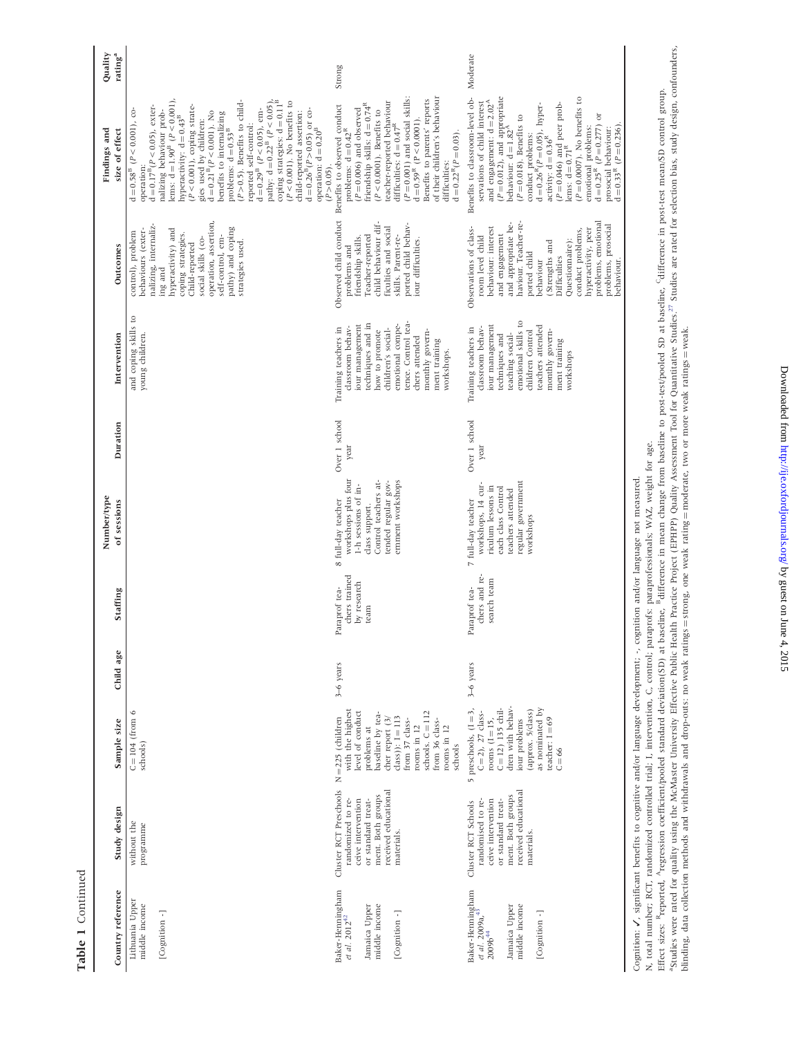Table 1 Continued Table 1 Continued

| $\mathrm{rating}^{\mathrm{a}}$<br>Quality |                                                                                                                                                                                                                                                                                                                                                                                                                                                                                                                                                                                                                                                                                                        | Strong                                                                                                                                                                                                                                                                                                                                                                                                       | Moderate                                                                                                                                                                                                                                                                                                                                                                                                                                                                                                     |
|-------------------------------------------|--------------------------------------------------------------------------------------------------------------------------------------------------------------------------------------------------------------------------------------------------------------------------------------------------------------------------------------------------------------------------------------------------------------------------------------------------------------------------------------------------------------------------------------------------------------------------------------------------------------------------------------------------------------------------------------------------------|--------------------------------------------------------------------------------------------------------------------------------------------------------------------------------------------------------------------------------------------------------------------------------------------------------------------------------------------------------------------------------------------------------------|--------------------------------------------------------------------------------------------------------------------------------------------------------------------------------------------------------------------------------------------------------------------------------------------------------------------------------------------------------------------------------------------------------------------------------------------------------------------------------------------------------------|
| Findings and<br>size of effect            | nalizing behaviour prob-<br>lems: $d = 1.90^B$ ( $P < 0.001$ ),<br>$(P>0.5)$ . Benefits to child-<br>coping strategies: $\mathbf{d}=0.11^{\mathbf{\tilde{B}}}$<br>pathy: $d = 0.22^{B}$ ( $P < 0.05$ ),<br>$(P < 0.001)$ . No benefits to<br>$(P < 0.001)$ , coping strate-<br>$d = 0.17^{B} (P < 0.05)$ , exter-<br>$d = 0.58^{B}$ ( $P < 0.001$ ), co-<br>reported self-control:<br>d = $0.29^B$ ( $P < 0.05$ ), em-<br>d = $0.26^{B} (P > 0.05)$ or co-<br>operation: d = $0.20^{B}$<br>child-reported assertion:<br>$d = 0.21^{B} (P < 0.001)$ . No<br>benefits to internalizing<br>hyperactivity: $d = 0.43^B$<br>gies used by children:<br>problems: $d = 0.53B$<br>$(P > 0.05)$ .<br>operation: | $(P = 0.001)$ and social skills:<br>of their children's behaviour<br>Benefits to parents' reports<br>teacher-reported behaviour<br>friendship skills: $d = 0.74^R$<br>Benefits to observed conduct<br>$(P=0.006)$ and observed<br>$(P < 0.0001)$ . Benefits to<br>$\dot{d} = 0.59^{R}$ (P < 0.0001).<br>difficulties: $d = 0.47^R$<br>problems: $d = 0.42^R$<br>$d = 0.22^{R} (P = 0.03)$ .<br>difficulties: | Benefits to classroom-level ob-<br>$(P=0.012)$ , and appropriate<br>$(P=0.0007)$ . No benefits to<br>and engagement: $d = 2.02^A$<br>servations of child interest<br>$(P=0.046)$ and peer prob-<br>lems: $d=0.71^R$<br>$d = 0.26^{R} (P = 0.05)$ , hyper-<br>$d = 0.25^R$ ( $\hat{P} = 0.277$ ) or<br>$(P = 0.018)$ . Benefits to<br>emotional problems:<br>$\dot{d} = 0.33^{R}$ ( $P = 0.236$ ).<br>behaviour: $d = 1.82^A$<br>prosocial behaviour:<br>conduct problems:<br>activity: $\dot{d} = 0.36^{R'}$ |
| Outcomes                                  | operation, assertion,<br>nalizing, internaliz-<br>pathy) and coping<br>behaviours (exter-<br>hyperactivity) and<br>control), problem<br>coping strategies.<br>self-control, em-<br>social skills (co-<br>strategies used.<br>Child-reported<br>ing and                                                                                                                                                                                                                                                                                                                                                                                                                                                 | Observed child conduct<br>child behaviour dif-<br>ported child behav-<br>ficulties and social<br>skills. Parent-re-<br>Teacher-reported<br>friendship skills.<br>iour difficulties.<br>problems and                                                                                                                                                                                                          | haviour. Teacher-re-<br>problems, emotional<br>and appropriate be-<br>problems, prosocial<br>behaviour: interest<br>Observations of class-<br>hyperactivity, peer<br>conduct problems,<br>and engagement<br>room level child<br>Questionnaire):<br>(Strengths and<br>ported child<br>Difficulties<br>behaviour<br>behaviour                                                                                                                                                                                  |
| Intervention                              | and coping skills to<br>young children.                                                                                                                                                                                                                                                                                                                                                                                                                                                                                                                                                                                                                                                                | tence. Control tea-<br>techniques and in<br>emotional compe-<br>iour management<br>classroom behav-<br>Training teachers in<br>children's social-<br>how to promote<br>monthly govern-<br>chers attended<br>ment training<br>workshops.                                                                                                                                                                      | emotional skills to<br>iour management<br>teachers attended<br>Training teachers in<br>classroom behav-<br>monthly govern-<br>children Control<br>teaching social-<br>techniques and<br>ment training<br>workshops                                                                                                                                                                                                                                                                                           |
| Duration                                  |                                                                                                                                                                                                                                                                                                                                                                                                                                                                                                                                                                                                                                                                                                        | Over 1 school<br>year                                                                                                                                                                                                                                                                                                                                                                                        | Over 1 school<br>year                                                                                                                                                                                                                                                                                                                                                                                                                                                                                        |
| Number/type<br>of sessions                |                                                                                                                                                                                                                                                                                                                                                                                                                                                                                                                                                                                                                                                                                                        | workshops plus four<br>Control teachers at-<br>tended regular gov-<br>ernment workshops<br>1-h sessions of in-<br>8 full-day teacher<br>class support.                                                                                                                                                                                                                                                       | regular government<br>workshops, 14 cur-<br>riculum lessons in<br>each class Control<br>teachers attended<br>7 full-day teacher<br>workshops                                                                                                                                                                                                                                                                                                                                                                 |
| Staffing                                  |                                                                                                                                                                                                                                                                                                                                                                                                                                                                                                                                                                                                                                                                                                        | chers trained<br>by research<br>Paraprof tea-<br>team                                                                                                                                                                                                                                                                                                                                                        | chers and re-<br>search team<br>Paraprof tea-                                                                                                                                                                                                                                                                                                                                                                                                                                                                |
| Child age                                 |                                                                                                                                                                                                                                                                                                                                                                                                                                                                                                                                                                                                                                                                                                        | 3-6 years                                                                                                                                                                                                                                                                                                                                                                                                    | 3-6 years                                                                                                                                                                                                                                                                                                                                                                                                                                                                                                    |
| Sample size                               | $C = 104$ (from 6<br>schools)                                                                                                                                                                                                                                                                                                                                                                                                                                                                                                                                                                                                                                                                          | with the highest<br>level of conduct<br>schools. $C = 112$<br>baseline by tea-<br>$class$ ): $I = 113$<br>$N = 225$ (children<br>cher report (3/<br>from 37 class-<br>from 36 class-<br>rooms in 12<br>rooms in 12<br>problems at<br>schools                                                                                                                                                                 | dren with behav-<br>5 preschools, $(I=3,$<br>as nominated by<br>$C = 12$ ) 135 chil-<br>(approx. 5/class)<br>$C = 2$ ), $27$ class-<br>iour problems<br>rooms $(I = 15,$<br>teacher: $I = 69$<br>$C = 66$                                                                                                                                                                                                                                                                                                    |
| Study design                              | without the<br>programme                                                                                                                                                                                                                                                                                                                                                                                                                                                                                                                                                                                                                                                                               | Cluster RCT Preschools<br>received educational<br>ment. Both groups<br>randomized to re-<br>ceive intervention<br>or standard treat-<br>materials.                                                                                                                                                                                                                                                           | Cognition: $\ell$ , significant benefits to cognitive and/or language development; -, cognition and/or language not measured<br>received educational<br>ment. Both groups<br>or standard treat-<br>ceive intervention<br>randomised to re-<br>Cluster RCT Schools<br>materials.                                                                                                                                                                                                                              |
| Country reference                         | Lithuania Upper<br>middle income<br>[Cognition -]                                                                                                                                                                                                                                                                                                                                                                                                                                                                                                                                                                                                                                                      | Baker-Henningham $_{et \ al.}$ 2012 $^{42}$<br>middle income<br>Jamaica Upper<br>[Cognition -]                                                                                                                                                                                                                                                                                                               | Baker-Henningham<br>middle income<br>Jamaica Upper<br>et al. 2009a, $^{43}$<br>2009b $^{44}$<br>[Cognition -]                                                                                                                                                                                                                                                                                                                                                                                                |

N, total number; RCT, randomized controlled trial; I, intervention, C, control; paraprofs: paraprofessionals; WAZ, weight for age.

N, total number; RCT, randomized controlled trial; 1, intervention, C, control; paraprofessionals; WAZ, weight for age.<br>Effect sizes: <sup>R</sup>eported, ^regression coefficient/pooled standard deviation(SD) at baseline, <sup>8</sup>differ "Studies were rated for quality using the McMaster University Effective Public Health Practice Project (EPHPP) Quality Assessment Tool for Quantitative Studies.<sup>[27](#page-24-0)</sup> Studies are rated for selection bias, study design, confo Effect sizes: Rreported, Aregression coefficient/pooled standard deviation(SD) at baseline, Bdifference in mean change from baseline to post-test/pooled SD at baseline, Cdifference in post-test mean/SD control group. blinding, data collection methods and withdrawals and drop-outs: no weak ratings = strong, one weak rating = moderate, two or more weak ratings = weak.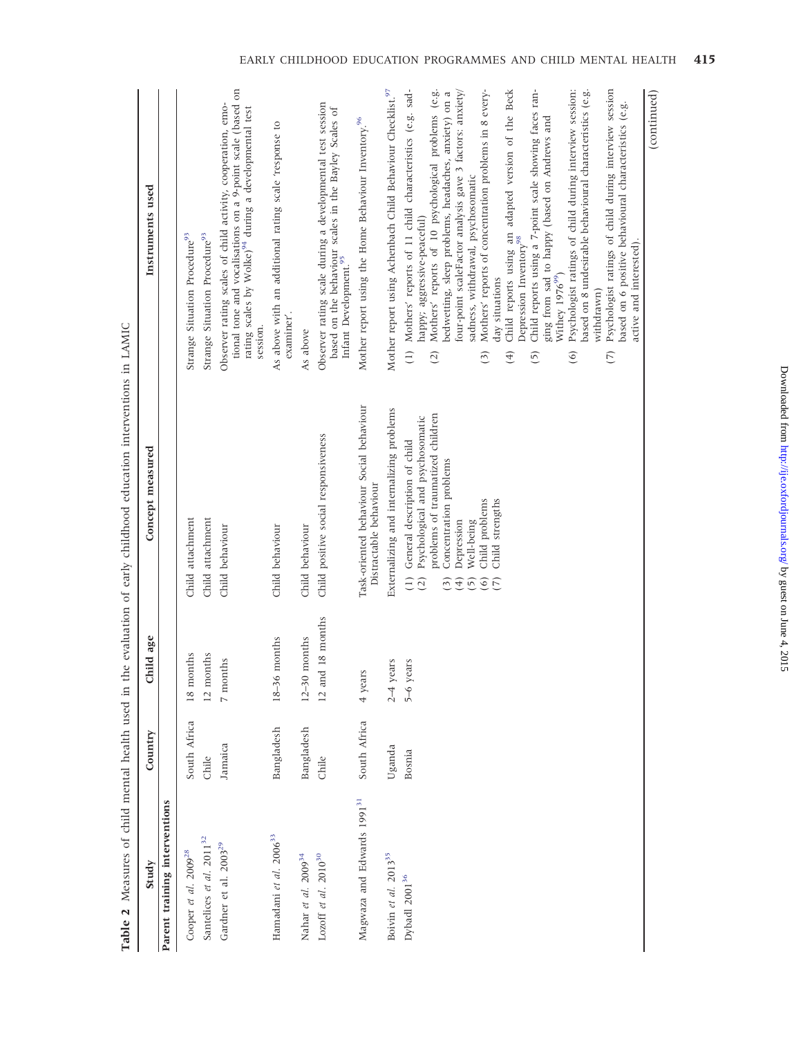<span id="page-8-0"></span>

| Study                                  | Country      | Child age             | Concept measured                                                                                                                                                                                                                                                                                          | Instruments used                                                                                                                                                                                                                                                                                                                                                                                                                                                                                                                                                                                                                                                                                                                                                                                                                                                                                                                                                                                |
|----------------------------------------|--------------|-----------------------|-----------------------------------------------------------------------------------------------------------------------------------------------------------------------------------------------------------------------------------------------------------------------------------------------------------|-------------------------------------------------------------------------------------------------------------------------------------------------------------------------------------------------------------------------------------------------------------------------------------------------------------------------------------------------------------------------------------------------------------------------------------------------------------------------------------------------------------------------------------------------------------------------------------------------------------------------------------------------------------------------------------------------------------------------------------------------------------------------------------------------------------------------------------------------------------------------------------------------------------------------------------------------------------------------------------------------|
| Parent training interventions          |              |                       |                                                                                                                                                                                                                                                                                                           |                                                                                                                                                                                                                                                                                                                                                                                                                                                                                                                                                                                                                                                                                                                                                                                                                                                                                                                                                                                                 |
| Cooper et al. $2009^{28}$              | South Africa | 18 months             | Child attachment                                                                                                                                                                                                                                                                                          | Strange Situation Procedure <sup>93</sup>                                                                                                                                                                                                                                                                                                                                                                                                                                                                                                                                                                                                                                                                                                                                                                                                                                                                                                                                                       |
| Santelices et al. 2011 <sup>32</sup>   | Chile        | 12 months             | Child attachment                                                                                                                                                                                                                                                                                          | Strange Situation Procedure <sup>93</sup>                                                                                                                                                                                                                                                                                                                                                                                                                                                                                                                                                                                                                                                                                                                                                                                                                                                                                                                                                       |
| Gardner et al. 2003 <sup>29</sup>      | Jamaica      | $7$ months            | Child behaviour                                                                                                                                                                                                                                                                                           | tional tone and vocalisations on a 9-point scale (based on<br>Observer rating scales of child activity, cooperation, emo-<br>rating scales by Wolke) <sup>94</sup> during a developmental test<br>session.                                                                                                                                                                                                                                                                                                                                                                                                                                                                                                                                                                                                                                                                                                                                                                                      |
| Hamadani et al. $2006^{33}$            | Bangladesh   | 18-36 months          | Child behaviour                                                                                                                                                                                                                                                                                           | As above with an additional rating scale 'response to<br>examiner'.                                                                                                                                                                                                                                                                                                                                                                                                                                                                                                                                                                                                                                                                                                                                                                                                                                                                                                                             |
| Nahar et al. 2009 <sup>34</sup>        | Bangladesh   | $12-30$ months        | Child behaviour                                                                                                                                                                                                                                                                                           | As above                                                                                                                                                                                                                                                                                                                                                                                                                                                                                                                                                                                                                                                                                                                                                                                                                                                                                                                                                                                        |
| Lozoff et al. $2010^{30}$              | Chile        | 18 months<br>$12$ and | Child positive social responsiveness                                                                                                                                                                                                                                                                      | Observer rating scale during a developmental test session<br>based on the behaviour scales in the Bayley Scales of<br>Infant Development. <sup>95</sup>                                                                                                                                                                                                                                                                                                                                                                                                                                                                                                                                                                                                                                                                                                                                                                                                                                         |
| Magwaza and Edwards 1991 <sup>31</sup> | South Africa | 4 years               | Task-oriented behaviour Social behaviour<br>Distractable behaviour                                                                                                                                                                                                                                        | Mother report using the Home Behaviour Inventory. <sup>96</sup>                                                                                                                                                                                                                                                                                                                                                                                                                                                                                                                                                                                                                                                                                                                                                                                                                                                                                                                                 |
| Boivin et al. 2013 <sup>35</sup>       | Uganda       | 2-4 years             | Externalizing and internalizing problems                                                                                                                                                                                                                                                                  | Mother report using Achenbach Child Behaviour Checklist. <sup>97</sup>                                                                                                                                                                                                                                                                                                                                                                                                                                                                                                                                                                                                                                                                                                                                                                                                                                                                                                                          |
| Dybadl $2001^{36}$                     | Bosnia       | 5-6 years             | problems of traumatized children<br>Psychological and psychosomatic<br>General description of child<br>Concentration problems<br>Child strengths<br>Child problems<br>Depression<br>Well-being<br>$\hat{c}$<br>(2)<br>(4)<br>$\widehat{6}$<br>$\widehat{S}$<br>$\overline{5}$<br>$\widehat{(\mathsf{Z})}$ | Psychologist ratings of child during interview session:<br>Mothers' reports of 11 child characteristics (e.g. sad-<br>four-point scaleFactor analysis gave 3 factors: anxiety/<br>Child reports using a 7-point scale showing faces ran-<br>Psychologist ratings of child during interview session<br>Mothers' reports of concentration problems in 8 every-<br>adapted version of the Beck<br>Mothers' reports of 10 psychological problems (e.g.<br>bedwetting, sleep problems, headaches, anxiety) on a<br>based on 8 undesirable behavioural characteristics (e.g.<br>based on 6 positive behavioural characteristics (e.g.<br>ging from sad to happy (based on Andrews and<br>sadness, withdrawal, psychosomatic<br>happy; aggressive-peaceful)<br>Child reports using an Depression Inventory <sup>98</sup><br>active and interested).<br>Withey 1976 <sup>99</sup> )<br>day situations<br>withdrawn)<br>$\begin{pmatrix} 1 \\ 1 \end{pmatrix}$<br>(2)<br>(6)<br>(7)<br>(3)<br>(4)<br>(5) |

Downloaded from <http://ije.oxfordjournals.org/> by guest on June 4, 2015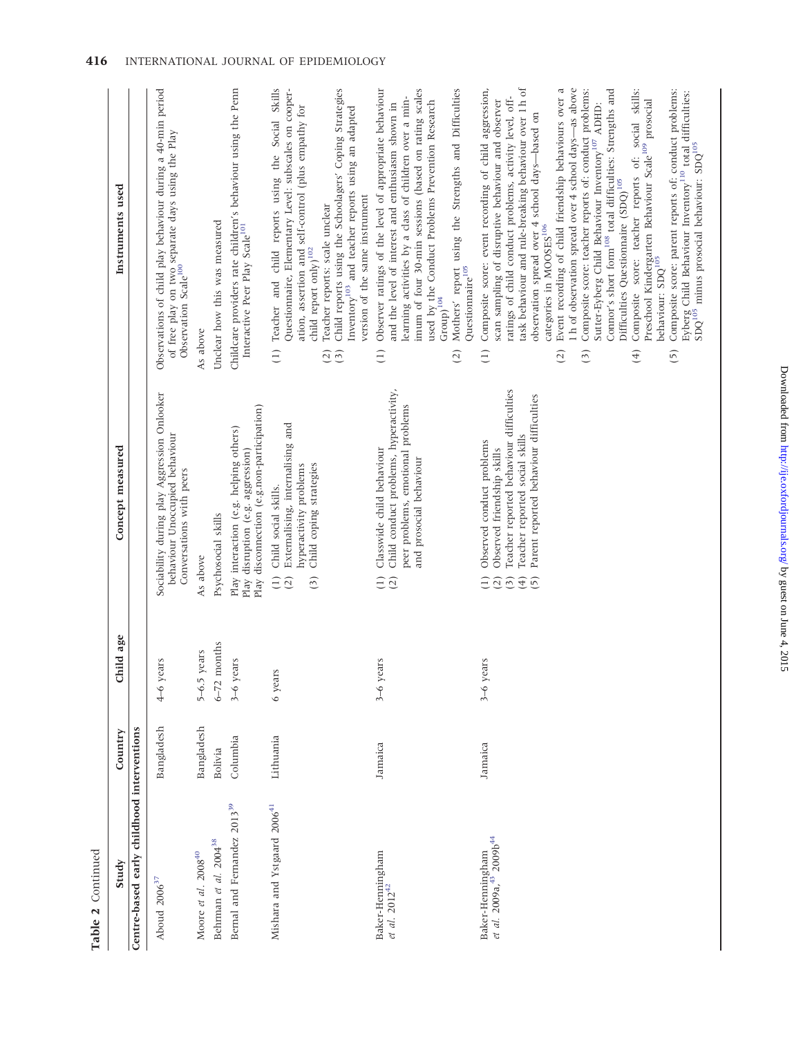| Command<br>J<br>Tannic                                         |            |                 |                                                                                                                                                                                                                                                     |                                                                                                                                                                                                                                                                                                                                                                                                                                                                                                                                                                                                                                                                                                                                                                                                                                                                                                                                                                                                                                                                                                       |
|----------------------------------------------------------------|------------|-----------------|-----------------------------------------------------------------------------------------------------------------------------------------------------------------------------------------------------------------------------------------------------|-------------------------------------------------------------------------------------------------------------------------------------------------------------------------------------------------------------------------------------------------------------------------------------------------------------------------------------------------------------------------------------------------------------------------------------------------------------------------------------------------------------------------------------------------------------------------------------------------------------------------------------------------------------------------------------------------------------------------------------------------------------------------------------------------------------------------------------------------------------------------------------------------------------------------------------------------------------------------------------------------------------------------------------------------------------------------------------------------------|
| Study                                                          | Country    | Child age       | Concept measured                                                                                                                                                                                                                                    | Instruments used                                                                                                                                                                                                                                                                                                                                                                                                                                                                                                                                                                                                                                                                                                                                                                                                                                                                                                                                                                                                                                                                                      |
| Centre-based early childhood interventions                     |            |                 |                                                                                                                                                                                                                                                     |                                                                                                                                                                                                                                                                                                                                                                                                                                                                                                                                                                                                                                                                                                                                                                                                                                                                                                                                                                                                                                                                                                       |
| Aboud $2006^{37}$                                              | Bangladesh | 4-6 years       | Sociability during play Aggression Onlooker<br>behaviour Unoccupied behaviour<br>Conversations with peers                                                                                                                                           | Observations of child play behaviour during a 40-min period<br>of free play on two separate days using the Play<br>Observation Scale <sup>100</sup>                                                                                                                                                                                                                                                                                                                                                                                                                                                                                                                                                                                                                                                                                                                                                                                                                                                                                                                                                   |
| Moore et al. 2008 <sup>40</sup>                                | Bangladesh | 5-6.5 years     | As above                                                                                                                                                                                                                                            | As above                                                                                                                                                                                                                                                                                                                                                                                                                                                                                                                                                                                                                                                                                                                                                                                                                                                                                                                                                                                                                                                                                              |
| Behrman et al. 2004 <sup>38</sup>                              | Bolivia    | $6 - 72$ months | Psychosocial skills                                                                                                                                                                                                                                 | Unclear how this was measured                                                                                                                                                                                                                                                                                                                                                                                                                                                                                                                                                                                                                                                                                                                                                                                                                                                                                                                                                                                                                                                                         |
| Bernal and Fernandez 2013 <sup>39</sup>                        | Columbia   | 3-6 years       | Play disconnection (e.g.non-participation)<br>Play interaction (e.g. helping others)<br>Play disruption (e.g. aggression)                                                                                                                           | Childcare providers rate children's behaviour using the Penn<br>Interactive Peer Play Scale <sup>101</sup>                                                                                                                                                                                                                                                                                                                                                                                                                                                                                                                                                                                                                                                                                                                                                                                                                                                                                                                                                                                            |
| Mishara and Ystgaard 2006 <sup>41</sup>                        | Lithuania  | 6 years         | Externalising, internalising and<br>Child coping strategies<br>hyperactivity problems<br>Child social skills.<br>$\left(1\right)$<br>(3)<br>(2)                                                                                                     | Child reports using the Schoolagers' Coping Strategies<br>Teacher and child reports using the Social Skills<br>Questionnaire, Elementary Level: subscales on cooper-<br>ation, assertion and self-control (plus empathy for<br>Inventory <sup>103</sup> and teacher reports using an adapted<br>version of the same instrument<br>Teacher reports: scale unclear<br>child report only) <sup>102</sup><br>$\left(1\right)$<br>(3)<br>(2)                                                                                                                                                                                                                                                                                                                                                                                                                                                                                                                                                                                                                                                               |
| Baker-Henningham<br>et al. $2012^{42}$                         | Jamaica    | 3-6 years       | Child conduct problems, hyperactivity,<br>peer problems, emotional problems<br>Classwide child behaviour<br>and prosocial behaviour<br>$\left(1\right)$<br>(2)                                                                                      | imum of four 30-min sessions (based on rating scales<br>Observer ratings of the level of appropriate behaviour<br>learning activities by a class of children over a min-<br>used by the Conduct Problems Prevention Research<br>and the level of interest and enthusiasm shown in<br>$Group)^{104}$<br>$\left(1\right)$                                                                                                                                                                                                                                                                                                                                                                                                                                                                                                                                                                                                                                                                                                                                                                               |
|                                                                |            |                 |                                                                                                                                                                                                                                                     | Mothers' report using the Strengths and Difficulties Question<br>naire ${}^{105}\!$<br>(2)                                                                                                                                                                                                                                                                                                                                                                                                                                                                                                                                                                                                                                                                                                                                                                                                                                                                                                                                                                                                            |
| Baker-Henningham<br><i>et al.</i> 2009a, $^{43}$ 2009b $^{44}$ | Jamaica    | $3-6$ years     | Teacher reported behaviour difficulties<br>Parent reported behaviour difficulties<br>Teacher reported social skills<br>Observed conduct problems<br>Observed friendship skills<br>$\widehat{\Xi}$<br>$\overline{2}$<br>(3)<br>(4)<br>$\overline{5}$ | task behaviour and rule-breaking behaviour over 1h of<br>Event recording of child friendship behaviours over a<br>Composite score: teacher reports of: conduct problems:<br>Composite score: event recording of child aggression,<br>1 h of observation spread over 4 school days-as above<br>Connor's short form <sup>108</sup> total difficulties: Strengths and<br>skills:<br>Composite score: parent reports of: conduct problems:<br>Eyberg Child Behaviour Inventory <sup>110</sup> total difficulties:<br>SDQ $^{105}$ minus prosocial behaviour: SDQ $^{105}$<br>ratings of child conduct problems, activity level, off-<br>Preschool Kindergarten Behaviour Scale <sup>109</sup> prosocial<br>behaviour: SDQ <sup>105</sup><br>scan sampling of disruptive behaviour and observer<br>Sutter-Eyberg Child Behaviour Inventory $^{107}$ ADHD:<br>observation spread over 4 school days-based on<br>social<br>score: teacher reports of:<br>Difficulties Questionnaire (SDQ) <sup>105</sup><br>categories in MOOSES <sup>106</sup><br>Composite<br>(5)<br>$\left(1\right)$<br>(2)<br>(3)<br>(4) |
|                                                                |            |                 |                                                                                                                                                                                                                                                     |                                                                                                                                                                                                                                                                                                                                                                                                                                                                                                                                                                                                                                                                                                                                                                                                                                                                                                                                                                                                                                                                                                       |

Table 2. Continued Table 2 Continued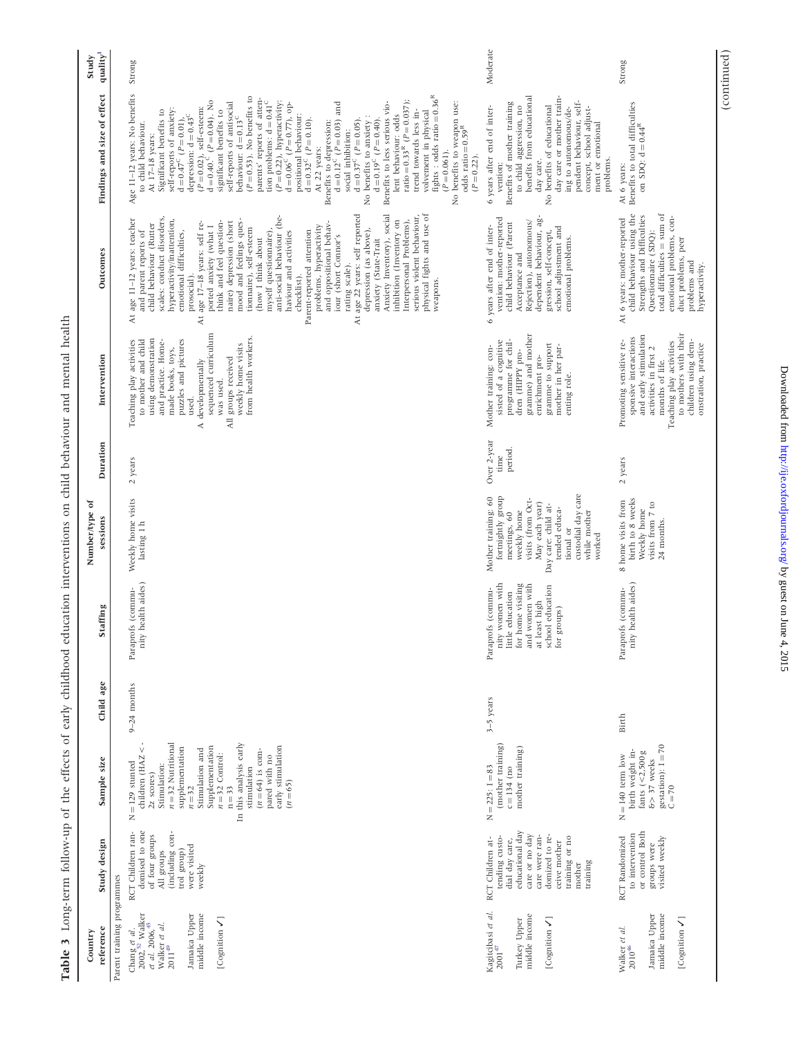Table 3 Long-term follow-up of the effects of early childhood education interventions on child behaviour and mental health Table 3 Long-term follow-up of the effects of early childhood education interventions on child behaviour and mental health

<span id="page-10-0"></span>

| $\text{quality}^1$<br>Study | Strong                                                             |                                                                                                                                                                                                                                                                                                                                                                                                                                                                                                                                                                                                                                                                                                                                                                                                                                                                                                                                                                                                                                                            | Moderate                                                                                                                                                                                                                                                                                                                 | Strong                                                                                                                                                                                                                                             |
|-----------------------------|--------------------------------------------------------------------|------------------------------------------------------------------------------------------------------------------------------------------------------------------------------------------------------------------------------------------------------------------------------------------------------------------------------------------------------------------------------------------------------------------------------------------------------------------------------------------------------------------------------------------------------------------------------------------------------------------------------------------------------------------------------------------------------------------------------------------------------------------------------------------------------------------------------------------------------------------------------------------------------------------------------------------------------------------------------------------------------------------------------------------------------------|--------------------------------------------------------------------------------------------------------------------------------------------------------------------------------------------------------------------------------------------------------------------------------------------------------------------------|----------------------------------------------------------------------------------------------------------------------------------------------------------------------------------------------------------------------------------------------------|
| Findings and size of effect | Age 11-12 years: No benefits<br>to child behaviour.                | fights : odds ratio = $0.36^R$<br>$(P=0.53)$ . No benefits to<br>parents' reports of atten-<br>$(P=0.02)$ , self-esteem:<br>d = 0.40. <sup><math>\zeta</math></sup> ( $P=0.04$ ). No<br>tion problems: $\rm{d=0.41^C}$<br>$(P = 0.22)$ , hyperactivity:<br>ratio = $0.33^R$ ( $P = 0.037$ );<br>self-reports of antisocial<br>$d = 0.06^{\circ}$ (P = 0.77), op-<br>No benefits to weapon use:<br>$d = 0.12^C$ ( $\dot{P} = 0.03$ ) and<br>Benefits to less serious vio-<br>self-reports of anxiety:<br>trend towards less in-<br>Significant benefits to<br>volvement in physical<br>significant benefits to<br>d = $0.47^{\circ}$ (P = 0.01),<br>depression: d = 0.43 <sup>°</sup><br>positional behaviour:<br>lent behaviour: odds<br>No benefits to anxiety:<br>behaviour: $d=0.13^C$<br>$d = 0.37^{\circ}$ (P = 0.05).<br>$\dot{d} = 0.32^{\circ}$ (P = 0.10).<br>$d = 0.19^{\circ}$ (P = 0.40).<br>Benefits to depression:<br>odds ratio = $0.59^{\rm R}$<br>social inhibition:<br>At 17-18 years:<br>At 22 years:<br>$(P=0.061).$<br>$(P = 0.22)$ . | benefits from educational<br>day care or mother train-<br>pendent behaviour, self-<br>Benefits of mother training<br>No benefits of educational<br>ing to autonomous/de-<br>6 years after end of inter-<br>to child aggression, no<br>concept, school adjust-<br>ment or emotional<br>problems.<br>day care.<br>vention: | Benefits to total difficulties<br>on SDQ: $\rm d\!=\!0.44^R$<br>At 6 years:                                                                                                                                                                        |
| Outcomes                    | At age 11-12 years: teacher<br>and parent reports of               | At age 22 years: self reported<br>physical fights and use of<br>anti-social behaviour (be-<br>Anxiety Inventory), social<br>serious violent behaviour,<br>scales: conduct disorders,<br>hyperactivity/inattention,<br>mood and feelings ques-<br>inhibition (Inventory on<br>Interpersonal Problems),<br>think and feel question-<br>naire) depression (short<br>At age 17-18 years: self re-<br>child behaviour (Rutter<br>and oppositional behav-<br>ported anxiety (what I<br>problems, hyperactivity<br>tionnaire), self-esteem<br>depression (as above),<br>myself questionnaire),<br>emotional difficulties,<br>haviour and activities<br>Parent-reported attention<br>iour (short Connor's<br>(how I think about<br>anxiety (State-Trait<br>rating scale).<br>prosocial).<br>checklist).<br>weapons.                                                                                                                                                                                                                                                | dependent behaviour, ag-<br>vention: mother-reported<br>Rejection), autonomous/<br>child behaviour (Parent<br>6 years after end of inter-<br>school adjustment and<br>gression, self-concept,<br>enotional problems.<br>Acceptance and                                                                                   | total difficulties $=\operatorname{sum}$ of<br>child behaviour using the<br>Strengths and Difficulties<br>emotional problems, con-<br>At 6 years: mother-reported<br>Questionnaire (SDQ):<br>duct problems, peer<br>problems and<br>hyperactivity. |
| Intervention                | Teaching play activities<br>to mother and child                    | sequenced curriculum<br>from health workers.<br>using demonstration<br>puzzles and pictures<br>and practice. Home-<br>weekly home visits<br>made books, toys,<br>All groups received<br>A developmentally<br>was used.<br>used.                                                                                                                                                                                                                                                                                                                                                                                                                                                                                                                                                                                                                                                                                                                                                                                                                            | gramme) and mother<br>sisted of a cognitive<br>programme for chil-<br>gramme to support<br>mother in her par-<br>Mother training: con-<br>dren (HIPPY pro-<br>enrichment pro-<br>enting role.                                                                                                                            | to mothers with their<br>and early stimulation<br>sponsive interactions<br>children using dem-<br>Promoting sensitive re-<br>Teaching play activities<br>onstration, practice<br>activities in first 2<br>months of life.                          |
| Duration                    | 2 years                                                            |                                                                                                                                                                                                                                                                                                                                                                                                                                                                                                                                                                                                                                                                                                                                                                                                                                                                                                                                                                                                                                                            | Over 2-year<br>period.<br>time                                                                                                                                                                                                                                                                                           | 2 years                                                                                                                                                                                                                                            |
| Number/type of<br>sessions  | Weekly home visits<br>lasting 1 h                                  |                                                                                                                                                                                                                                                                                                                                                                                                                                                                                                                                                                                                                                                                                                                                                                                                                                                                                                                                                                                                                                                            | custodial day care<br>fortnightly group<br>Mother training: 60<br>visits (from Oct-<br>May each year)<br>Day care: child at-<br>tended educa-<br>weekly home<br>while mother<br>meetings, 60<br>tional or<br>worked                                                                                                      | birth to 8 weeks<br>8 home visits from<br>visits from 7 to<br>Weekly home<br>24 months.                                                                                                                                                            |
| Staffing                    | Paraprofs (commu-<br>nity health aides)                            |                                                                                                                                                                                                                                                                                                                                                                                                                                                                                                                                                                                                                                                                                                                                                                                                                                                                                                                                                                                                                                                            | women with<br>for home visiting<br>women with<br>school education<br>Paraprofs (commu-<br>little education<br>at least high<br>for groups)<br>nity<br>and                                                                                                                                                                | health aides)<br>Paraprofs (commu-<br>nity                                                                                                                                                                                                         |
| Child age                   | $9-24$ months                                                      |                                                                                                                                                                                                                                                                                                                                                                                                                                                                                                                                                                                                                                                                                                                                                                                                                                                                                                                                                                                                                                                            | 3-5 years                                                                                                                                                                                                                                                                                                                | Birth                                                                                                                                                                                                                                              |
| Sample size                 | children ( $HAZ <$<br>$N = 129$ stunted                            | $n = 32$ Nutritional<br>In this analysis early<br>Supplementation<br>early stimulation<br>supplementation<br>Stimulation and<br>$(n=64)$ is com-<br>$n = 32$ Control:<br>pared with no<br>Stimulation:<br>stimulation<br>2z scores)<br>$(n = 65)$<br>$n = 33$<br>$n=32$                                                                                                                                                                                                                                                                                                                                                                                                                                                                                                                                                                                                                                                                                                                                                                                    | (mother training)<br>mother training)<br>$N = 225: I = 83$<br>$c = 134$ (no                                                                                                                                                                                                                                              | gestation): $I = 70$<br>fants $(<\frac{2}{500}$ g<br>birth weight in-<br>$\mathrm{N}=140$ term low<br>$65 > 37$ weeks<br>$C = 70$                                                                                                                  |
| Study design                | domised to one<br>RCT Children ran-                                | (including con-<br>of four groups<br>were visited<br>trol group)<br>All groups<br>weekly                                                                                                                                                                                                                                                                                                                                                                                                                                                                                                                                                                                                                                                                                                                                                                                                                                                                                                                                                                   | educational day<br>care or no day<br>domized to re-<br>care were ran-<br>training or no<br>tending custo-<br>RCT Children at-<br>dial day care,<br>ceive mother<br>training<br>mother                                                                                                                                    | or control Both<br>to intervention<br>RCT Randomized<br>groups were<br>visited weekly                                                                                                                                                              |
| reference<br>Country        | Parent training programmes<br>Chang et al.<br>$2002$ , $52$ Walker | middle income<br>Jamaica Upper<br>[Cognition /]<br>et al. 2006, <sup>45</sup><br>Walker et al.<br>$2011^{49}$                                                                                                                                                                                                                                                                                                                                                                                                                                                                                                                                                                                                                                                                                                                                                                                                                                                                                                                                              | Kagitcibasi et al.<br>middle income<br>Turkey Upper<br>[Cognition $\checkmark$ ]<br>$2001^{47}$                                                                                                                                                                                                                          | middle income<br>Jamaica Upper<br>[Cognition $\checkmark$ ]<br>Walker et al.<br>$2010^{46}$                                                                                                                                                        |

Downloaded from http://ije.oxfordjournals.org/ by guest on June 4, 2015 Downloaded from <http://ije.oxfordjournals.org/> by guest on June 4, 2015

(continued)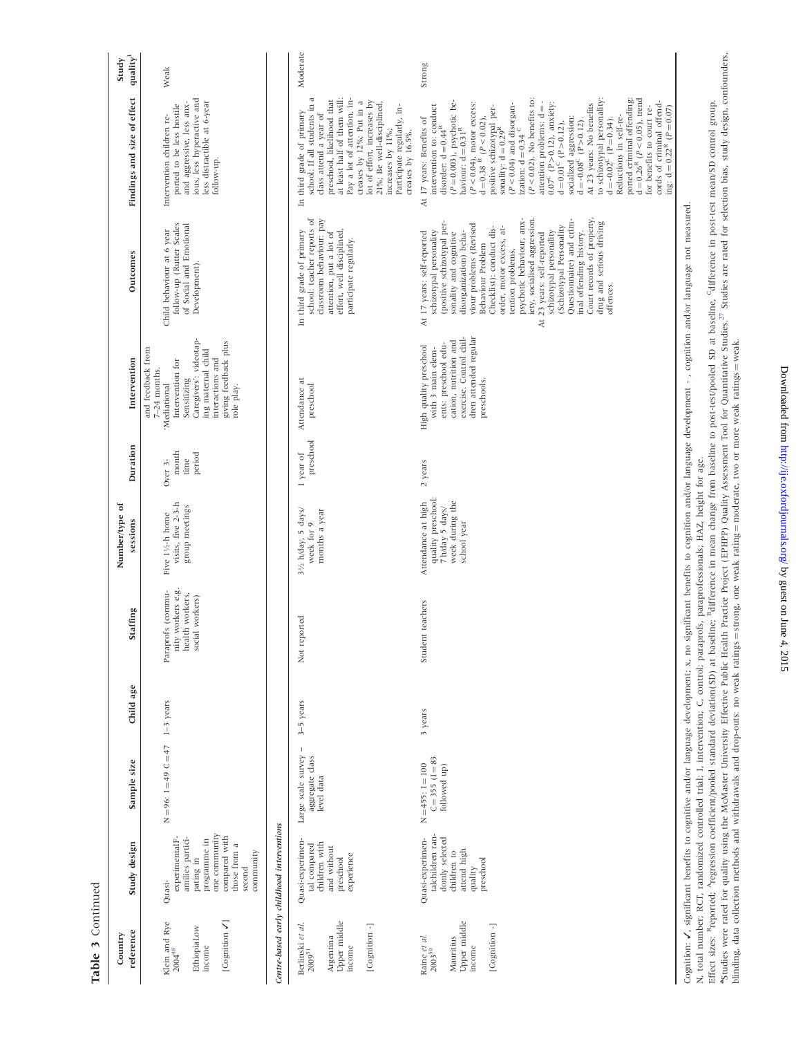Table 3 Continued Table 3 Continued

# Downloaded from http://ije.oxfordjournals.org/ by guest on June 4, 2015 Downloaded from <http://ije.oxfordjournals.org/> by guest on June 4, 2015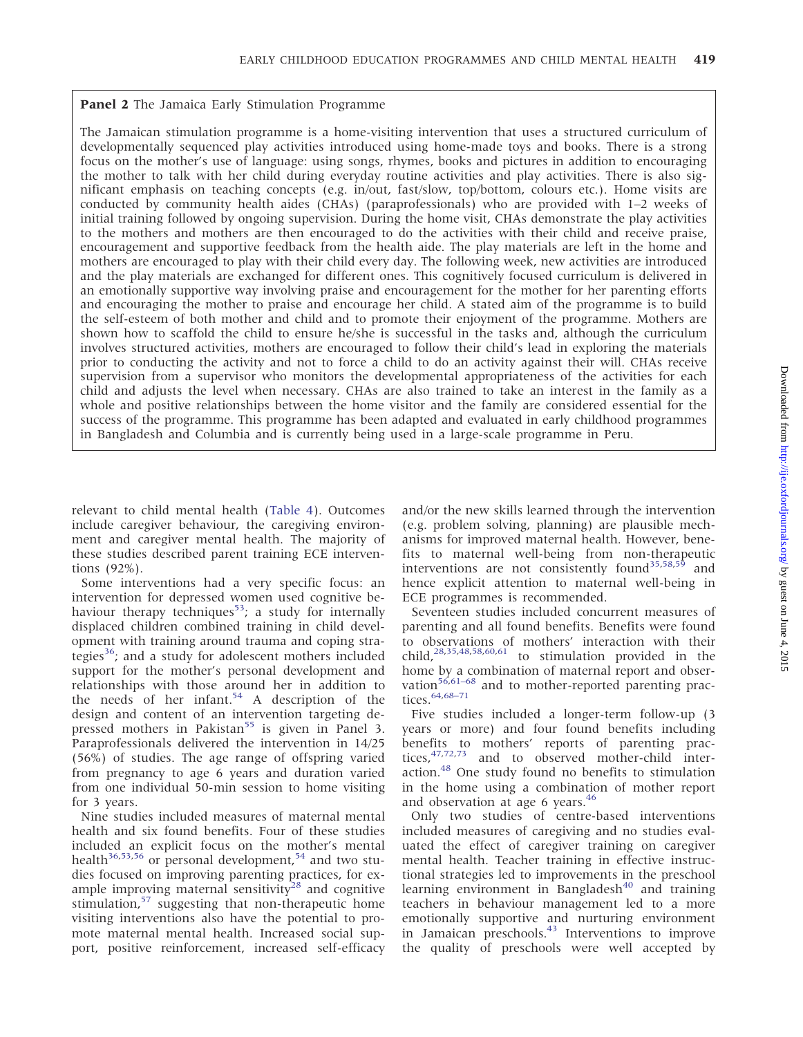#### Panel 2 The Jamaica Early Stimulation Programme

The Jamaican stimulation programme is a home-visiting intervention that uses a structured curriculum of developmentally sequenced play activities introduced using home-made toys and books. There is a strong focus on the mother's use of language: using songs, rhymes, books and pictures in addition to encouraging the mother to talk with her child during everyday routine activities and play activities. There is also significant emphasis on teaching concepts (e.g. in/out, fast/slow, top/bottom, colours etc.). Home visits are conducted by community health aides (CHAs) (paraprofessionals) who are provided with 1–2 weeks of initial training followed by ongoing supervision. During the home visit, CHAs demonstrate the play activities to the mothers and mothers are then encouraged to do the activities with their child and receive praise, encouragement and supportive feedback from the health aide. The play materials are left in the home and mothers are encouraged to play with their child every day. The following week, new activities are introduced and the play materials are exchanged for different ones. This cognitively focused curriculum is delivered in an emotionally supportive way involving praise and encouragement for the mother for her parenting efforts and encouraging the mother to praise and encourage her child. A stated aim of the programme is to build the self-esteem of both mother and child and to promote their enjoyment of the programme. Mothers are shown how to scaffold the child to ensure he/she is successful in the tasks and, although the curriculum involves structured activities, mothers are encouraged to follow their child's lead in exploring the materials prior to conducting the activity and not to force a child to do an activity against their will. CHAs receive supervision from a supervisor who monitors the developmental appropriateness of the activities for each child and adjusts the level when necessary. CHAs are also trained to take an interest in the family as a whole and positive relationships between the home visitor and the family are considered essential for the success of the programme. This programme has been adapted and evaluated in early childhood programmes in Bangladesh and Columbia and is currently being used in a large-scale programme in Peru.

relevant to child mental health ([Table 4](#page-14-0)). Outcomes include caregiver behaviour, the caregiving environment and caregiver mental health. The majority of these studies described parent training ECE interventions (92%).

Some interventions had a very specific focus: an intervention for depressed women used cognitive behaviour therapy techniques<sup>53</sup>; a study for internally displaced children combined training in child development with training around trauma and coping stra-tegies<sup>[36](#page-24-0)</sup>; and a study for adolescent mothers included support for the mother's personal development and relationships with those around her in addition to the needs of her infant. $54$  A description of the design and content of an intervention targeting de-pressed mothers in Pakistan<sup>[55](#page-25-0)</sup> is given in Panel 3. Paraprofessionals delivered the intervention in 14/25 (56%) of studies. The age range of offspring varied from pregnancy to age 6 years and duration varied from one individual 50-min session to home visiting for 3 years.

Nine studies included measures of maternal mental health and six found benefits. Four of these studies included an explicit focus on the mother's mental health $36,53,56$  $36,53,56$  or personal development,  $54$  and two studies focused on improving parenting practices, for ex-ample improving maternal sensitivity<sup>[28](#page-24-0)</sup> and cognitive stimulation,<sup>[57](#page-25-0)</sup> suggesting that non-therapeutic home visiting interventions also have the potential to promote maternal mental health. Increased social support, positive reinforcement, increased self-efficacy and/or the new skills learned through the intervention (e.g. problem solving, planning) are plausible mechanisms for improved maternal health. However, benefits to maternal well-being from non-therapeutic interventions are not consistently found<sup>[35](#page-24-0)[,58,59](#page-25-0)</sup> and hence explicit attention to maternal well-being in ECE programmes is recommended.

Seventeen studies included concurrent measures of parenting and all found benefits. Benefits were found to observations of mothers' interaction with their child,[28,35](#page-24-0)[,48,58,60,61](#page-25-0) to stimulation provided in the home by a combination of maternal report and observation $56,61-68$  and to mother-reported parenting practices.<sup>64,68-71</sup>

Five studies included a longer-term follow-up (3 years or more) and four found benefits including benefits to mothers' reports of parenting practices,[47,72,73](#page-25-0) and to observed mother-child interaction.[48](#page-25-0) One study found no benefits to stimulation in the home using a combination of mother report and observation at age 6 years.<sup>[46](#page-25-0)</sup>

Only two studies of centre-based interventions included measures of caregiving and no studies evaluated the effect of caregiver training on caregiver mental health. Teacher training in effective instructional strategies led to improvements in the preschool learning environment in Bangladesh<sup>[40](#page-24-0)</sup> and training teachers in behaviour management led to a more emotionally supportive and nurturing environment in Jamaican preschools.[43](#page-24-0) Interventions to improve the quality of preschools were well accepted by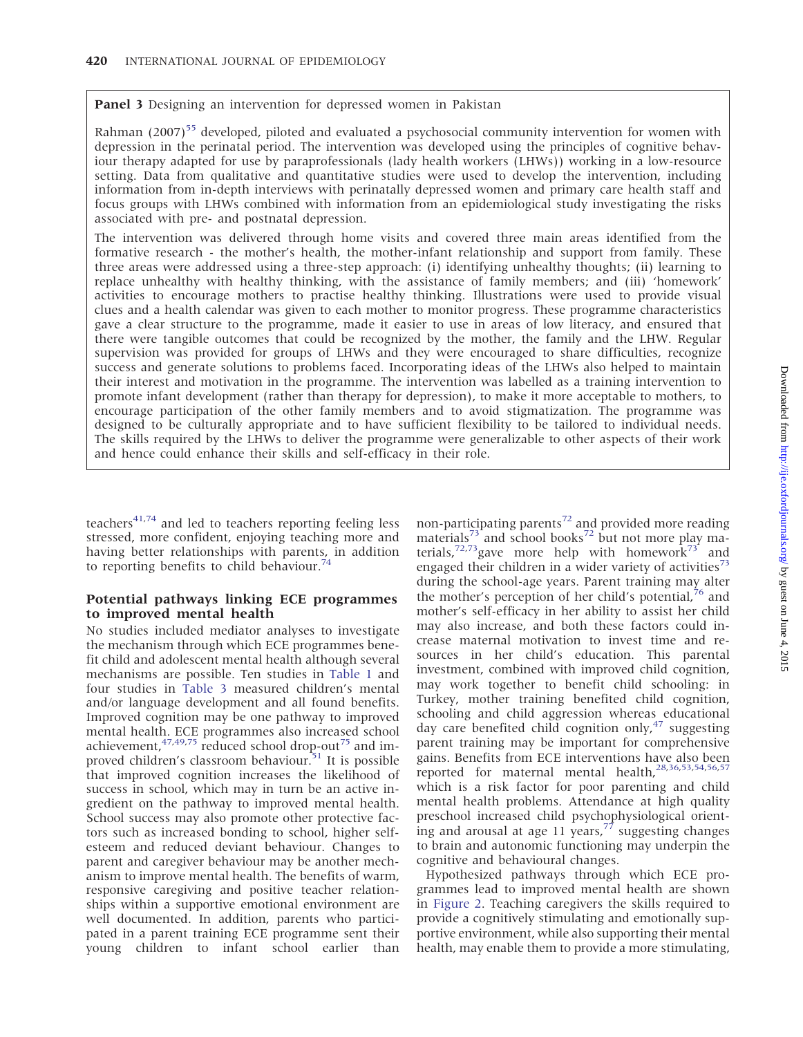Panel 3 Designing an intervention for depressed women in Pakistan

Rahman  $(2007)^{55}$  $(2007)^{55}$  $(2007)^{55}$  developed, piloted and evaluated a psychosocial community intervention for women with depression in the perinatal period. The intervention was developed using the principles of cognitive behaviour therapy adapted for use by paraprofessionals (lady health workers (LHWs)) working in a low-resource setting. Data from qualitative and quantitative studies were used to develop the intervention, including information from in-depth interviews with perinatally depressed women and primary care health staff and focus groups with LHWs combined with information from an epidemiological study investigating the risks associated with pre- and postnatal depression.

The intervention was delivered through home visits and covered three main areas identified from the formative research - the mother's health, the mother-infant relationship and support from family. These three areas were addressed using a three-step approach: (i) identifying unhealthy thoughts; (ii) learning to replace unhealthy with healthy thinking, with the assistance of family members; and (iii) 'homework' activities to encourage mothers to practise healthy thinking. Illustrations were used to provide visual clues and a health calendar was given to each mother to monitor progress. These programme characteristics gave a clear structure to the programme, made it easier to use in areas of low literacy, and ensured that there were tangible outcomes that could be recognized by the mother, the family and the LHW. Regular supervision was provided for groups of LHWs and they were encouraged to share difficulties, recognize success and generate solutions to problems faced. Incorporating ideas of the LHWs also helped to maintain their interest and motivation in the programme. The intervention was labelled as a training intervention to promote infant development (rather than therapy for depression), to make it more acceptable to mothers, to encourage participation of the other family members and to avoid stigmatization. The programme was designed to be culturally appropriate and to have sufficient flexibility to be tailored to individual needs. The skills required by the LHWs to deliver the programme were generalizable to other aspects of their work and hence could enhance their skills and self-efficacy in their role.

teachers<sup>[41](#page-24-0)[,74](#page-25-0)</sup> and led to teachers reporting feeling less stressed, more confident, enjoying teaching more and having better relationships with parents, in addition to reporting benefits to child behaviour. $\frac{7}{4}$ 

#### Potential pathways linking ECE programmes to improved mental health

No studies included mediator analyses to investigate the mechanism through which ECE programmes benefit child and adolescent mental health although several mechanisms are possible. Ten studies in [Table 1](#page-4-0) and four studies in [Table 3](#page-10-0) measured children's mental and/or language development and all found benefits. Improved cognition may be one pathway to improved mental health. ECE programmes also increased school achievement, $47,49,75$  reduced school drop-out<sup>[75](#page-25-0)</sup> and im-proved children's classroom behaviour.<sup>[51](#page-25-0)</sup> It is possible that improved cognition increases the likelihood of success in school, which may in turn be an active ingredient on the pathway to improved mental health. School success may also promote other protective factors such as increased bonding to school, higher selfesteem and reduced deviant behaviour. Changes to parent and caregiver behaviour may be another mechanism to improve mental health. The benefits of warm, responsive caregiving and positive teacher relationships within a supportive emotional environment are well documented. In addition, parents who participated in a parent training ECE programme sent their young children to infant school earlier than

non-participating parents<sup>[72](#page-25-0)</sup> and provided more reading materials<sup>73</sup> and school books<sup>[72](#page-25-0)</sup> but not more play materials,<sup>72,73</sup> gave more help with homework<sup>73</sup> and engaged their children in a wider variety of activities<sup>[73](#page-25-0)</sup> during the school-age years. Parent training may alter the mother's perception of her child's potential, $^{76}$  $^{76}$  $^{76}$  and mother's self-efficacy in her ability to assist her child may also increase, and both these factors could increase maternal motivation to invest time and resources in her child's education. This parental investment, combined with improved child cognition, may work together to benefit child schooling: in Turkey, mother training benefited child cognition, schooling and child aggression whereas educational day care benefited child cognition only, $47$  suggesting parent training may be important for comprehensive gains. Benefits from ECE interventions have also been reported for maternal mental health,<sup>[28](#page-25-0)[,36,](#page-24-0)[53,54,56,57](#page-25-0)</sup> which is a risk factor for poor parenting and child mental health problems. Attendance at high quality preschool increased child psychophysiological orienting and arousal at age 11 years, $77$  suggesting changes to brain and autonomic functioning may underpin the cognitive and behavioural changes.

Hypothesized pathways through which ECE programmes lead to improved mental health are shown in [Figure 2](#page-20-0). Teaching caregivers the skills required to provide a cognitively stimulating and emotionally supportive environment, while also supporting their mental health, may enable them to provide a more stimulating,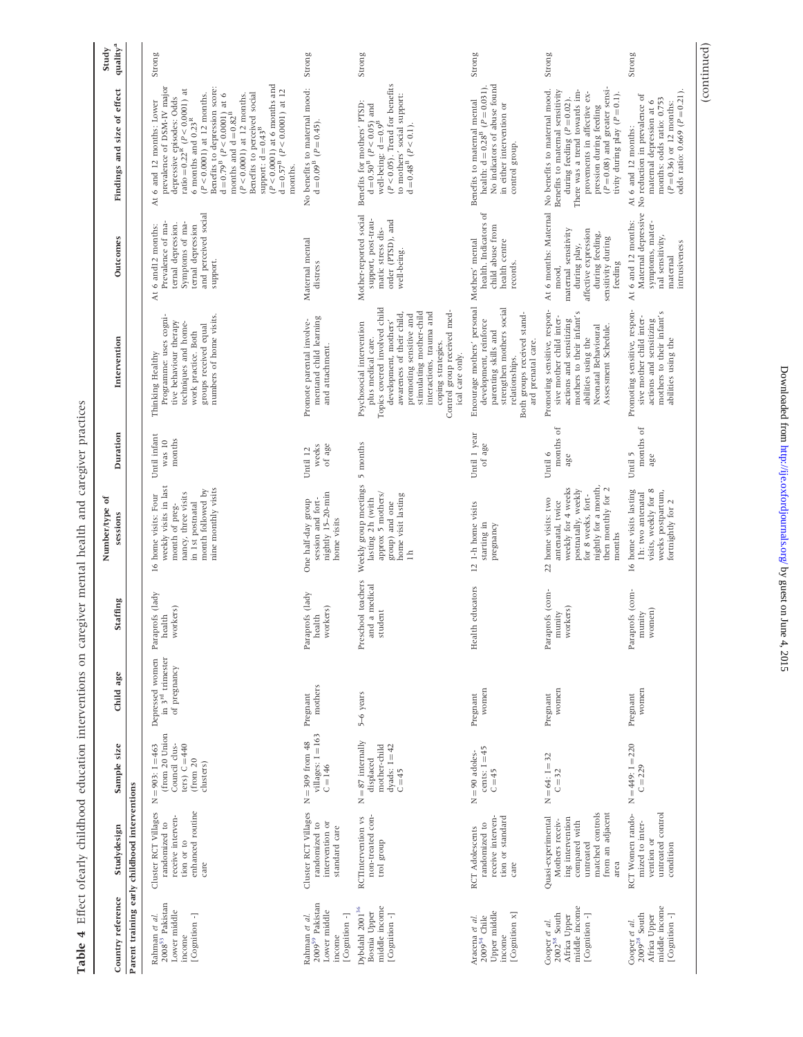<span id="page-14-0"></span>

| quality <sup>a</sup><br>Study |                                               | Strong                                                                                                                                                                                                                                                                                                                                                                                                                                                                                                        | Strong                                                                                  | Strong                                                                                                                                                                                                                                                                                            | Strong                                                                                                                                                                                            | Strong                                                                                                                                                                                                                                                           | Strong                                                                                                                                                                           |
|-------------------------------|-----------------------------------------------|---------------------------------------------------------------------------------------------------------------------------------------------------------------------------------------------------------------------------------------------------------------------------------------------------------------------------------------------------------------------------------------------------------------------------------------------------------------------------------------------------------------|-----------------------------------------------------------------------------------------|---------------------------------------------------------------------------------------------------------------------------------------------------------------------------------------------------------------------------------------------------------------------------------------------------|---------------------------------------------------------------------------------------------------------------------------------------------------------------------------------------------------|------------------------------------------------------------------------------------------------------------------------------------------------------------------------------------------------------------------------------------------------------------------|----------------------------------------------------------------------------------------------------------------------------------------------------------------------------------|
| Findings and size of effect   |                                               | $(P < 0.0001)$ at 6 months and<br>prevalence of DSM-IV major<br>Benefits to depression score:<br>depressive episodes: Odds<br>ratio = $0.22^R$ ( $P < 0.0001$ ) at<br>$d = 0.57^B$ ( $P < 0.0001$ ) at 12<br>Benefits to perceived social<br>$(P < 0.0001)$ at 12 months.<br>${\rm d} = 0.79^{\rm B}$ $(P < 0.0001)$ at 6 months and ${\rm d} = 0.82^{\rm B}$<br>$(P < 0.0001)$ at 12 months.<br>6 and 12 months: Lower<br>$6$ months and $0.23^{\rm R}$<br>support: $d = 0.43B$<br>months.<br>$\overline{A}$ | No benefits to maternal mood:<br>$d = 0.09^{B}$ (P = 0.45).                             | $(P < 0.05)$ . Trend for benefits<br>to mothers' social support:<br>Benefits for mothers' PTSD:<br>$d = 0.50^{B}$ ( $P < 0.05$ ) and<br>well-being: $d = 0.9^{B}$<br>$d = 0.48^{B}$ ( $P < 0.1$ ).                                                                                                | No indicators of abuse found<br>health: $d = 0.28^{B}$ ( $P = 0.031$ ).<br>Benefits to maternal mental<br>in either intervention or<br>control group.                                             | $(P = 0.08)$ and greater sensi-<br>No benefits to maternal mood.<br>Benefits to maternal sensitivity<br>There was a trend towards im-<br>provements in affective ex-<br>tivity during play $(P=0.1)$ .<br>during feeding $(P=0.02)$ .<br>pression during feeding | odds ratio: $0.669$ ( $P = 0.21$ ).<br>No reduction in prevalence of<br>months: odds ratio: 0.753<br>maternal depression at 6<br>$(P=0.36)$ or 12 months:<br>At 6 and 12 months: |
| Outcomes                      |                                               | and perceived social<br>Symptoms of ma-<br>Prevalence of ma-<br>ternal depression.<br>6 and12 months:<br>ternal depression<br>support.<br>At                                                                                                                                                                                                                                                                                                                                                                  | Maternal mental<br>distress                                                             | Mother-reported social<br>support, post-trau-<br>order (PTSD), and<br>matic stress dis-<br>well-being.                                                                                                                                                                                            | health. Indicators of<br>child abuse from<br>health centre<br>records.                                                                                                                            | At 6 months: Maternal<br>affective expression<br>maternal sensitivity<br>during feeding,<br>sensitivity during<br>during play,<br>feeding<br>mood,                                                                                                               | Maternal depressive<br>At $6$ and $12$ months:<br>symptoms, mater-<br>nal sensitivity,<br>intrusiveness<br>maternal                                                              |
| Intervention                  |                                               | numbers of home visits.<br>Programme: uses cogni-<br>tive behaviour therapy<br>techniques and home-<br>groups received equal<br>work practice. Both<br>Thinking Healthy                                                                                                                                                                                                                                                                                                                                       | mentand child learning<br>Promote parental involve-<br>and attachment.                  | Topics covered involved child<br>stimulating mother-child<br>interactions, trauma and<br>Control group received med-<br>awareness of their child,<br>promoting sensitive and<br>development, mothers'<br>Psychosocial intervention<br>plus medical care.<br>coping strategies.<br>ical care only. | Encourage mothers' personal Mothers' mental<br>strengthen mothers social<br>Both groups received stand-<br>development, reinforce<br>parenting skills and<br>ard prenatal care.<br>relationships. | Promoting sensitive, respon-<br>mothers to their infant's<br>sive mother child inter-<br>actions and sensitizing<br>Assessment Schedule.<br>Neonatal Behavioural<br>abilities using the                                                                          | Promoting sensitive, respon-<br>mothers to their infant's<br>sive mother child inter-<br>actions and sensitizing<br>abilities using the                                          |
| Duration                      |                                               | Until infant<br>months<br>was 10                                                                                                                                                                                                                                                                                                                                                                                                                                                                              | of age<br>weeks<br>Until 12                                                             | 5 months                                                                                                                                                                                                                                                                                          | Until 1 year<br>of age                                                                                                                                                                            | months of<br>Until 6<br>age                                                                                                                                                                                                                                      | months of<br>Until 5<br>age                                                                                                                                                      |
| Number/type of<br>sessions    |                                               | weekly visits in last<br>nine monthly visits<br>month followed by<br>nancy, three visits<br>16 home visits: Four<br>in 1st postnatal<br>month of preg-                                                                                                                                                                                                                                                                                                                                                        | mightly 15-20-min<br>One half-day group<br>session and fort-<br>home visits             | Weekly group meetings<br>approx 5 mothers/<br>home visit lasting<br>lasting 2h (with<br>group) and one<br>$\overline{\mathbf{u}}$                                                                                                                                                                 | 12 1-h home visits<br>starting in<br>pregnancy                                                                                                                                                    | nightly for a month,<br>then monthly for 2<br>weekly for 4 weeks<br>postnatally, weekly<br>for 8 weeks, fort-<br>22 home visits: two<br>antenatal, twice<br>months                                                                                               | 16 home visits lasting<br>visits, weekly for 8<br>weeks postpartum,<br>1 h: two antenatal<br>fortnightly for 2                                                                   |
| Staffing                      |                                               | Paraprofs (lady<br>health<br>workers)                                                                                                                                                                                                                                                                                                                                                                                                                                                                         | Paraprofs (lady<br>workers)<br>health                                                   | Preschool teachers<br>and a medical<br>student                                                                                                                                                                                                                                                    | Health educators                                                                                                                                                                                  | Paraprofs (com-<br>workers)<br>munity                                                                                                                                                                                                                            | Paraprofs (com-<br>women)<br>munity                                                                                                                                              |
| Child age                     |                                               | in 3 <sup>rd</sup> trimester<br>Depressed women<br>of pregnancy                                                                                                                                                                                                                                                                                                                                                                                                                                               | mothers<br>Pregnant                                                                     | 5-6 years                                                                                                                                                                                                                                                                                         | women<br>Pregnant                                                                                                                                                                                 | women<br>Pregnant                                                                                                                                                                                                                                                | women<br>Pregnant                                                                                                                                                                |
| Sample size                   |                                               | (from 20 Union<br>Council clus-<br>ters) $C = 440$<br>$N = 903: I = 463$<br>$($ from $20$<br>clusters)                                                                                                                                                                                                                                                                                                                                                                                                        | $vildages: I = 163$<br>$\mathrm{N}=309$ from $48$<br>$C = 146$                          | $N = 87$ internally<br>mother-child<br>dyads: $1 = 42$<br>displaced<br>$C = 45$                                                                                                                                                                                                                   | cents: $1 = 45$<br>$N = 90$ adoles-<br>$C = 45$                                                                                                                                                   | $N = 64: I = 32$<br>$C = 32$                                                                                                                                                                                                                                     | $N = 449$ : $I = 220$<br>$C = 229$                                                                                                                                               |
| Studydesign                   | Parent training early childhood interventions | enhanced routine<br>Cluster RCT Villages<br>receive interven-<br>randomized to<br>tion or to<br>care                                                                                                                                                                                                                                                                                                                                                                                                          | Cluster RCT Villages<br>intervention or<br>randomized to<br>standard care               | non-treated con-<br>RCTIntervention vs<br>trol group                                                                                                                                                                                                                                              | tion or standard<br>receive interven-<br>randomized to<br>RCT Adolescents<br>care                                                                                                                 | matched controls<br>from an adjacent<br>Quasi-experimental<br>ing intervention<br>Mothers receiv-<br>compared with<br>untreated<br>area                                                                                                                          | untreated control<br>RCT Women rando-<br>mized to inter-<br>vention or<br>condition                                                                                              |
| Country reference             |                                               | $200853$ Pakistan<br>Lower middle<br>[Cognition -]<br>Rahman et al.<br>income                                                                                                                                                                                                                                                                                                                                                                                                                                 | 2009 <sup>59</sup> Pakistan<br>Lower middle<br>[Cognition -]<br>Rahman et al.<br>income | middle income<br>Dybdahl 2001 <sup>36</sup><br>Bosnia Upper<br>[Cognition -]                                                                                                                                                                                                                      | Upper middle<br>[Cognition x]<br>2009 <sup>54</sup> Chile<br>Aracena et al.<br>income                                                                                                             | middle income<br>Cooper et al.<br>$2002^{58}$ South<br>Africa Upper<br>[Cognition -]                                                                                                                                                                             | middle income<br>Cooper et al.<br>$2009^{28}$ South<br>[Cognition -]<br>Africa Upper                                                                                             |

Table 4 Effect ofearly childhood education interventions on caregiver mental health and caregiver practices Table 4 Effect ofearly childhood education interventions on caregiver mental health and caregiver practices

(continued)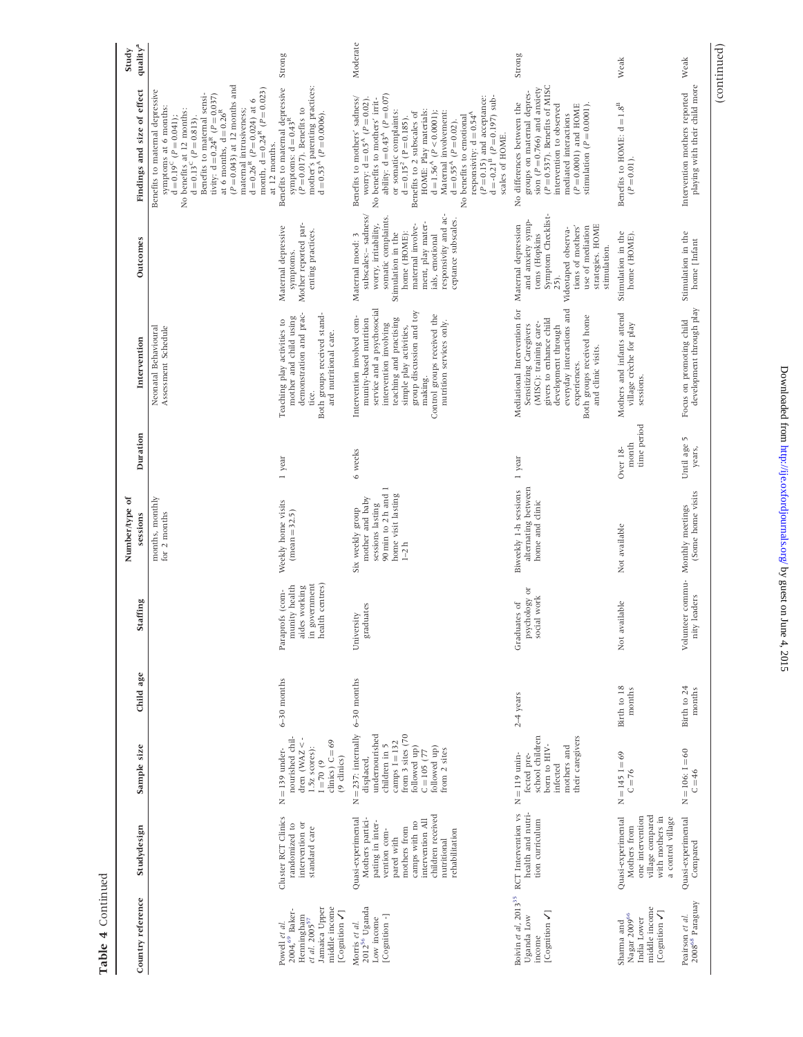| 4 |
|---|
| ı |
|   |
|   |

| $\boldsymbol{quality}^{\mathrm{a}}$<br>Study |                                                                                                                                                                                                                                                                                                                                                                                                                                                               | Strong                                                                                                                                                                | Moderate                                                                                                                                                                                                                                                                                                                                                                                                                                                                                                                                | Strong                                                                                                                                                                                                                                       | Weak                                                                                                               | (continued)<br>Weak                                            |
|----------------------------------------------|---------------------------------------------------------------------------------------------------------------------------------------------------------------------------------------------------------------------------------------------------------------------------------------------------------------------------------------------------------------------------------------------------------------------------------------------------------------|-----------------------------------------------------------------------------------------------------------------------------------------------------------------------|-----------------------------------------------------------------------------------------------------------------------------------------------------------------------------------------------------------------------------------------------------------------------------------------------------------------------------------------------------------------------------------------------------------------------------------------------------------------------------------------------------------------------------------------|----------------------------------------------------------------------------------------------------------------------------------------------------------------------------------------------------------------------------------------------|--------------------------------------------------------------------------------------------------------------------|----------------------------------------------------------------|
| Findings and size of effect                  | $(P=0.043)$ at 12 months and<br>month, $d = 0.24^R$ ( $P = 0.023$ )<br>Benefits to maternal depressive<br>tivity: $d = 0.24^{R}$ ( $P = 0.037$ )<br>Benefits to maternal sensi-<br>$\rm d\,{=}\,0.26^R$ $(P\,{=}\,0.024)$ at $6$<br>symptoms at 6 months:<br>maternal intrusiveness;<br>No benefits at 12 months:<br>at 6 months, $\mathbf{d=0.26}^\mathrm{R}$<br>$\vec{d} = 0.19^{\circ}$ ( $P = 0.041$ );<br>$d=0.13^{\circ}$ (P = 0.813).<br>at 12 months. | Benefits to maternal depressive<br>mother's parenting practices:<br>d = $0.53^{\text{A}}$ ( $P = 0.0006$ ).<br>$(P=0.017)$ . Benefits to<br>symptoms: $d = 0.43^{R'}$ | ability: $d = 0.43^{\text{A}}$ ( $P = 0.07$ )<br>$(P = 0.15)$ and acceptance:<br>d = -0.21 <sup>B</sup> ( $P = 0.197$ ) sub-<br>Benefits to mothers' sadness/<br>worry: $d = 0.5^{\text{A}}$ ( $P = 0.02$ ).<br>No benefits to mothers' irrit-<br>Benefits to 2 subscales of<br>HOME: Play materials:<br>or somatic complaints:<br>$d = 1.56^{A}$ ( $P < 0.0001$ );<br>Maternal involvement:<br>responsivity: $d = 0.54^A$<br>No benefits to emotional<br>$d = 0.152$ (P = 0.185).<br>$d = 0.55^{A}$ ( $P = 0.02$ ).<br>scales of HOME. | $(P=0.537)$ . Benefits of MISC<br>sion ( $P = 0.766$ ) and anxiety<br>groups on maternal depres-<br>No differences between the<br>intervention to observed<br>$(P=0.0001)$ and HOME<br>stimulation $(P = 0.0001)$ .<br>mediated interactions | Benefits to HOME: $d = 1.8^B$<br>$(P=0.01)$ .                                                                      | playing with their child more<br>Intervention mothers reported |
| Outcomes                                     |                                                                                                                                                                                                                                                                                                                                                                                                                                                               | Mother reported par-<br>Maternal depressive<br>enting practices.<br>symptoms.                                                                                         | responsivity and ac-<br>subscales:- sadness/<br>somatic complaints.<br>ceptance subscales.<br>ment, play mater-<br>worry, irritability,<br>maternal involve-<br>home (HOME):<br>Stimulation in the<br>Maternal mood: 3<br>ials, emotional                                                                                                                                                                                                                                                                                               | Symptom Checklist-<br>and anxiety symp-<br>strategies. HOME<br>Maternal depression<br>use of mediation<br>tions of mothers'<br>Videotaped observa-<br>toms (Hopkins<br>stimulation.<br>25).                                                  | Stimulation in the<br>home (HOME).                                                                                 | Stimulation in the<br>home [Infant                             |
| Intervention                                 | Neonatal Behavioural<br>Assessment Schedule                                                                                                                                                                                                                                                                                                                                                                                                                   | demonstration and prac-<br>Both groups received stand-<br>mother and child using<br>Teaching play activities to<br>ard nutritional care.<br>tice.                     | service and a psychosocial<br>group discussion and toy<br>Control groups received the<br>Intervention involved com-<br>teaching and practising<br>munity-based nutrition<br>nutrition services only.<br>intervention involving<br>simple play activities,<br>making.                                                                                                                                                                                                                                                                    | everyday interactions and<br>Mediational Intervention for<br>Both groups received home<br>givers to enhance child<br>(MISC): training care-<br>Sensitizing Caregivers<br>development through<br>and clinic visits.<br>experiences.           | Mothers and infants attend<br>village creche for play<br>sessions.                                                 | development through play<br>Focus on promoting child           |
| Duration                                     |                                                                                                                                                                                                                                                                                                                                                                                                                                                               | 1 year                                                                                                                                                                | 6 weeks                                                                                                                                                                                                                                                                                                                                                                                                                                                                                                                                 | 1 year                                                                                                                                                                                                                                       | time period<br>month<br>Over 18-                                                                                   | 5<br>Until age<br>years,                                       |
| Number/type of<br>sessions                   | months, monthly<br>for 2 months                                                                                                                                                                                                                                                                                                                                                                                                                               | Weekly home visits<br>$(mean = 32.5)$                                                                                                                                 | $90 \,\mathrm{min}$ to $2 \,\mathrm{h}$ and $1$<br>home visit lasting<br>mother and baby<br>sessions lasting<br>Six weekly group<br>$1-2h$                                                                                                                                                                                                                                                                                                                                                                                              | alternating between<br>Biweekly 1-h sessions<br>home and clinic                                                                                                                                                                              | Not available                                                                                                      | (Some home visits                                              |
| Staffing                                     |                                                                                                                                                                                                                                                                                                                                                                                                                                                               | health centres)<br>in government<br>munity health<br>aides working<br>Paraprofs (com-                                                                                 | graduates<br>University                                                                                                                                                                                                                                                                                                                                                                                                                                                                                                                 | psychology or<br>social work<br>Graduates of                                                                                                                                                                                                 | Not available                                                                                                      | Volunteer commu- Monthly meetings<br>nity leaders              |
| Child age                                    |                                                                                                                                                                                                                                                                                                                                                                                                                                                               | $6-30$ months                                                                                                                                                         | $6-30$ months                                                                                                                                                                                                                                                                                                                                                                                                                                                                                                                           | 2-4 years                                                                                                                                                                                                                                    | Birth to 18<br>months                                                                                              | Birth to 24<br>months                                          |
| Sample size                                  |                                                                                                                                                                                                                                                                                                                                                                                                                                                               | nourished chil-<br>dren (WAZ <-<br>clinics) $C = 69$<br>1.5z scores):<br>$N = 139$ under-<br>$(9 \text{ dinics})$<br>$1 = 70(9)$                                      | $N = 237$ : internally<br>from 3 sites (70<br>undernourished<br>camps $I = 132$<br>children in 5<br>followed up)<br>followed up)<br>from 2 sites<br>$C = 105 (77)$<br>displaced,                                                                                                                                                                                                                                                                                                                                                        | their caregivers<br>fected pre-<br>school children<br>born to HIV-<br>mothers and<br>$N = 119$ unin-<br>infected                                                                                                                             | $N = 145$ $I = 69$<br>$C = 76$                                                                                     | $N = 106: I = 60$<br>$C = 46$                                  |
| Studydesign                                  |                                                                                                                                                                                                                                                                                                                                                                                                                                                               | Cluster RCT Clinics<br>randomized to<br>intervention or<br>standard care                                                                                              | children received<br>Quasi-experimental<br>Mothers partici-<br>pating in inter-<br>intervention All<br>camps with no<br>mothers from<br>rehabilitation<br>vention com-<br>pared with<br>nutritional                                                                                                                                                                                                                                                                                                                                     | health and nutri-<br>RCT Intervention vs<br>tion curriculum                                                                                                                                                                                  | village compared<br>one intervention<br>with mothers in<br>Quasi-experimental<br>a control village<br>Mothers from | Quasi-experimental<br>Compared                                 |
| Country reference                            |                                                                                                                                                                                                                                                                                                                                                                                                                                                               | Jamaica Upper<br>middle income<br>2004, <sup>69</sup> Baker-<br>[Cognition /]<br>Henningham<br>$et$ al. 2005 <sup>57</sup><br>Powell et al.                           | $201256$ Uganda<br>[Cognition -]<br>Low income<br>Morris et al.                                                                                                                                                                                                                                                                                                                                                                                                                                                                         | Boivin $et\; al.\; 2013^{35}$<br>[Cognition /]<br>Uganda Low<br>income                                                                                                                                                                       | middle income<br>[Cognition /]<br>Nagar 2009 <sup>66</sup><br>India Lower<br>Sharma and                            | 2008 <sup>68</sup> Paraguay<br>Peairson et al.                 |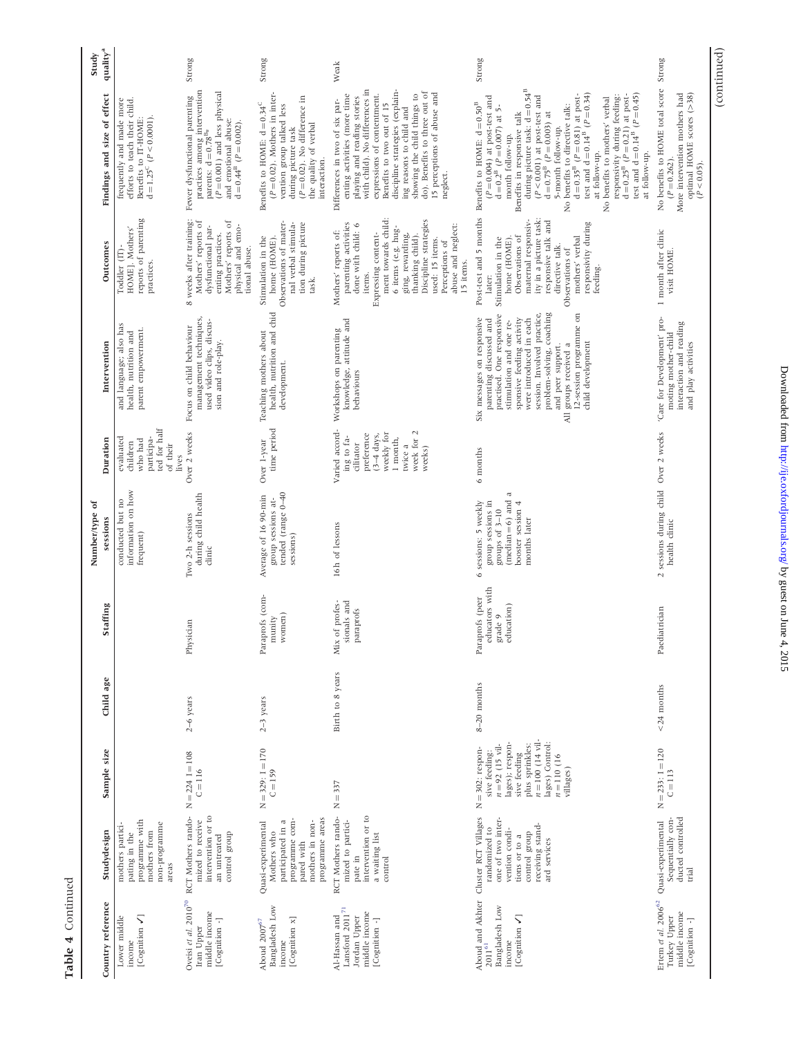Table 4 Continued Table 4 Continued

| $\mathbf{quality}^\mathrm{a}$<br>Study |                                                                                                                           | Strong                                                                                                                                                                                  | Strong                                                                                                                                                                                                     | Weak                                                                                                                                                                                                                                                                                                                                                                  | Strong                                                                                                                                                                                                                                                                                                                                                                                                                                                                                                                                                                                                                                 | Strong                                                                                                                             |
|----------------------------------------|---------------------------------------------------------------------------------------------------------------------------|-----------------------------------------------------------------------------------------------------------------------------------------------------------------------------------------|------------------------------------------------------------------------------------------------------------------------------------------------------------------------------------------------------------|-----------------------------------------------------------------------------------------------------------------------------------------------------------------------------------------------------------------------------------------------------------------------------------------------------------------------------------------------------------------------|----------------------------------------------------------------------------------------------------------------------------------------------------------------------------------------------------------------------------------------------------------------------------------------------------------------------------------------------------------------------------------------------------------------------------------------------------------------------------------------------------------------------------------------------------------------------------------------------------------------------------------------|------------------------------------------------------------------------------------------------------------------------------------|
| Findings and size of effect            | efforts to teach their child.<br>frequently and made more<br>Benefits to IT-HOME:<br>d = $1.25^{\circ}$ ( $P < 0.0001$ ). | practices among intervention<br>parents: $d = 0.78^{B*}$<br>$(P = 0.001)$ and less physical<br>Fewer dysfunctional parenting<br>and emotional abuse:<br>$d = 0.44^{B}$ ( $P = 0.002$ ). | $(P=0.02)$ . Mothers in inter-<br>$(P = 0.02)$ . No difference in<br>Benefits to HOME: $\rm{d=0.34}^{\rm{C}}$<br>vention group talked less<br>the quality of verbal<br>during picture task<br>interaction. | with child). No differences in<br>discipline strategies (explain-<br>do). Benefits to three out of<br>15 perceptions of abuse and<br>expressions of contentment.<br>showing the child things to<br>enting activities (more time<br>playing and reading stories<br>Differences in two of six par-<br>Benefits to two out of 15<br>ing reasons to child and<br>neglect. | during picture task: $\rm{d=0.54^B}$<br>No benefits to directive talk:<br>d=0.35 <sup>B</sup> ( $P$ =0.81) at post-<br>test and d=0.14 <sup>B</sup> ( $P$ =0.34)<br>test and $d = 0.14^B$ ( $P = 0.45$ )<br>$d = 0.25^{B}$ ( $P = 0.21$ ) at post-<br>$(P < 0.001)$ at post-test and<br>responsivity during feeding:<br>$(P=0.004)$ at post-test and<br>No benefits to mothers' verbal<br>Post-test and 5 months Benefits to HOME: $d = 0.50^B$<br>$d = 0.2^{B}$ ( $P = 0.007$ ) at 5-<br>$d = 0.75^{B}$ ( $P = 0.003$ ) at<br>Benefits in responsive talk<br>5-month follow-up.<br>month follow-up.<br>at follow-up.<br>at follow-up. | No benefits to HOME total score<br>More intervention mothers had<br>optimal HOME scores (>38)<br>$(P = 0.262)$ .<br>$(P < 0.05)$ . |
| Outcomes                               | reports of parenting<br>HOME]. Mothers'<br>Toddler (IT)<br>practices.                                                     | 8 weeks after training:<br>Mothers' reports of<br>physical and emo-<br>Mothers' reports of<br>dysfunctional par-<br>enting practices.<br>tional abuse.                                  | Observations of mater-<br>nal verbal stimula-<br>tion during picture<br>home (HOME).<br>Stimulation in the<br>task.                                                                                        | ment towards child:<br>Discipline strategies<br>parenting activities<br>done with child: 6<br>abuse and neglect:<br>6 items (e.g. hug-<br>Mothers' reports of:<br>ging, rewarding,<br>Expressing content-<br>thanking child).<br>used: 15 items.<br>Perceptions of<br>15 items.<br>items.                                                                             | ity in a picture task:<br>responsive talk and<br>maternal responsiv-<br>responsivity during<br>Observations of<br>mothers' verbal<br>Stimulation in the<br>home (HOME).<br>directive talk.<br>Observations of<br>feeding.<br>later:                                                                                                                                                                                                                                                                                                                                                                                                    | 1 month after clinic<br>visit HOME.                                                                                                |
| Intervention                           | and language; also has<br>parent empowerment.<br>health, nutrition and                                                    | management techniques,<br>used video clips, discus-<br>Focus on child behaviour<br>sion and role-play.                                                                                  | health, nutrition and chid<br>Teaching mothers about<br>development.                                                                                                                                       | knowledge, attitude and<br>Workshops on parenting<br>behaviours                                                                                                                                                                                                                                                                                                       | problem-solving, coaching<br>practised. One responsive<br>12-session programme on<br>session. Involved practice,<br>Six messages on responsive<br>sponsive feeding activity<br>were introduced in each<br>parenting discussed and<br>stimulation and one re-<br>child development<br>groups received a<br>and peer support.<br>₹                                                                                                                                                                                                                                                                                                       | 'Care for Development' pro-<br>interaction and reading<br>moting mother-child<br>and play activities                               |
| Duration                               | ted for half<br>evaluated<br>participa-<br>who had<br>children<br>of their<br>lives                                       | Over 2 weeks                                                                                                                                                                            | time period<br>Over 1-year                                                                                                                                                                                 | Varied accord-<br>week for 2<br>weekly for<br>preference<br>(3-4 days,<br>ing to fa-<br>1 month,<br>cilitator<br>twice a<br>weeks)                                                                                                                                                                                                                                    | 6 months                                                                                                                                                                                                                                                                                                                                                                                                                                                                                                                                                                                                                               |                                                                                                                                    |
| Number/type of<br>sessions             | information on how<br>conducted but no<br>frequent)                                                                       | during child health<br>Two 2-h sessions<br>clinic                                                                                                                                       | tended (range 0-40<br>Average of 16 90-min<br>group sessions at-<br>sessions)                                                                                                                              | 16h of lessons                                                                                                                                                                                                                                                                                                                                                        | $(\text{median} = 6)$ and a<br>sessions: 5 weekly<br>group sessions in<br>booster session 4<br>groups of 3-10<br>months later<br>$\circ$                                                                                                                                                                                                                                                                                                                                                                                                                                                                                               | sessions during child Over 2 weeks<br>health clinic<br>$\sim$                                                                      |
| Staffing                               |                                                                                                                           | Physician                                                                                                                                                                               | Paraprofs (com-<br>women)<br>munity                                                                                                                                                                        | of profes-<br>sionals and<br>paraprofs<br>Mix                                                                                                                                                                                                                                                                                                                         | educators with<br>Paraprofs (peer<br>$\begin{array}{c}\ngrad\, \theta \\ end (right)$                                                                                                                                                                                                                                                                                                                                                                                                                                                                                                                                                  | Paediatrician                                                                                                                      |
| Child age                              |                                                                                                                           | 2-6 years                                                                                                                                                                               | 2-3 years                                                                                                                                                                                                  | Birth to 8 years                                                                                                                                                                                                                                                                                                                                                      | 8-20 months                                                                                                                                                                                                                                                                                                                                                                                                                                                                                                                                                                                                                            | $<$ 24 months                                                                                                                      |
| Sample size                            |                                                                                                                           | $C = 116$                                                                                                                                                                               | $N = 329$ : $I = 170$<br>$C = 159$                                                                                                                                                                         | $N = 337$                                                                                                                                                                                                                                                                                                                                                             | $n = 100$ (14 vil-<br>lages) Control:<br>lages); respon-<br>plus sprinkles:<br>$n = 92$ (15 vil-<br>$N = 302$ : respon-<br>sive feeding:<br>sive feeding<br>$n = 110(16)$<br>villages)                                                                                                                                                                                                                                                                                                                                                                                                                                                 | $N = 233: I = 120$<br>$C = 113$                                                                                                    |
| Studydesign                            | programme with<br>non-programme<br>mothers partici-<br>mothers from<br>pating in the<br>areas                             | RCT Mothers rando- $N = 224$ I $= 108$<br>intervention or to<br>mized to receive<br>control group<br>an untreated                                                                       | programme areas<br>programme com-<br>Quasi-experimental<br>participated in a<br>mothers in non-<br>Mothers who<br>pared with                                                                               | RCT Mothers rando-<br>intervention or to<br>mized to partici-<br>a waiting list<br>pate in<br>control                                                                                                                                                                                                                                                                 | Aboud and Akhter Cluster RCT Villages $2011^{61}$ randomized to<br>one of two inter-<br>receiving stand-<br>vention condi-<br>control group<br>tions or to a<br>ard services                                                                                                                                                                                                                                                                                                                                                                                                                                                           | ducted controlled<br>Sequentially con-<br>Quasi-experimental<br>trial                                                              |
| Country reference                      | [Cognition /]<br>Lower middle<br>income                                                                                   | Oveisi et al. $2010^{70}$<br>middle income<br>[Cognition -]<br>Iran Upper                                                                                                               | Bangladesh Low<br>[Cognition x]<br>Aboud $2007^{67}$<br>income                                                                                                                                             | $\mbox{Lansford}~2011^{71}$<br>middle income<br>Jordan Upper<br>Al-Hassan and<br>[Cognition -]                                                                                                                                                                                                                                                                        | Bangladesh Low<br>[Cognition /]<br>income                                                                                                                                                                                                                                                                                                                                                                                                                                                                                                                                                                                              | Ertem $et$ $al.$ $2006^{\rm 62}$<br>middle income<br>Turkey Upper<br>[Cognition -]                                                 |

(continued) (continued)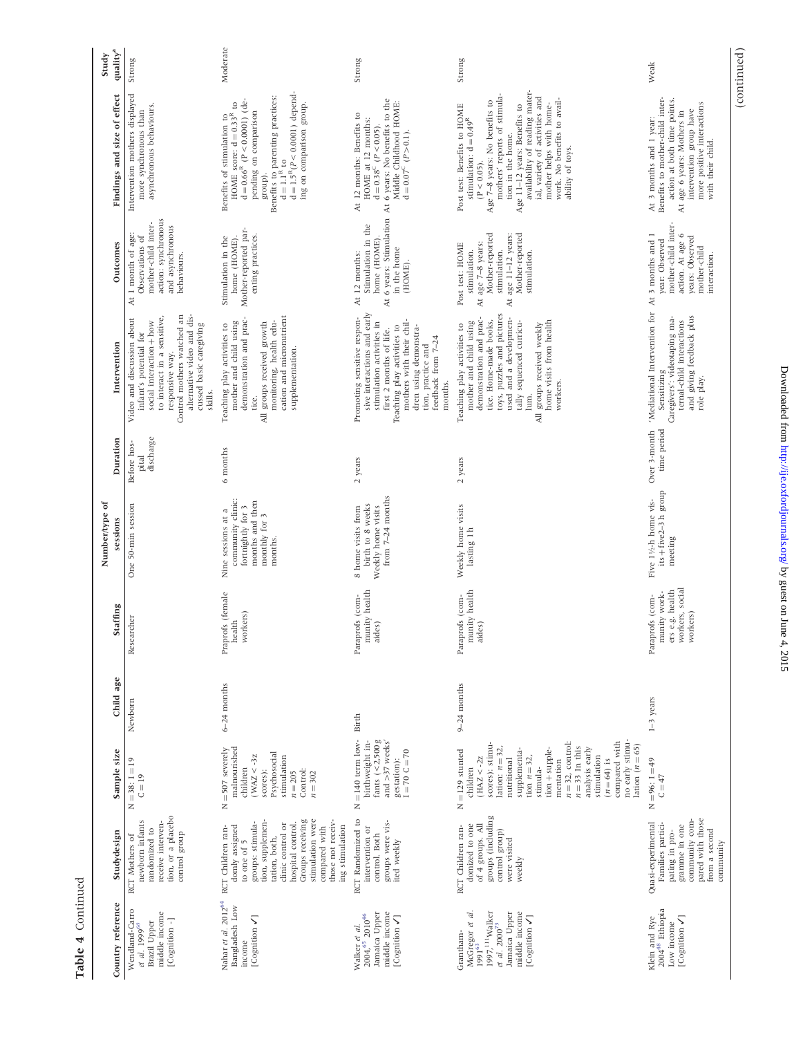| 4          |  |
|------------|--|
|            |  |
| 5          |  |
| <u>ក្រ</u> |  |

| quality <sup>a</sup><br>Study | Strong                                                                                                                                                                                                                               | Moderate                                                                                                                                                                                                                                                                            | Strong                                                                                                                                                                                                                                                        | Strong                                                                                                                                                                                                                                                                                                                                                                 | Weak                                                                                                                                                                                                  | (continued) |
|-------------------------------|--------------------------------------------------------------------------------------------------------------------------------------------------------------------------------------------------------------------------------------|-------------------------------------------------------------------------------------------------------------------------------------------------------------------------------------------------------------------------------------------------------------------------------------|---------------------------------------------------------------------------------------------------------------------------------------------------------------------------------------------------------------------------------------------------------------|------------------------------------------------------------------------------------------------------------------------------------------------------------------------------------------------------------------------------------------------------------------------------------------------------------------------------------------------------------------------|-------------------------------------------------------------------------------------------------------------------------------------------------------------------------------------------------------|-------------|
| Findings and size of effect   | Intervention mothers displayed<br>more synchronous than<br>asynchronous behaviours.                                                                                                                                                  | $d = 1.5^{R}(P < 0.0001)$ depend-<br>Benefits to parenting practices:<br>$d = 1.1^R$ to<br>Benefits of stimulation to HOME score: $\mathrm{d}=0.33^\mathrm{R}$ to $\mathrm{d}=0.66^\mathrm{R}$ (P $<0.0001)$ ) (de-<br>ing on comparison group.<br>pending on comparison<br>group). | 6 years: No benefits to the Middle Childhood HOME:<br>At 12 months: Benefits to<br>HOME at 12 months:<br>$d = 0.38^{\circ}$ ( $P < 0.05$ ).<br>$d = 0.07^{\circ}$ (P > 0.1).<br>$\lambda$ t                                                                   | availability of reading mater-<br>mothers' reports of stimula-<br>ial, variety of activities and<br>work. No benefits to avail-<br>Age 7-8 years: No benefits to<br>Post test: Benefits to HOME<br>Age 11-12 years: Benefits to<br>mother helps with home-<br>stimulation: $\mathbf{d}\!=\!0.49^\mathrm{R}$<br>tion in the home.<br>ability of toys.<br>$(P < 0.05)$ . | Benefits to mother-child inter-<br>action at both time points.<br>more positive interactions<br>intervention group have<br>At age 6 years: Mothers in<br>At 3 months and 1 year:<br>with their child. |             |
| Outcomes                      | action: synchronous<br>mother-child inter-<br>and asynchronous<br>At 1 month of age:<br>Observations of<br>behaviours.                                                                                                               | Mother-reported par-<br>enting practices.<br>Stimulation in the<br>home (HOME).                                                                                                                                                                                                     | 6 years: Stimulation<br>in the home<br>Stimulation in the<br>home (HOME)<br>At 12 months:<br>(HOME).<br>$\lambda t$                                                                                                                                           | Mother-reported<br>Mother-reported<br>age 11-12 years:<br>At age 7-8 years:<br>Post test: HOME<br>stimulation.<br>stimulation.<br>stimulation.<br>$\mathbf{A}$                                                                                                                                                                                                         | mother-child inter-<br>At $3$ months and $1$<br>action. At age 6<br>years: Observed<br>year: Observed<br>mother-child<br>interaction.                                                                 |             |
| Intervention                  | alternative video and dis-<br>Control mothers watched an<br>to interact in a sensitive,<br>Video and discussion about<br>social interaction + how<br>cussed basic caregiving<br>infant's potential for<br>responsive way.<br>skills. | cation and micronutrient<br>demonstration and prac-<br>monitoring, health edu-<br>mother and child using<br>All groups received growth<br>Teaching play activities to<br>supplementation.<br>tice.                                                                                  | sive interactions and early<br>Promoting sensitive respon-<br>mothers with their chil-<br>stimulation activities in<br>Teaching play activities to<br>dren using demonstra-<br>first 2 months of life.<br>tion, practice and<br>feedback from 7–24<br>months. | toys, puzzles and pictures<br>demonstration and prac-<br>used and a developmen-<br>tice. Home-made books,<br>tally sequenced curricu-<br>home visits from health<br>mother and child using<br>groups received weekly<br>Teaching play activities to<br>workers.<br>lum.<br>$\exists$                                                                                   | 'Mediational Intervention for<br>and giving feedback plus<br>Caregivers': videotaping ma-<br>ternal-child interactions<br>Sensitizing<br>role play.                                                   |             |
| Duration                      | discharge<br>Before hos-<br>pital                                                                                                                                                                                                    | 6 months                                                                                                                                                                                                                                                                            | 2 years                                                                                                                                                                                                                                                       | 2 years                                                                                                                                                                                                                                                                                                                                                                | Over 3-month<br>time period                                                                                                                                                                           |             |
| Number/type of<br>sessions    | One 50-min session                                                                                                                                                                                                                   | community clinic:<br>months and then<br>fortnightly for 3<br>Nine sessions at a<br>monthly for 3<br>months.                                                                                                                                                                         | from $7-24$ months<br>birth to 8 weeks<br>Weekly home visits<br>8 home visits from                                                                                                                                                                            | Weekly home visits<br>lasting 1 h                                                                                                                                                                                                                                                                                                                                      | its $+$ five 2–3 h group<br>Five 11/2-h home vis-<br>meeting                                                                                                                                          |             |
| Staffing                      | Researcher                                                                                                                                                                                                                           | Praprofs (female<br>workers)<br>health                                                                                                                                                                                                                                              | munity health<br>Paraprofs (com-<br>aides)                                                                                                                                                                                                                    | munity health<br>Paraprofs (com-<br>aides)                                                                                                                                                                                                                                                                                                                             | workers, social<br>e.g. health<br>munity work-<br>Paraprofs (com-<br>workers)<br>ers                                                                                                                  |             |
| Child age                     | Newborn                                                                                                                                                                                                                              | $6-24$ months                                                                                                                                                                                                                                                                       | Birth                                                                                                                                                                                                                                                         | $9-24$ months                                                                                                                                                                                                                                                                                                                                                          | $1-3$ years                                                                                                                                                                                           |             |
| Sample size                   | $N = 38: I = 19$<br>$C = 19$                                                                                                                                                                                                         | malnourished<br>$N = 507$ severely<br>Psychosocial<br>$(WAZ < -3z$<br>stimulation<br>Control:<br>children<br>scores):<br>$n = 205$<br>$n = 302$                                                                                                                                     | $N = 140$ term low-<br>fants $(<\frac{2}{500}$ g<br>birthweight in-<br>and $>37$ weeks<br>$I = 70 C = 70$<br>gestation):                                                                                                                                      | no early stimu-<br>$n = 32$ , control:<br>compared with<br>scores): stimu-<br>lation $(n = 65)$<br>$n=33\,$ In this<br>lation: $n = 32$ ,<br>analysis early<br>tion + supple-<br>$N = 129$ stunted<br>supplementa-<br>stimulation<br>tion $n = 32$ ,<br>$(HAZ < -2z$<br>$(n = 64)$ is<br>nutritional<br>mentation<br>stimula-<br>children                              | $N = 96: 1 = 49$<br>$C = 47$                                                                                                                                                                          |             |
| Studydesign                   | tion, or a placebo<br>newborn infants<br>receive interven-<br>randomized to<br>control group<br>RCT Mothers of                                                                                                                       | stimulation were<br>tion, supplemen-<br>Groups receiving<br>those not receiv-<br>groups: stimula-<br>hospital control.<br>clinic control or<br>ing stimulation<br>domly assigned<br>compared with<br>tation, both,<br>to one of 5                                                   | RCT Randomized to<br>groups were vis-<br>intervention or<br>control. Both<br>ited weekly                                                                                                                                                                      | groups (including<br>domized to one<br>of 4 groups. All<br>RCT Children ran-<br>control group)<br>were visited<br>weekly                                                                                                                                                                                                                                               | pared with those<br>community com-<br>Quasi-experimental<br>Families partici-<br>gramme in one<br>from a second<br>pating in pro-<br>community                                                        |             |
| Country reference             | Wendland-Carro<br>middle income<br>[Cognition -]<br>Brazil Upper<br>et al. 1999 <sup>60</sup>                                                                                                                                        | Nahar et al. 2012 <sup>64</sup> RCT Children ran-<br>Bangladesh Low<br>[Cognition /]<br>income                                                                                                                                                                                      | middle income<br>Jamaica Upper<br>Walker et al.<br>2004, <sup>65</sup> 2010 <sup>46</sup><br>[Cognition /]                                                                                                                                                    | McGregor et al.<br>1991 <sup>63</sup><br>1997, <sup>111</sup> Walker<br>Jamaica Upper<br>middle income<br>[Cognition /]<br>et al. 2000 <sup>73</sup><br>Grantham-                                                                                                                                                                                                      | 2004 <sup>48</sup> Ethiopia<br>[Cognition /]<br>Klein and Rye<br>Low income                                                                                                                           |             |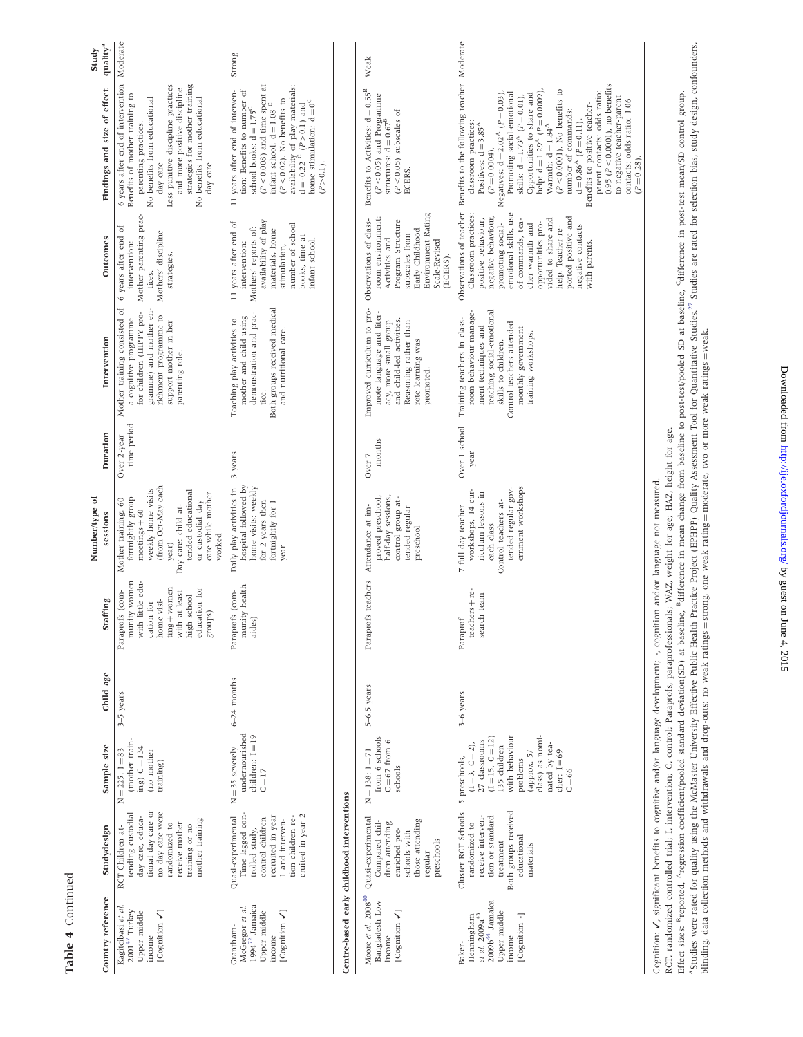| 4           |
|-------------|
| d.          |
| 0           |
| G<br>i<br>Į |

| Study                                            |                                                                                                                                                                                                                                                                                                      | Strong                                                                                                                                                                                                                                                                                                                                                   |
|--------------------------------------------------|------------------------------------------------------------------------------------------------------------------------------------------------------------------------------------------------------------------------------------------------------------------------------------------------------|----------------------------------------------------------------------------------------------------------------------------------------------------------------------------------------------------------------------------------------------------------------------------------------------------------------------------------------------------------|
| Findings and size of effect quality <sup>a</sup> | 6 years after end of intervention Moderate<br>strategies for mother training<br>Less punitive discipline practices<br>and more positive discipline<br>Benefits of mother training to<br>No benefits from educational<br>No benefits from educational<br>parenting practices.<br>day care<br>day care | $(P < 0.008)$ and time spent at<br>availability of play materials:<br>d = -0.22 $\textsuperscript{C}$ (P > 0.1) and<br>11 years after end of interven-<br>tion: Benefits to number of<br>$(P < 0.02)$ . No benefits to<br>home stimulation: $d = 0^{\circ}$<br>infant school: $d=1.08\ ^{\rm c}$<br>school books: d = 1.75 <sup>C</sup><br>$(P > 0.1)$ . |
| Outcomes                                         | intervention:<br>strategies.                                                                                                                                                                                                                                                                         | 11 years after end of<br>availability of play<br>number of school<br>Mothers' reports of:<br>materials, home<br>books, time at<br>infant school.<br>intervention:<br>stimulation,                                                                                                                                                                        |
| Intervention                                     | for children (HIPPY pro- Mother parenting prac-<br>Mother training consisted of 6 years after end of<br>richment programme to Mothers' discipline<br>gramme) and mother en-<br>tices.<br>a cognitive programme<br>support mother in her<br>parenting role.                                           | Both groups received medical<br>demonstration and prac-<br>Teaching play activities to<br>mother and child using<br>and nutritional care.<br>tice.                                                                                                                                                                                                       |
| Duration                                         | time period<br>Over 2-year                                                                                                                                                                                                                                                                           |                                                                                                                                                                                                                                                                                                                                                          |
| Number/type of<br>sessions                       | (from Oct-May each<br>weekly home visits<br>tended educational<br>care while mother<br>fortnightly group<br>Mother training: 60<br>or custodial day<br>Day care: child at-<br>meetings $+60$<br>worked<br>year)                                                                                      | Daily play activities in 3 years<br>hospital followed by<br>home visits: weekly<br>for 2 years then<br>fortnightly for 1<br>year                                                                                                                                                                                                                         |
| Staffing                                         | munity women<br>with little edu-<br>Paraprofs (com-<br>ting + women<br>with at least<br>high school<br>education for<br>home visi-<br>cation for<br>groups)                                                                                                                                          | munity health<br>Paraprofs (com-<br>aides)                                                                                                                                                                                                                                                                                                               |
| Child age                                        | 3-5 years                                                                                                                                                                                                                                                                                            | $6-24$ months                                                                                                                                                                                                                                                                                                                                            |
| Sample size                                      | (mother train-<br>$N = 225: 1 = 83$<br>ing) $C = 134$<br>(no mother<br>training)                                                                                                                                                                                                                     | undernourished<br>children: $\mathit{l}=19$<br>$2 = 17$                                                                                                                                                                                                                                                                                                  |
| Studydesign                                      | no day care were<br>tending custodial<br>day care, educa-<br>tional day care or<br>mother training<br>RCT Children at-<br>andomized to<br>receive mother<br>training or no                                                                                                                           | Quasi-experimental N = 35 severely<br>Time lagged con-<br>cruited in year 2<br>trolled study.<br>control children<br>recruited in year<br>$1$ and interven-<br>tion children $\rm{re}$ -                                                                                                                                                                 |
| Country reference                                | Kagitcibasi et al.<br>:001 <sup>47</sup> Turkey<br>Cognition /<br>Upper middle<br>ncome                                                                                                                                                                                                              | McGregor et al.<br>1994 <sup>72</sup> Jamaica<br>Cognition $\checkmark$ ]<br>Upper middle<br>Grantham-<br>ncome                                                                                                                                                                                                                                          |

## ${\tt Centre\mbox{-}based\hbox{-}\operatorname{early}}$  childhood interventions Centre-based early childhood interventions

| Weak                                                                                                                                                                                            |                                                                                                                                                                                                                                                                                                                                                                                                                                                                                                                                                                                                                                                               |
|-------------------------------------------------------------------------------------------------------------------------------------------------------------------------------------------------|---------------------------------------------------------------------------------------------------------------------------------------------------------------------------------------------------------------------------------------------------------------------------------------------------------------------------------------------------------------------------------------------------------------------------------------------------------------------------------------------------------------------------------------------------------------------------------------------------------------------------------------------------------------|
| Benefits to Activities: $d = 0.55^B$<br>( $P < 0.05$ ) and Programme<br>structures: $d = 0.67^B$<br>$(P < 0.05)$ subscales of<br>ECERS.                                                         | Observations of teacher Benefits to the following teacher Moderate<br>$0.95$ ( $P < 0.0001$ ), no benefits<br>$(P < 0.0001)$ . No benefits to<br>Opportunities to share and<br>help: $d = 1.29^{\circ}$ ( $P = 0.0009$ ),<br>Negatives: $d = 2.02^{\text{A}}$ ( $P = 0.03$ ),<br>Promoting social-emotional skills: $d = 1.73^A$ ( $P = 0.01$ ),<br>parent contacts: odds ratio:<br>to negative teacher-parent<br>contacts: odds ratio: 1.06<br>Benefits to positive teacher-<br>number of commands:<br>$d = 0.86^{A}$ ( $P = 0.11$ ).<br>Warmth: $d = 1.84^A$<br>classroom practices:<br>Positives: d = 3.85 <sup>A</sup><br>$(P = 0.0004),$<br>$(P = 0.28)$ |
| Early Childhood<br>Environment Rating<br>room environment:<br>Program Structure<br>subscales from<br>Activities and<br>Scale-Revised<br>(ECERS).                                                | Classroom practices:<br>emotional skills, use<br>negative behaviour,<br>ported positive and<br>positive behaviour,<br>vided to share and<br>of commands, tea-<br>opportunities pro-<br>promoting social-<br>cher warmth and<br>help. Teacher-re-<br>negative contacts<br>with parents.                                                                                                                                                                                                                                                                                                                                                                        |
| Improved curriculum to pro- Observations of class-<br>mote language and liter-<br>acy, more small group<br>and child-led activities.<br>Reasoning rather than<br>rote learning was<br>promoted. | teaching social-emotional<br>room behaviour manage-<br>Over 1 school Training teachers in class-<br>Control teachers attended<br>ment techniques and<br>monthly government<br>training workshops.<br>skills to children.                                                                                                                                                                                                                                                                                                                                                                                                                                      |
| months<br>Over 7                                                                                                                                                                                | year                                                                                                                                                                                                                                                                                                                                                                                                                                                                                                                                                                                                                                                          |
| proved preschool,<br>half-day sessions,<br>control group at-<br>tended regular<br>preschool                                                                                                     | ernment workshops<br>tended regular gov-<br>workshops, 14 cur-<br>riculum lessons in<br>Control teachers at-<br>7 full day teacher<br>each class                                                                                                                                                                                                                                                                                                                                                                                                                                                                                                              |
| Paraprofs teachers Attendance at im-                                                                                                                                                            | $teaches + re-$<br>search team<br>Paraprof                                                                                                                                                                                                                                                                                                                                                                                                                                                                                                                                                                                                                    |
| $5-6.5$ years                                                                                                                                                                                   | 3-6 years                                                                                                                                                                                                                                                                                                                                                                                                                                                                                                                                                                                                                                                     |
| $N=138: I=71$ from 6 schools<br>$C=67$ from 6<br>schools                                                                                                                                        | (approx. $5/$<br>class) as nomi-<br>with behaviour<br>problems<br>$(1 = 15, C = 12)$<br>135 children<br>$(1 = 3, C = 2),$<br>27 classrooms<br>nated by tea-<br>cher: $I = 69$<br>$= 66$                                                                                                                                                                                                                                                                                                                                                                                                                                                                       |
| Moore et al. 2008 <sup>40</sup> Quasi-experimental<br>Compared chil-<br>dren attending<br>hose attending<br>enriched pre-<br>schools with<br>preschools<br>regular                              | Cluster RCT Schools 5 preschools,<br>Both groups received<br>educational<br>tion or standard<br>receive interven-<br>randomized to<br>treatment<br>materials                                                                                                                                                                                                                                                                                                                                                                                                                                                                                                  |
| Bangladesh Low<br>Cognition /<br>income                                                                                                                                                         | Hemingham<br><i>et al.</i> 2009 $4^3$<br>$2009b^{44}$ Jamaica<br>2009b <sup>44</sup> Jamaica<br>Upper middle<br>Cognition -]<br>ncome<br>Baker-                                                                                                                                                                                                                                                                                                                                                                                                                                                                                                               |

Cognition:  $\checkmark$ , significant benefits to cognitive and/or language development; -, cognition and/or language not measured.<br>RCT, randomized controlled trial; I, intervention; C, control; Paraprofs, paraprofessionals; WAZ, RCT, randomized controlled trial; I, intervention; C, control; Paraprofs, paraprofessionals; WAZ, weight for age; HAZ, height for age. Cognition:  $\ell$ , significant benefits to cognitive and/or language development; -, cognition and/or language not measured.

ncer, stages "reported, "regression coefficient/pooled standard deviation(SD) at baseline. "aliference in post-test pooled in post-test mean/SD control group.<br>"Studies were rated for quality using the McMaster University E "Studies were rated for quality using the McMaster University Effective Public Health Practice Project (EPHPP) Quality Assessment Tool for Quantitative Studies.<sup>[27](#page-24-0)</sup> Studies are rated for selection bias, study design, conf Effect sizes: Rreported, Aregression coefficient/pooled standard deviation(SD) at baseline, Bdifference in mean change from baseline to post-test/pooled SD at baseline, Cdifference in post-test mean/SD control group. blinding, data collection methods and withdrawals and drop-outs: no weak ratings = strong, one weak rating = moderate, two or more weak ratings = weak.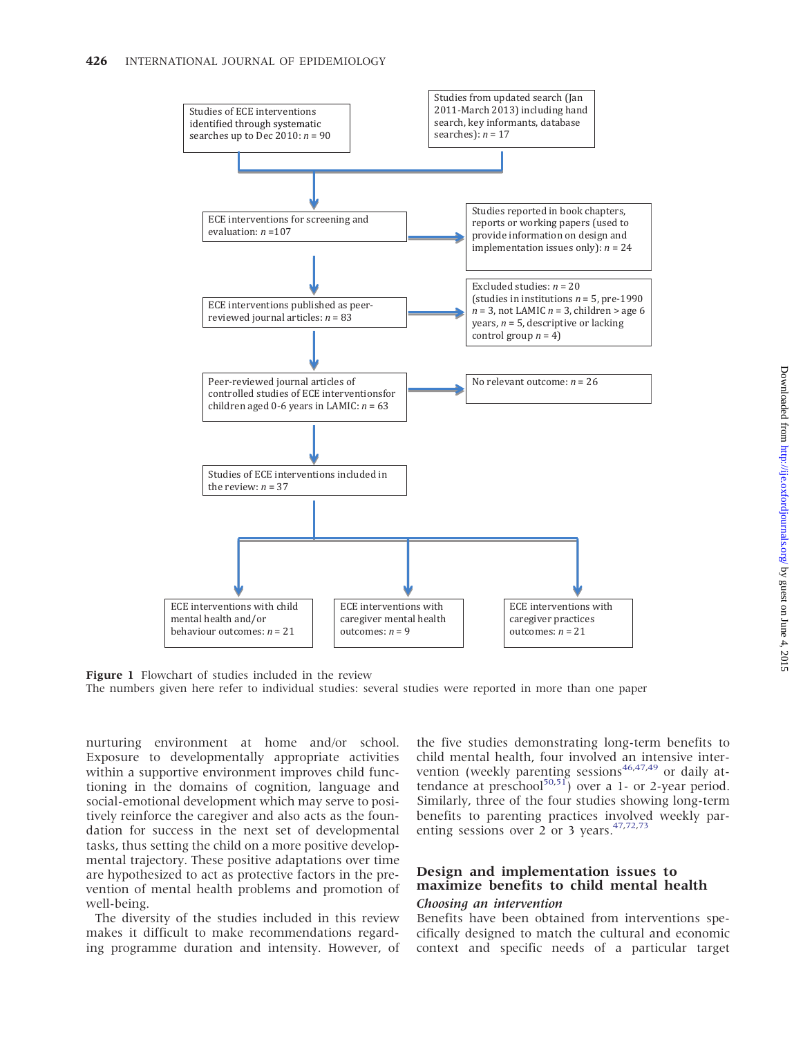<span id="page-19-0"></span>

Figure 1 Flowchart of studies included in the review The numbers given here refer to individual studies: several studies were reported in more than one paper

nurturing environment at home and/or school. Exposure to developmentally appropriate activities within a supportive environment improves child functioning in the domains of cognition, language and social-emotional development which may serve to positively reinforce the caregiver and also acts as the foundation for success in the next set of developmental tasks, thus setting the child on a more positive developmental trajectory. These positive adaptations over time are hypothesized to act as protective factors in the prevention of mental health problems and promotion of well-being.

The diversity of the studies included in this review makes it difficult to make recommendations regarding programme duration and intensity. However, of

the five studies demonstrating long-term benefits to child mental health, four involved an intensive intervention (weekly parenting sessions $46,47,49$  or daily at-tendance at preschool<sup>[50,51](#page-25-0)</sup>) over a 1- or 2-year period. Similarly, three of the four studies showing long-term benefits to parenting practices involved weekly parenting sessions over  $2$  or 3 years.<sup>[47,72,73](#page-25-0)</sup>

#### Design and implementation issues to maximize benefits to child mental health Choosing an intervention

Benefits have been obtained from interventions specifically designed to match the cultural and economic context and specific needs of a particular target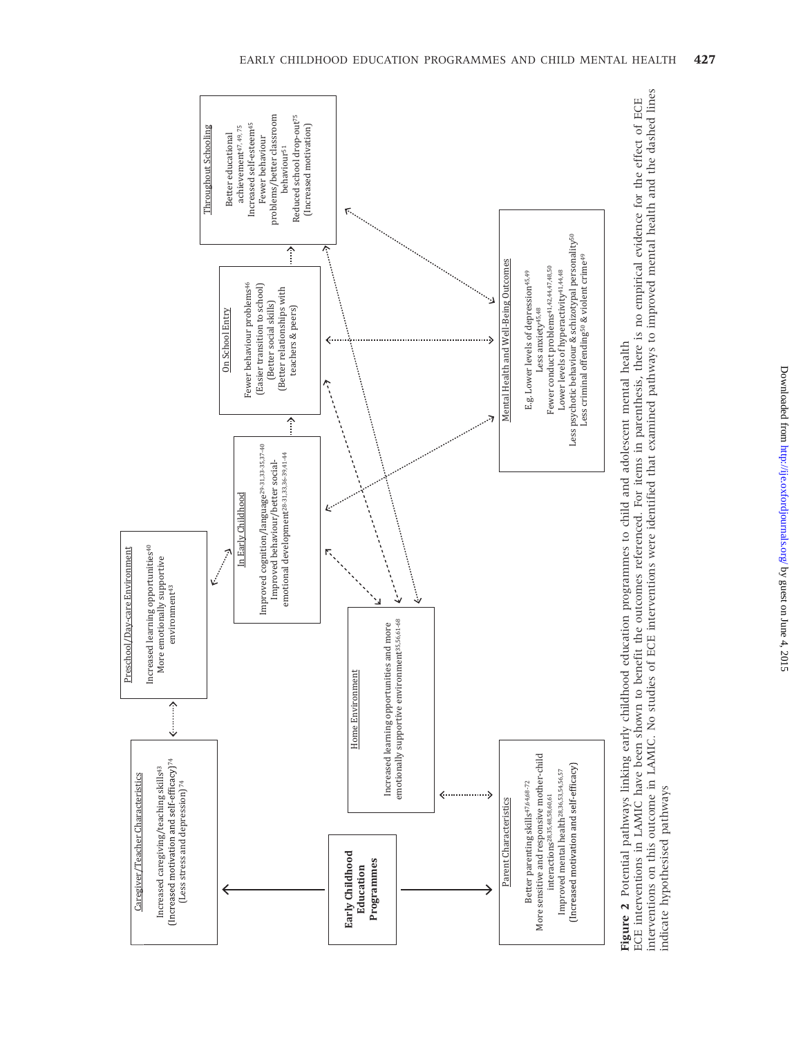<span id="page-20-0"></span>

interventions on this outcome in LAMIC. No studies of ECE interventions were identified that examined pathways to improved mental health and the dashed lines interventions on this outcome in LAMIC. No studies of ECE interventions were identified that examined pathways to improved mental health and the dashed lines ECE interventions in LAMIC have been shown to benefit the outcomes referenced. For items in parenthesis, there is no empirical evidence for the effect of ECE ECE interventions in LAMIC have been shown to benefit the outcomes referenced. For items in parenthesis, there is no empirical evidence for the effect of ECE

indicate hypothesised pathways

indicate hypothesised pathways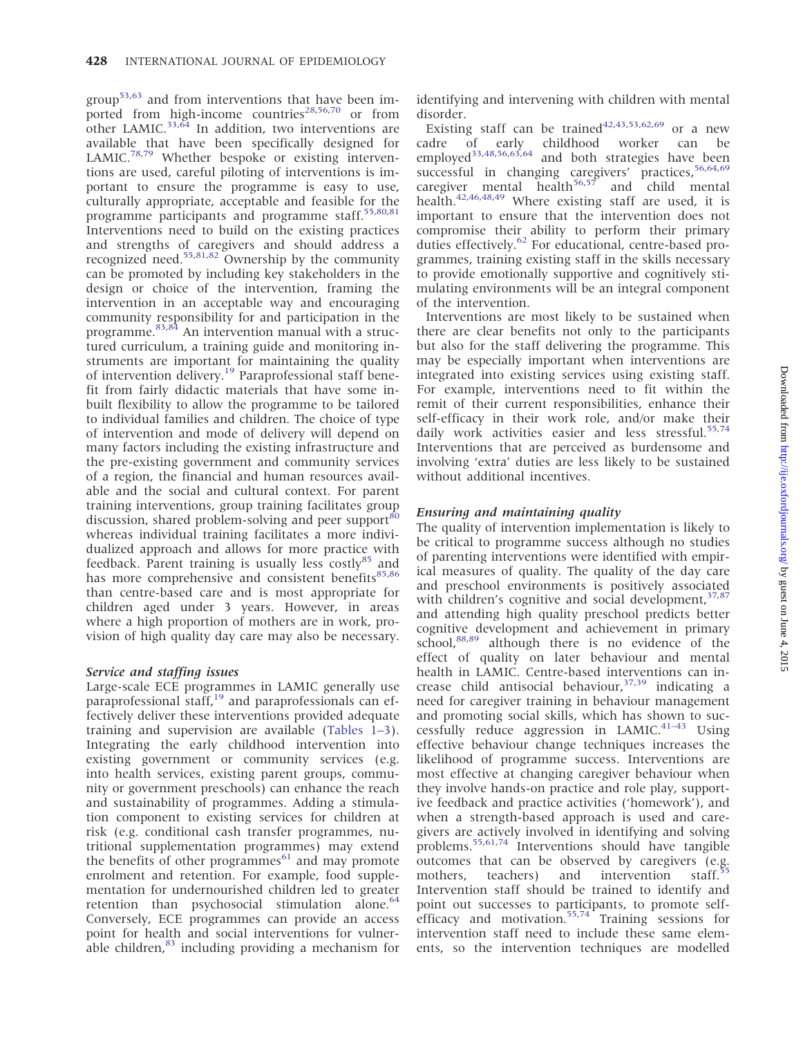group[53,63](#page-25-0) and from interventions that have been im-ported from high-income countries<sup>[28](#page-24-0)[,56,70](#page-25-0)</sup> or from other LAMIC. $33,64$  $33,64$  In addition, two interventions are available that have been specifically designed for LAMIC.<sup>[78,79](#page-26-0)</sup> Whether bespoke or existing interventions are used, careful piloting of interventions is important to ensure the programme is easy to use, culturally appropriate, acceptable and feasible for the programme participants and programme staff.<sup>[55](#page-25-0)[,80,81](#page-26-0)</sup> Interventions need to build on the existing practices and strengths of caregivers and should address a recognized need.<sup>[55,](#page-25-0)[81,82](#page-26-0)</sup> Ownership by the community can be promoted by including key stakeholders in the design or choice of the intervention, framing the intervention in an acceptable way and encouraging community responsibility for and participation in the programme. $83,84$  An intervention manual with a structured curriculum, a training guide and monitoring instruments are important for maintaining the quality of intervention delivery.[19](#page-24-0) Paraprofessional staff benefit from fairly didactic materials that have some inbuilt flexibility to allow the programme to be tailored to individual families and children. The choice of type of intervention and mode of delivery will depend on many factors including the existing infrastructure and the pre-existing government and community services of a region, the financial and human resources available and the social and cultural context. For parent training interventions, group training facilitates group discussion, shared problem-solving and peer support<sup>8</sup> whereas individual training facilitates a more individualized approach and allows for more practice with feedback. Parent training is usually less costly $85$  and has more comprehensive and consistent benefits $85,86$ than centre-based care and is most appropriate for children aged under 3 years. However, in areas where a high proportion of mothers are in work, provision of high quality day care may also be necessary.

#### Service and staffing issues

Large-scale ECE programmes in LAMIC generally use paraprofessional staff, $19$  and paraprofessionals can effectively deliver these interventions provided adequate training and supervision are available ([Tables 1–3](#page-4-0)). Integrating the early childhood intervention into existing government or community services (e.g. into health services, existing parent groups, community or government preschools) can enhance the reach and sustainability of programmes. Adding a stimulation component to existing services for children at risk (e.g. conditional cash transfer programmes, nutritional supplementation programmes) may extend the benefits of other programmes $^{61}$  $^{61}$  $^{61}$  and may promote enrolment and retention. For example, food supplementation for undernourished children led to greater retention than psychosocial stimulation alone.<sup>[64](#page-25-0)</sup> Conversely, ECE programmes can provide an access point for health and social interventions for vulnerable children, $83$  including providing a mechanism for

identifying and intervening with children with mental disorder.

Existing staff can be trained<sup>[42,43,](#page-24-0)[53,62,69](#page-25-0)</sup> or a new cadre of early childhood worker can be employed<sup>[33,](#page-24-0)[48,56,63,64](#page-25-0)</sup> and both strategies have been successful in changing caregivers' practices, [56,64,69](#page-25-0) caregiver mental health<sup>[56,57](#page-25-0)</sup> and child mental health.<sup>[42,](#page-24-0)[46,48,49](#page-25-0)</sup> Where existing staff are used, it is important to ensure that the intervention does not compromise their ability to perform their primary duties effectively.<sup>[62](#page-25-0)</sup> For educational, centre-based programmes, training existing staff in the skills necessary to provide emotionally supportive and cognitively stimulating environments will be an integral component of the intervention.

Interventions are most likely to be sustained when there are clear benefits not only to the participants but also for the staff delivering the programme. This may be especially important when interventions are integrated into existing services using existing staff. For example, interventions need to fit within the remit of their current responsibilities, enhance their self-efficacy in their work role, and/or make their daily work activities easier and less stressful.<sup>[55,74](#page-25-0)</sup> Interventions that are perceived as burdensome and involving 'extra' duties are less likely to be sustained without additional incentives.

#### Ensuring and maintaining quality

The quality of intervention implementation is likely to be critical to programme success although no studies of parenting interventions were identified with empirical measures of quality. The quality of the day care and preschool environments is positively associated with children's cognitive and social development,  $37,87$  $37,87$ and attending high quality preschool predicts better cognitive development and achievement in primary school,<sup>88,89</sup> although there is no evidence of the effect of quality on later behaviour and mental health in LAMIC. Centre-based interventions can increase child antisocial behaviour,  $37,39$  indicating a need for caregiver training in behaviour management and promoting social skills, which has shown to successfully reduce aggression in LAMIC. $41-43$  Using effective behaviour change techniques increases the likelihood of programme success. Interventions are most effective at changing caregiver behaviour when they involve hands-on practice and role play, supportive feedback and practice activities ('homework'), and when a strength-based approach is used and caregivers are actively involved in identifying and solving problems.[55,61,74](#page-25-0) Interventions should have tangible outcomes that can be observed by caregivers (e.g. mothers, teachers) and intervention staff.<sup>55</sup> mothers, teachers) and intervention Intervention staff should be trained to identify and point out successes to participants, to promote self-efficacy and motivation.<sup>[55,74](#page-25-0)</sup> Training sessions for intervention staff need to include these same elements, so the intervention techniques are modelled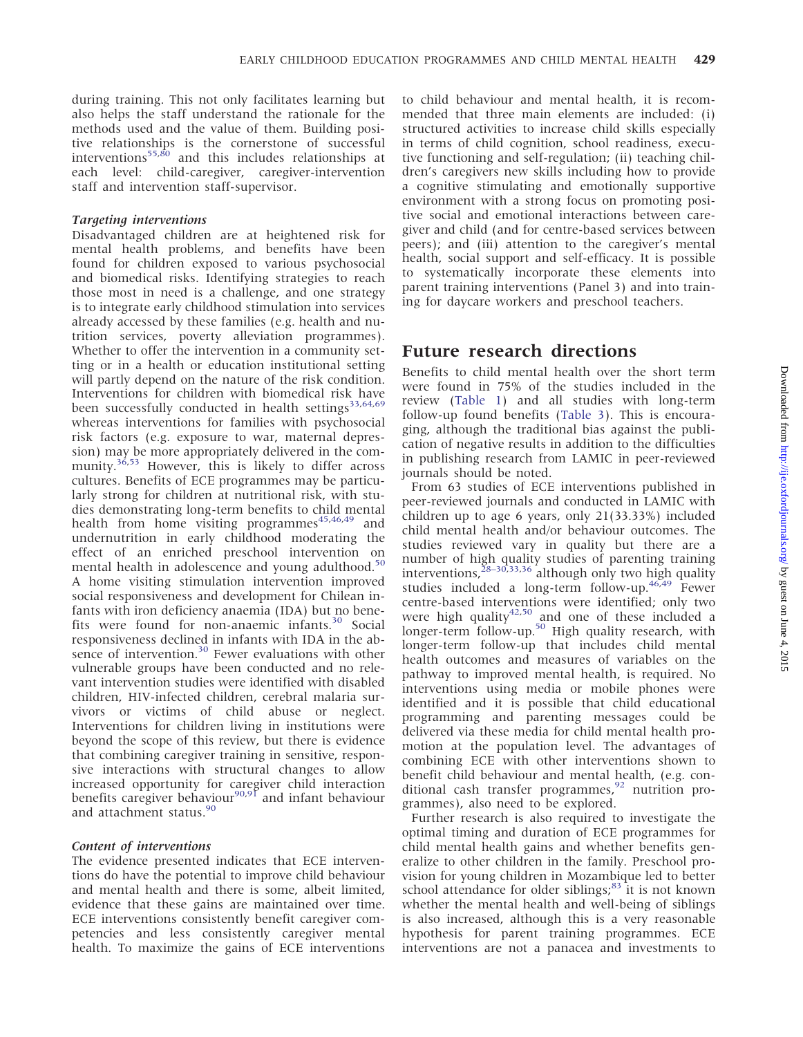during training. This not only facilitates learning but also helps the staff understand the rationale for the methods used and the value of them. Building positive relationships is the cornerstone of successful interventions<sup>[55](#page-25-0), $\hat{80}$ </sup> and this includes relationships at each level: child-caregiver, caregiver-intervention staff and intervention staff-supervisor.

#### Targeting interventions

Disadvantaged children are at heightened risk for mental health problems, and benefits have been found for children exposed to various psychosocial and biomedical risks. Identifying strategies to reach those most in need is a challenge, and one strategy is to integrate early childhood stimulation into services already accessed by these families (e.g. health and nutrition services, poverty alleviation programmes). Whether to offer the intervention in a community setting or in a health or education institutional setting will partly depend on the nature of the risk condition. Interventions for children with biomedical risk have been successfully conducted in health settings<sup>[33](#page-24-0)[,64,69](#page-25-0)</sup> whereas interventions for families with psychosocial risk factors (e.g. exposure to war, maternal depression) may be more appropriately delivered in the com-munity.<sup>[36,](#page-24-0)[53](#page-25-0)</sup> However, this is likely to differ across cultures. Benefits of ECE programmes may be particularly strong for children at nutritional risk, with studies demonstrating long-term benefits to child mental health from home visiting programmes $45,46,49$  and undernutrition in early childhood moderating the effect of an enriched preschool intervention on mental health in adolescence and young adulthood.<sup>[50](#page-25-0)</sup> A home visiting stimulation intervention improved social responsiveness and development for Chilean infants with iron deficiency anaemia (IDA) but no bene-fits were found for non-anaemic infants.<sup>[30](#page-24-0)</sup> Social responsiveness declined in infants with IDA in the ab-sence of intervention.<sup>[30](#page-24-0)</sup> Fewer evaluations with other vulnerable groups have been conducted and no relevant intervention studies were identified with disabled children, HIV-infected children, cerebral malaria survivors or victims of child abuse or neglect. Interventions for children living in institutions were beyond the scope of this review, but there is evidence that combining caregiver training in sensitive, responsive interactions with structural changes to allow increased opportunity for caregiver child interaction benefits caregiver behaviour<sup>[90,91](#page-26-0)</sup> and infant behaviour and attachment status.<sup>9</sup>

#### Content of interventions

The evidence presented indicates that ECE interventions do have the potential to improve child behaviour and mental health and there is some, albeit limited, evidence that these gains are maintained over time. ECE interventions consistently benefit caregiver competencies and less consistently caregiver mental health. To maximize the gains of ECE interventions

to child behaviour and mental health, it is recommended that three main elements are included: (i) structured activities to increase child skills especially in terms of child cognition, school readiness, executive functioning and self-regulation; (ii) teaching children's caregivers new skills including how to provide a cognitive stimulating and emotionally supportive environment with a strong focus on promoting positive social and emotional interactions between caregiver and child (and for centre-based services between peers); and (iii) attention to the caregiver's mental health, social support and self-efficacy. It is possible to systematically incorporate these elements into parent training interventions (Panel 3) and into training for daycare workers and preschool teachers.

#### Future research directions

Benefits to child mental health over the short term were found in 75% of the studies included in the review [\(Table 1](#page-4-0)) and all studies with long-term follow-up found benefits [\(Table 3](#page-10-0)). This is encouraging, although the traditional bias against the publication of negative results in addition to the difficulties in publishing research from LAMIC in peer-reviewed journals should be noted.

From 63 studies of ECE interventions published in peer-reviewed journals and conducted in LAMIC with children up to age 6 years, only 21(33.33%) included child mental health and/or behaviour outcomes. The studies reviewed vary in quality but there are a number of high quality studies of parenting training interventions, $28-30,33,36$  although only two high quality studies included a long-term follow-up.[46,49](#page-25-0) Fewer centre-based interventions were identified; only two were high quality<sup>[42](#page-24-0)[,50](#page-25-0)</sup> and one of these included a longer-term follow-up.<sup>50</sup> High quality research, with longer-term follow-up that includes child mental health outcomes and measures of variables on the pathway to improved mental health, is required. No interventions using media or mobile phones were identified and it is possible that child educational programming and parenting messages could be delivered via these media for child mental health promotion at the population level. The advantages of combining ECE with other interventions shown to benefit child behaviour and mental health, (e.g. con-ditional cash transfer programmes,<sup>[92](#page-26-0)</sup> nutrition programmes), also need to be explored.

Further research is also required to investigate the optimal timing and duration of ECE programmes for child mental health gains and whether benefits generalize to other children in the family. Preschool provision for young children in Mozambique led to better school attendance for older siblings; $83$  it is not known whether the mental health and well-being of siblings is also increased, although this is a very reasonable hypothesis for parent training programmes. ECE interventions are not a panacea and investments to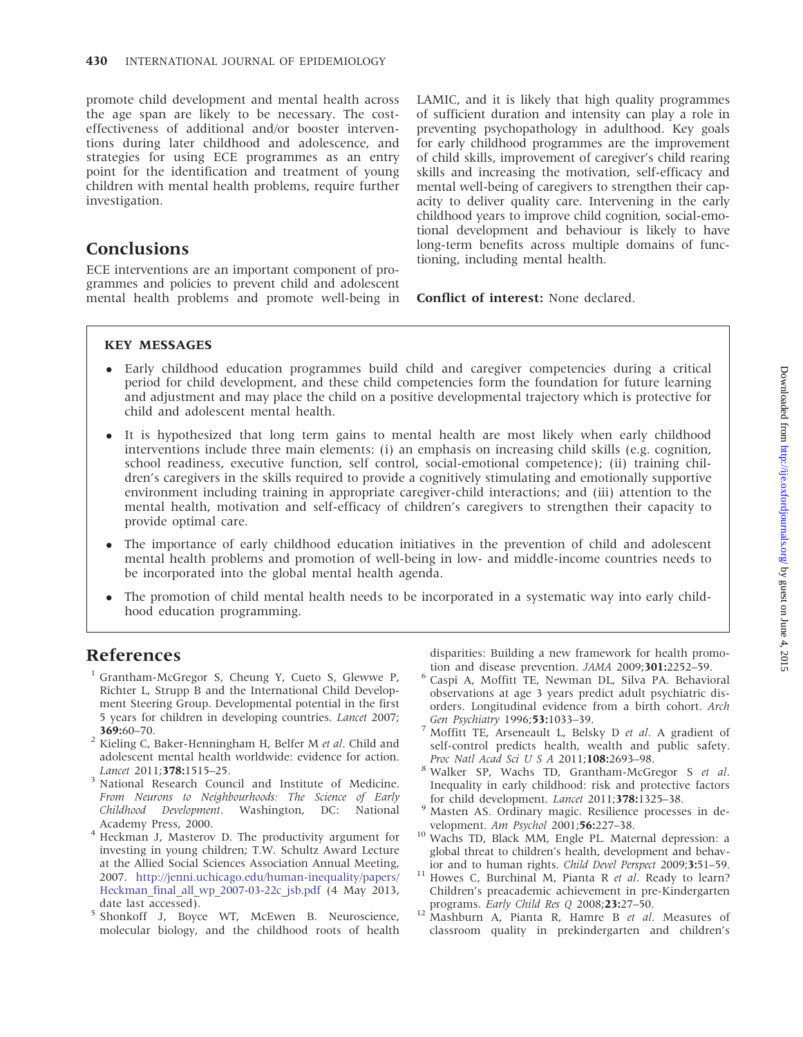<span id="page-23-0"></span>promote child development and mental health across the age span are likely to be necessary. The costeffectiveness of additional and/or booster interventions during later childhood and adolescence, and strategies for using ECE programmes as an entry point for the identification and treatment of young children with mental health problems, require further investigation.

#### **Conclusions**

ECE interventions are an important component of programmes and policies to prevent child and adolescent mental health problems and promote well-being in LAMIC, and it is likely that high quality programmes of sufficient duration and intensity can play a role in preventing psychopathology in adulthood. Key goals for early childhood programmes are the improvement of child skills, improvement of caregiver's child rearing skills and increasing the motivation, self-efficacy and mental well-being of caregivers to strengthen their capacity to deliver quality care. Intervening in the early childhood years to improve child cognition, social-emotional development and behaviour is likely to have long-term benefits across multiple domains of functioning, including mental health.

Conflict of interest: None declared.

#### KEY MESSAGES

- Early childhood education programmes build child and caregiver competencies during a critical period for child development, and these child competencies form the foundation for future learning and adjustment and may place the child on a positive developmental trajectory which is protective for child and adolescent mental health.
- $\bullet$  It is hypothesized that long term gains to mental health are most likely when early childhood interventions include three main elements: (i) an emphasis on increasing child skills (e.g. cognition, school readiness, executive function, self control, social-emotional competence); (ii) training children's caregivers in the skills required to provide a cognitively stimulating and emotionally supportive environment including training in appropriate caregiver-child interactions; and (iii) attention to the mental health, motivation and self-efficacy of children's caregivers to strengthen their capacity to provide optimal care.
- $\bullet$  The importance of early childhood education initiatives in the prevention of child and adolescent mental health problems and promotion of well-being in low- and middle-income countries needs to be incorporated into the global mental health agenda.
- $\bullet$  The promotion of child mental health needs to be incorporated in a systematic way into early childhood education programming.

#### References

- <sup>1</sup> Grantham-McGregor S, Cheung Y, Cueto S, Glewwe P, Richter L, Strupp B and the International Child Development Steering Group. Developmental potential in the first 5 years for children in developing countries. *Lancet* 2007;<br>369:60-70.
- <sup>2</sup> Kieling C, Baker-Henningham H, Belfer M et al. Child and adolescent mental health worldwide: evidence for action. Lancet 2011;378:1515–25.<br><sup>3</sup> National Research Council and Institute of Medicine.
- From Neurons to Neighbourhoods: The Science of Early Childhood Development. Washington, DC: National Academy Press, 2000.
- $4$  Heckman J, Masterov D. The productivity argument for investing in young children; T.W. Schultz Award Lecture at the Allied Social Sciences Association Annual Meeting, 2007. [http://jenni.uchicago.edu/human-inequality/papers/](http://jenni.uchicago.edu/human-inequality/papers/Heckman_final_all_wp_2007-03-22c_jsb.pdf) [Heckman\\_final\\_all\\_wp\\_2007-03-22c\\_jsb.pdf](http://jenni.uchicago.edu/human-inequality/papers/Heckman_final_all_wp_2007-03-22c_jsb.pdf) (4 May 2013, date last accessed).<br><sup>5</sup> Shonkoff J, Boyce WT, McEwen B. Neuroscience,
- molecular biology, and the childhood roots of health

disparities: Building a new framework for health promo-

- tion and disease prevention. JAMA 2009;301:2252–59. <sup>6</sup> Caspi A, Moffitt TE, Newman DL, Silva PA. Behavioral observations at age 3 years predict adult psychiatric disorders. Longitudinal evidence from a birth cohort. Arch Gen Psychiatry 1996;53:1033-39.
- $^7$  Moffitt TE, Arseneault L, Belsky D et al. A gradient of self-control predicts health, wealth and public safety.
- Proc Natl Acad Sci U S A 2011;108:2693-98.<br><sup>8</sup> Walker SP, Wachs TD, Grantham-McGregor S et al. Inequality in early childhood: risk and protective factors
- for child development. *Lancet* 2011;378:1325–38.<br><sup>9</sup> Masten AS. Ordinary magic. Resilience processes in de-
- velopment. Am Psychol 2001;**56:**227–38. <sup>10</sup> Wachs TD, Black MM, Engle PL. Maternal depression: a global threat to children's health, development and behav-<br>ior and to human rights. Child Devel Perspect 2009;3:51-59.
- $11$  Howes C, Burchinal M, Pianta R et al. Ready to learn? Children's preacademic achievement in pre-Kindergarten
- programs. *Early Child Res Q* 2008;**23:**27–50.<br><sup>12</sup> Mashburn A, Pianta R, Hamre B *et al*. Measures of classroom quality in prekindergarten and children's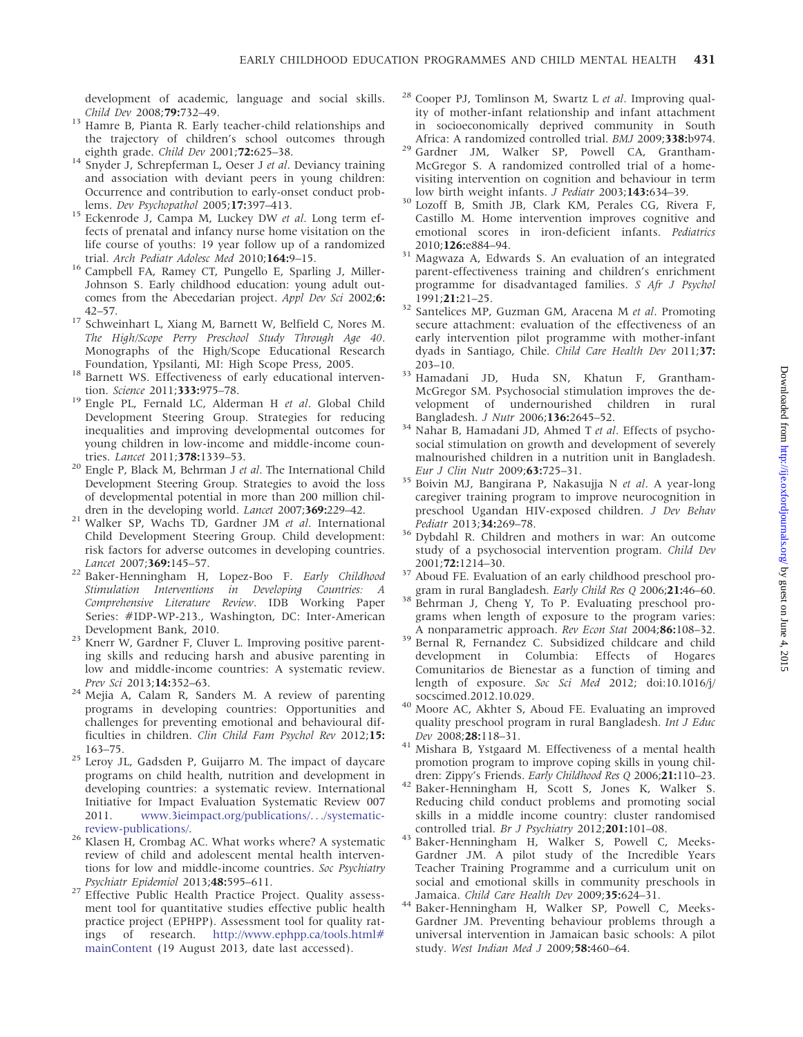<span id="page-24-0"></span>development of academic, language and social skills.

- Child Dev 2008; 79:732–49.<br><sup>13</sup> Hamre B, Pianta R. Early teacher-child relationships and the trajectory of children's school outcomes through eighth grade. Child Dev 2001;72:625-38.
- $^{14}$  Snyder J, Schrepferman L, Oeser J et al. Deviancy training and association with deviant peers in young children: Occurrence and contribution to early-onset conduct prob-
- lems. Dev Psychopathol 2005;17:397-413.<br><sup>15</sup> Eckenrode J, Campa M, Luckey DW et al. Long term effects of prenatal and infancy nurse home visitation on the life course of youths: 19 year follow up of a randomized
- trial. Arch Pediatr Adolesc Med 2010;164:9–15.<br><sup>16</sup> Campbell FA, Ramey CT, Pungello E, Sparling J, Miller-Johnson S. Early childhood education: young adult outcomes from the Abecedarian project. Appl Dev Sci 2002;6:
- $^{17}$  Schweinhart L, Xiang M, Barnett W, Belfield C, Nores M. The High/Scope Perry Preschool Study Through Age 40. Monographs of the High/Scope Educational Research
- Foundation, Ypsilanti, MI: High Scope Press, 2005. <sup>18</sup> Barnett WS. Effectiveness of early educational intervention. Science 2011;333:975–78.<br><sup>19</sup> Engle PL, Fernald LC, Alderman H *et al*. Global Child
- Development Steering Group. Strategies for reducing inequalities and improving developmental outcomes for young children in low-income and middle-income coun-<br>tries. *Lancet* 2011;3**78:**1339–53.
- $t^{20}$  Engle P, Black M, Behrman J et al. The International Child Development Steering Group. Strategies to avoid the loss of developmental potential in more than 200 million chil-
- dren in the developing world. *Lancet* 2007;369:229–42.<br><sup>21</sup> Walker SP, Wachs TD, Gardner JM *et al*. International Child Development Steering Group. Child development: risk factors for adverse outcomes in developing countries.<br>Lancet 2007;369:145-57.
- <sup>22</sup> Baker-Henningham H, Lopez-Boo F. Early Childhood Stimulation Interventions in Developing Countries: A Comprehensive Literature Review. IDB Working Paper Series: #IDP-WP-213., Washington, DC: Inter-American
- <sup>23</sup> Knerr W, Gardner F, Cluver L. Improving positive parenting skills and reducing harsh and abusive parenting in low and middle-income countries: A systematic review.
- Prev Sci 2013;14:352–63.<br><sup>24</sup> Mejia A, Calam R, Sanders M. A review of parenting programs in developing countries: Opportunities and challenges for preventing emotional and behavioural difficulties in children. Clin Child Fam Psychol Rev 2012;15:
- 163–75. <sup>25</sup> Leroy JL, Gadsden P, Guijarro M. The impact of daycare programs on child health, nutrition and development in developing countries: a systematic review. International Initiative for Impact Evaluation Systematic Review 007 2011. [www.3ieimpact.org/publications/](www.3ieimpact.org/publications//systematic-review-publications/)...[/systematic-](www.3ieimpact.org/publications//systematic-review-publications/)
- [review-publications/](www.3ieimpact.org/publications//systematic-review-publications/). <sup>26</sup> Klasen H, Crombag AC. What works where? A systematic review of child and adolescent mental health interventions for low and middle-income countries. Soc Psychiatry<br>Psychiatr Epidemiol 2013;48:595-611.
- <sup>27</sup> Effective Public Health Practice Project. Quality assessment tool for quantitative studies effective public health practice project (EPHPP). Assessment tool for quality ratings of research. [http://www.ephpp.ca/tools.html#](http://www.ephpp.ca/tools.html#mainContent) [mainContent](http://www.ephpp.ca/tools.html#mainContent) (19 August 2013, date last accessed).
- Cooper PJ, Tomlinson M, Swartz L et al. Improving quality of mother-infant relationship and infant attachment in socioeconomically deprived community in South
- Africa: A randomized controlled trial. BMJ 2009;338:b974. <sup>29</sup> Gardner JM, Walker SP, Powell CA, Grantham-McGregor S. A randomized controlled trial of a homevisiting intervention on cognition and behaviour in term<br>low birth weight infants. *J Pediatr* 2003;143:634-39.
- low birth weight infants. J Pediatr 2003;143:634–39. <sup>30</sup> Lozoff B, Smith JB, Clark KM, Perales CG, Rivera F, Castillo M. Home intervention improves cognitive and emotional scores in iron-deficient infants. Pediatrics 2010;126:e884–94. <sup>31</sup> Magwaza A, Edwards S. An evaluation of an integrated
- parent-effectiveness training and children's enrichment programme for disadvantaged families. S Afr J Psychol 1991;21:21–25. <sup>32</sup> Santelices MP, Guzman GM, Aracena M et al. Promoting
- secure attachment: evaluation of the effectiveness of an early intervention pilot programme with mother-infant dyads in Santiago, Chile. Child Care Health Dev 2011;37: 203–10. <sup>33</sup> Hamadani JD, Huda SN, Khatun F, Grantham-
- McGregor SM. Psychosocial stimulation improves the development of undernourished children in rural Bangladesh. J Nutr 2006;136:2645–52.<br><sup>34</sup> Nahar B, Hamadani JD, Ahmed T et al. Effects of psycho-
- social stimulation on growth and development of severely malnourished children in a nutrition unit in Bangladesh.<br>Eur J Clin Nutr 2009:63:725-31.
- Boivin MJ, Bangirana P, Nakasujja N et al. A year-long caregiver training program to improve neurocognition in preschool Ugandan HIV-exposed children. J Dev Behav
- Pediatr 2013;**34:**269–78.<br><sup>36</sup> Dybdahl R. Children and mothers in war: An outcome study of a psychosocial intervention program. Child Dev  $2001;72:1214-30.$ <sup>37</sup> Aboud FE. Evaluation of an early childhood preschool pro-
- 
- gram in rural Bangladesh. Early Child Res Q 2006;21:46–60. <sup>38</sup> Behrman J, Cheng Y, To P. Evaluating preschool programs when length of exposure to the program varies:
- A nonparametric approach. Rev Econ Stat 2004;86:108-32. Bernal R, Fernandez C. Subsidized childcare and child development in Columbia: Effects of Hogares Comunitarios de Bienestar as a function of timing and length of exposure. Soc Sci Med 2012; doi:10.1016/j/ socscimed.2012.10.029. <sup>40</sup> Moore AC, Akhter S, Aboud FE. Evaluating an improved
- quality preschool program in rural Bangladesh. Int J Educ Dev 2008;28:118–31. <sup>41</sup> Mishara B, Ystgaard M. Effectiveness of a mental health
- promotion program to improve coping skills in young chil-<br>dren: Zippy's Friends. Early Childhood Res Q 2006;21:110-23.
- Baker-Henningham H, Scott S, Jones K, Walker S. Reducing child conduct problems and promoting social skills in a middle income country: cluster randomised
- controlled trial. Br J Psychiatry 2012;201:101–08. <sup>43</sup> Baker-Henningham H, Walker S, Powell C, Meeks-Gardner JM. A pilot study of the Incredible Years Teacher Training Programme and a curriculum unit on social and emotional skills in community preschools in
- Jamaica. Child Care Health Dev 2009;35:624–31. <sup>44</sup> Baker-Henningham H, Walker SP, Powell C, Meeks-Gardner JM. Preventing behaviour problems through a universal intervention in Jamaican basic schools: A pilot study. West Indian Med J 2009;58:460-64.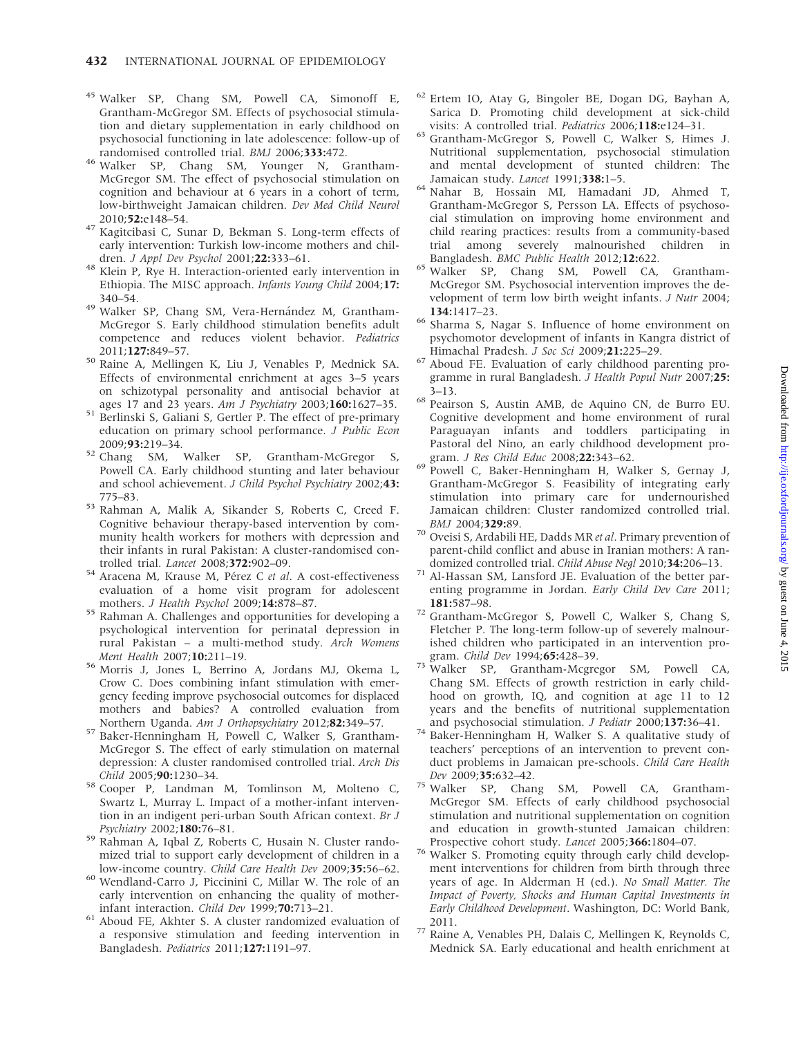- <span id="page-25-0"></span><sup>45</sup> Walker SP, Chang SM, Powell CA, Simonoff E, Grantham-McGregor SM. Effects of psychosocial stimulation and dietary supplementation in early childhood on psychosocial functioning in late adolescence: follow-up of randomised controlled trial. *BMJ* 2006;333:472.
- <sup>46</sup> Walker SP, Chang SM, Younger N, Grantham-McGregor SM. The effect of psychosocial stimulation on cognition and behaviour at 6 years in a cohort of term, low-birthweight Jamaican children. Dev Med Child Neurol 2010;52:e148–54. <sup>47</sup> Kagitcibasi C, Sunar D, Bekman S. Long-term effects of
- early intervention: Turkish low-income mothers and chil-
- dren. *J Appl Dev Psychol* 2001;22:333–61.<br><sup>48</sup> Klein P, Rye H. Interaction-oriented early intervention in Ethiopia. The MISC approach. Infants Young Child 2004;17: 340–54.<br><sup>49</sup> Walker SP, Chang SM, Vera-Hernández M, Grantham-
- McGregor S. Early childhood stimulation benefits adult competence and reduces violent behavior. Pediatrics
- 2011;127:849–57. <sup>50</sup> Raine A, Mellingen K, Liu J, Venables P, Mednick SA. Effects of environmental enrichment at ages 3–5 years on schizotypal personality and antisocial behavior at
- ages 17 and 23 years. Am J Psychiatry 2003;160:1627-35.<br><sup>51</sup> Berlinski S, Galiani S, Gertler P. The effect of pre-primary education on primary school performance. J Public Econ 2009;93:219-34.
- <sup>52</sup> Chang SM, Walker SP, Grantham-McGregor S, Powell CA. Early childhood stunting and later behaviour and school achievement. J Child Psychol Psychiatry 2002;43:
- 775–83. <sup>53</sup> Rahman A, Malik A, Sikander S, Roberts C, Creed F. Cognitive behaviour therapy-based intervention by community health workers for mothers with depression and their infants in rural Pakistan: A cluster-randomised controlled trial. *Lancet* 2008;372:902-09.
- <sup>54</sup> Aracena M, Krause M, Pérez C et al. A cost-effectiveness evaluation of a home visit program for adolescent mothers. *J Health Psychol* 2009;14:878–87.
- <sup>55</sup> Rahman A. Challenges and opportunities for developing a psychological intervention for perinatal depression in rural Pakistan – a multi-method study. Arch Womens<br>Ment Health 2007;10:211-19.
- <sup>56</sup> Morris J, Jones L, Berrino A, Jordans MJ, Okema L, Crow C. Does combining infant stimulation with emergency feeding improve psychosocial outcomes for displaced mothers and babies? A controlled evaluation from<br>Northern Uganda. Am J Orthopsychiatry 2012;82:349-57.
- <sup>57</sup> Baker-Henningham H, Powell C, Walker S, Grantham-McGregor S. The effect of early stimulation on maternal depression: A cluster randomised controlled trial. Arch Dis Child 2005;90:1230-34.
- <sup>58</sup> Cooper P, Landman M, Tomlinson M, Molteno C, Swartz L, Murray L. Impact of a mother-infant intervention in an indigent peri-urban South African context. Br J
- Psychiatry 2002;180:76–81. <sup>59</sup> Rahman A, Iqbal Z, Roberts C, Husain N. Cluster randomized trial to support early development of children in a low-income country. Child Care Health Dev 2009;35:56-62.
- $160$  Wendland-Carro J, Piccinini C, Millar W. The role of an early intervention on enhancing the quality of mother-
- infant interaction. Child Dev 1999;70:713–21. <sup>61</sup> Aboud FE, Akhter S. A cluster randomized evaluation of a responsive stimulation and feeding intervention in Bangladesh. Pediatrics 2011;127:1191–97.
- <sup>62</sup> Ertem IO, Atay G, Bingoler BE, Dogan DG, Bayhan A, Sarica D. Promoting child development at sick-child visits: A controlled trial. *Pediatrics* 2006;118:e124-31.
- <sup>63</sup> Grantham-McGregor S, Powell C, Walker S, Himes J. Nutritional supplementation, psychosocial stimulation and mental development of stunted children: The
- Jamaican study. Lancet 1991;338:1–5. <sup>64</sup> Nahar B, Hossain MI, Hamadani JD, Ahmed T, Grantham-McGregor S, Persson LA. Effects of psychosocial stimulation on improving home environment and child rearing practices: results from a community-based trial among severely malnourished children in
- Bangladesh. BMC Public Health 2012;12:622. <sup>65</sup> Walker SP, Chang SM, Powell CA, Grantham-McGregor SM. Psychosocial intervention improves the development of term low birth weight infants. J Nutr 2004;
- 134:1417–23. <sup>66</sup> Sharma S, Nagar S. Influence of home environment on psychomotor development of infants in Kangra district of
- Himachal Pradesh. *J Soc Sci* 2009;**21:**225–29.<br><sup>67</sup> Aboud FE. Evaluation of early childhood parenting programme in rural Bangladesh. J Health Popul Nutr 2007;25:<br>3–13.
- <sup>68</sup> Peairson S, Austin AMB, de Aquino CN, de Burro EU. Cognitive development and home environment of rural Paraguayan infants and toddlers participating in Pastoral del Nino, an early childhood development pro-<br>gram. J Res Child Educ 2008;22:343-62.
- Powell C, Baker-Henningham H, Walker S, Gernay J, Grantham-McGregor S. Feasibility of integrating early stimulation into primary care for undernourished Jamaican children: Cluster randomized controlled trial.
- BMJ 2004;329:89. <sup>70</sup> Oveisi S, Ardabili HE, Dadds MR et al. Primary prevention of parent-child conflict and abuse in Iranian mothers: A ran-<br>domized controlled trial. Child Abuse Neal 2010;34:206-13.
- $71$  Al-Hassan SM, Lansford JE. Evaluation of the better parenting programme in Jordan. Early Child Dev Care 2011;
- 181:587–98. <sup>72</sup> Grantham-McGregor S, Powell C, Walker S, Chang S, Fletcher P. The long-term follow-up of severely malnourished children who participated in an intervention pro-
- gram. Child Dev 1994;65:428–39.<br><sup>73</sup> Walker SP, Grantham-Mcgregor SM, Powell CA, Chang SM. Effects of growth restriction in early childhood on growth, IQ, and cognition at age 11 to 12 years and the benefits of nutritional supplementation<br>and psychosocial stimulation. *J Pediatr* 2000;137:36-41.
- <sup>74</sup> Baker-Henningham H, Walker S. A qualitative study of teachers' perceptions of an intervention to prevent conduct problems in Jamaican pre-schools. Child Care Health Dev 2009:35:632-42.
- <sup>75</sup> Walker SP, Chang SM, Powell CA, Grantham-McGregor SM. Effects of early childhood psychosocial stimulation and nutritional supplementation on cognition and education in growth-stunted Jamaican children:
- Prospective cohort study. *Lancet* 2005;366:1804–07.<br><sup>76</sup> Walker S. Promoting equity through early child development interventions for children from birth through three years of age. In Alderman H (ed.). No Small Matter. The Impact of Poverty, Shocks and Human Capital Investments in Early Childhood Development. Washington, DC: World Bank,
- 2011. <br><sup>77</sup> Raine A, Venables PH, Dalais C, Mellingen K, Reynolds C, Mednick SA. Early educational and health enrichment at